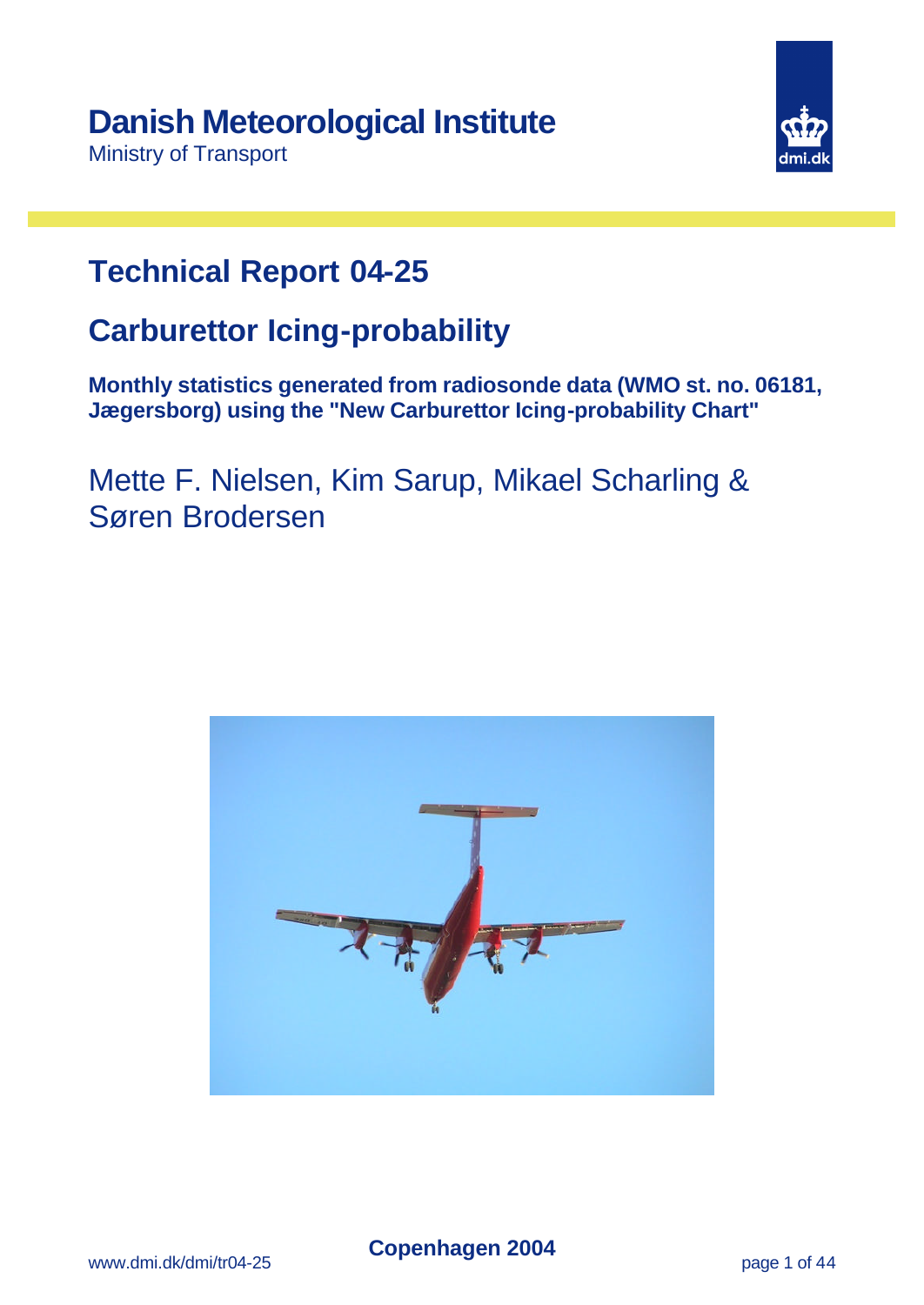Ministry of Transport



# **Technical Report 04-25**

# **Carburettor Icing-probability**

**Monthly statistics generated from radiosonde data (WMO st. no. 06181, Jægersborg) using the "New Carburettor Icing-probability Chart"**

Mette F. Nielsen, Kim Sarup, Mikael Scharling & Søren Brodersen

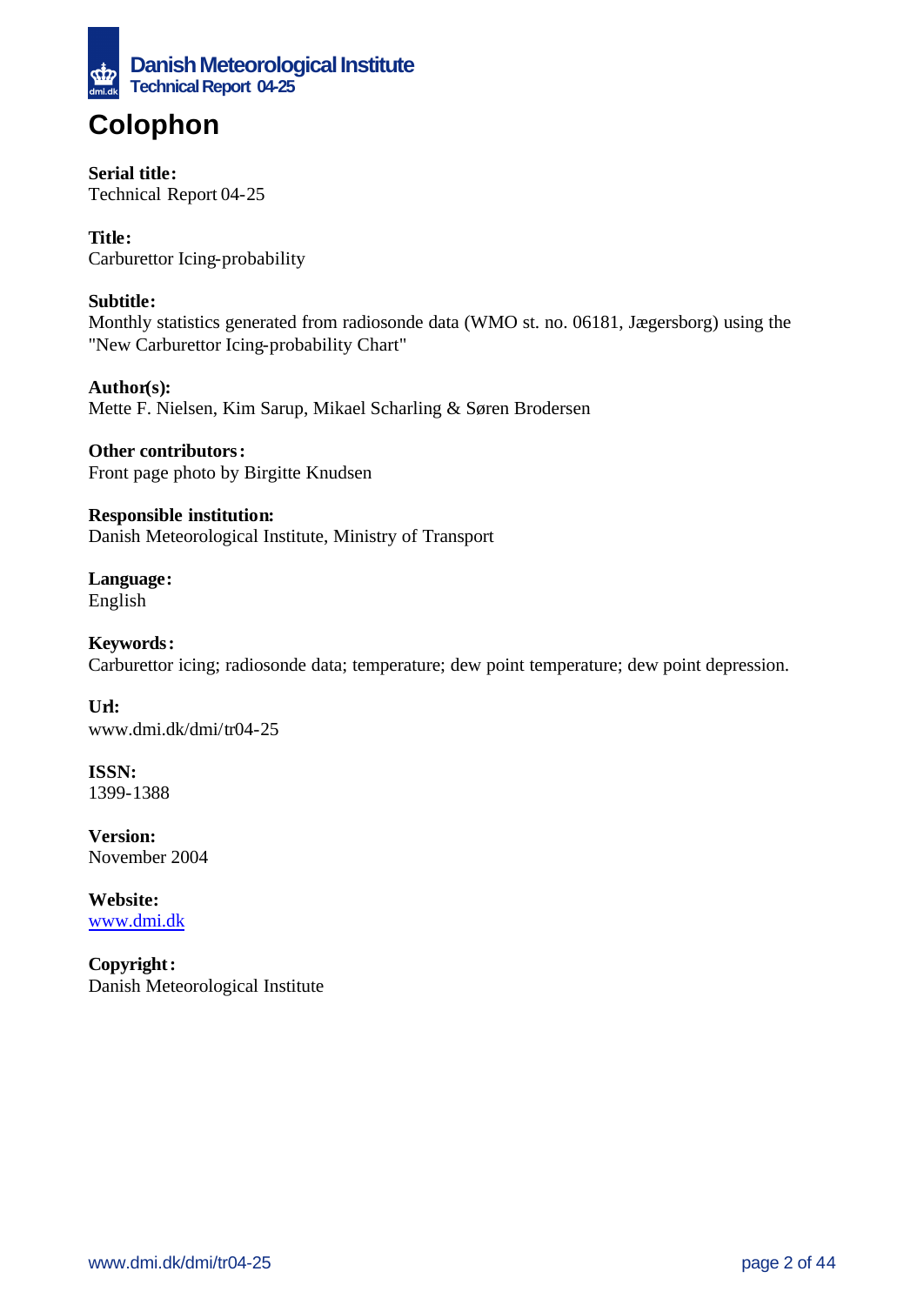

# **Colophon**

### **Serial title:**

Technical Report 04-25

**Title:** Carburettor Icing-probability

### **Subtitle:**

Monthly statistics generated from radiosonde data (WMO st. no. 06181, Jægersborg) using the "New Carburettor Icing-probability Chart"

**Author(s):** Mette F. Nielsen, Kim Sarup, Mikael Scharling & Søren Brodersen

**Other contributors:** Front page photo by Birgitte Knudsen

**Responsible institution:** Danish Meteorological Institute, Ministry of Transport

**Language:** English

**Keywords:** Carburettor icing; radiosonde data; temperature; dew point temperature; dew point depression.

**Url:** www.dmi.dk/dmi/tr04-25

**ISSN:** 1399-1388

**Version:** November 2004

**Website:**  www.dmi.dk

**Copyright:** Danish Meteorological Institute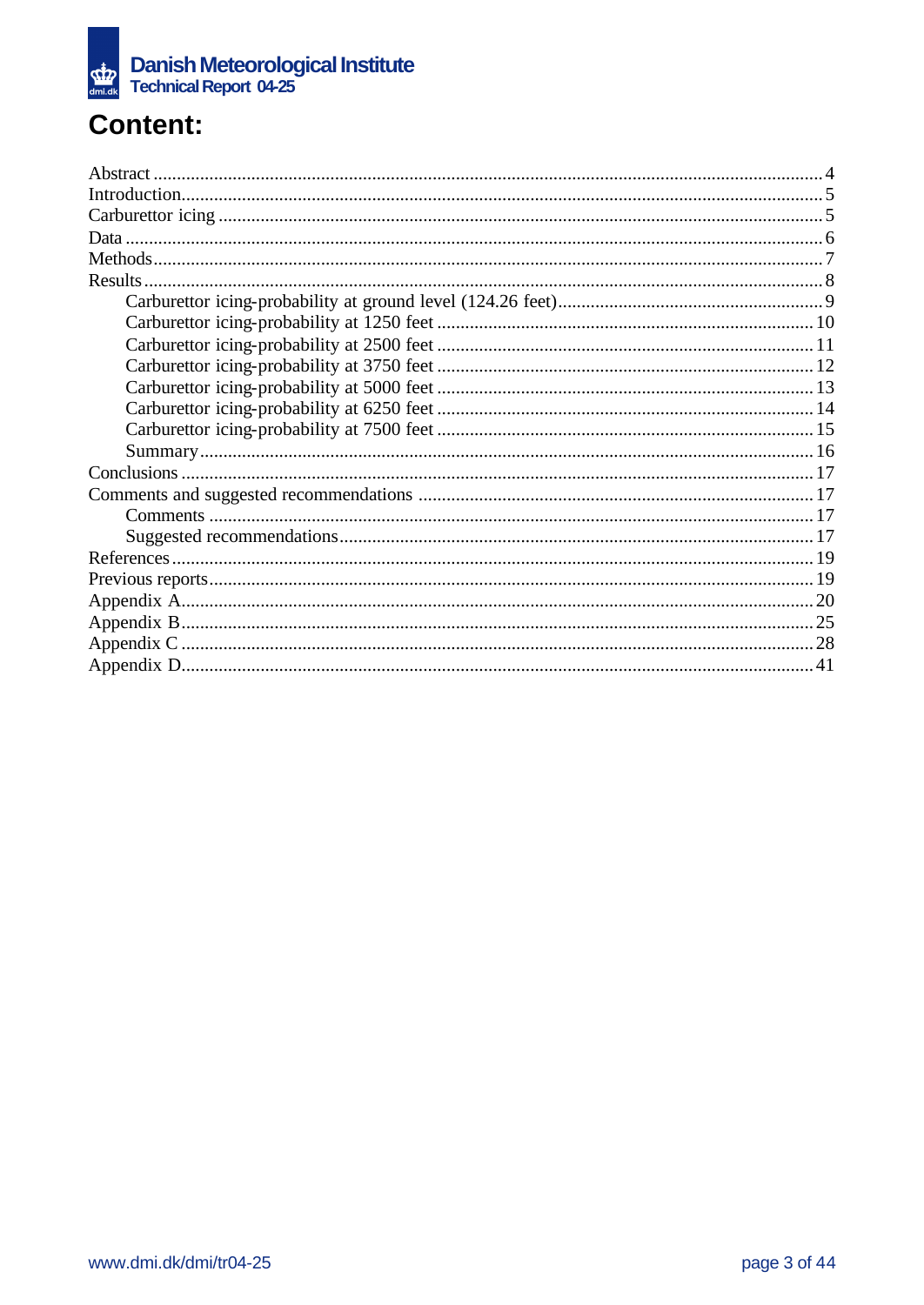

# **Content:**

| Results. |  |
|----------|--|
|          |  |
|          |  |
|          |  |
|          |  |
|          |  |
|          |  |
|          |  |
|          |  |
|          |  |
|          |  |
|          |  |
|          |  |
|          |  |
|          |  |
|          |  |
|          |  |
|          |  |
|          |  |
|          |  |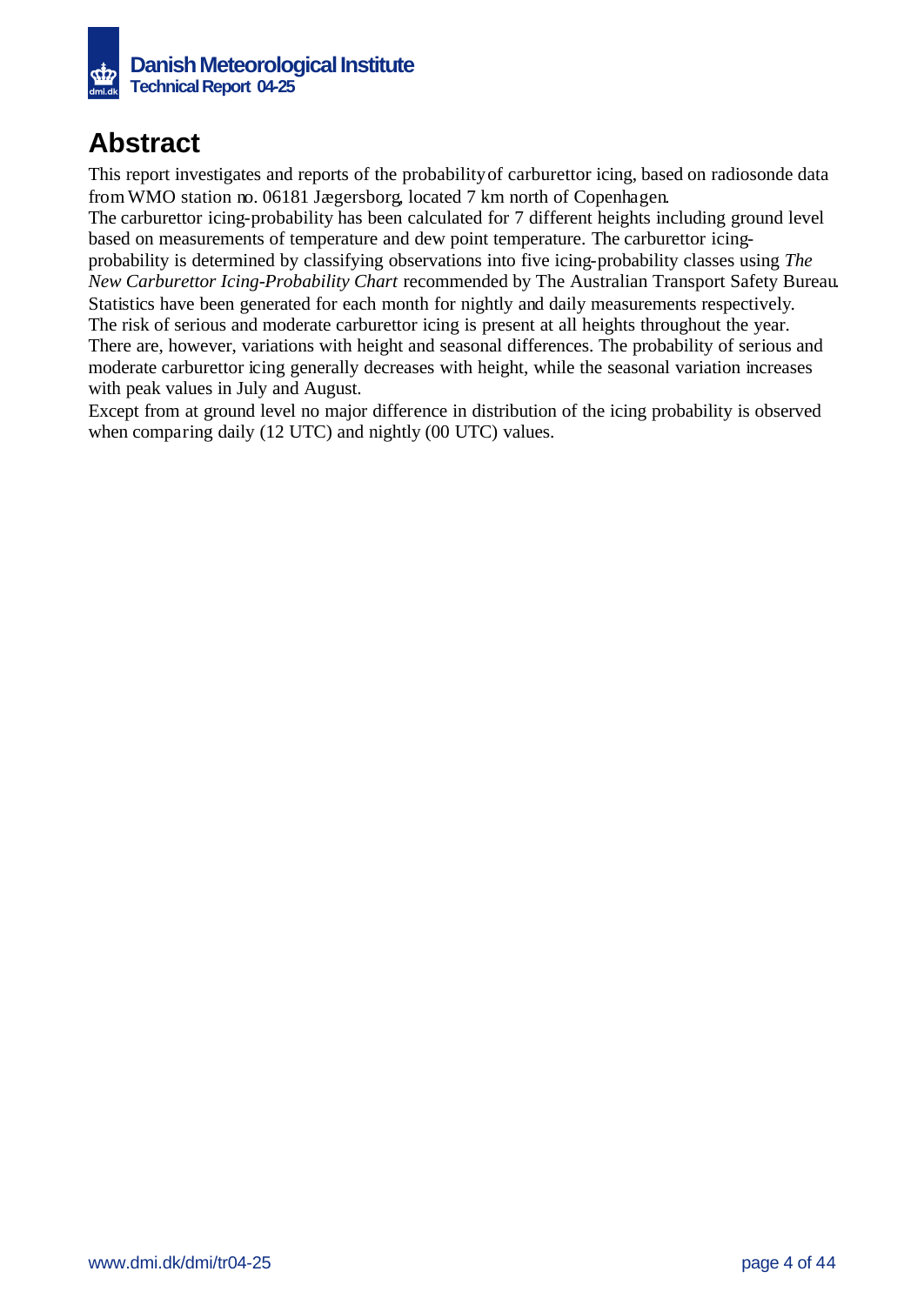

## **Abstract**

This report investigates and reports of the probability of carburettor icing, based on radiosonde data from WMO station no. 06181 Jægersborg, located 7 km north of Copenhagen.

The carburettor icing-probability has been calculated for 7 different heights including ground level based on measurements of temperature and dew point temperature. The carburettor icing-

probability is determined by classifying observations into five icing-probability classes using *The New Carburettor Icing-Probability Chart* recommended by The Australian Transport Safety Bureau. Statistics have been generated for each month for nightly and daily measurements respectively. The risk of serious and moderate carburettor icing is present at all heights throughout the year. There are, however, variations with height and seasonal differences. The probability of serious and moderate carburettor icing generally decreases with height, while the seasonal variation increases with peak values in July and August.

Except from at ground level no major difference in distribution of the icing probability is observed when comparing daily (12 UTC) and nightly (00 UTC) values.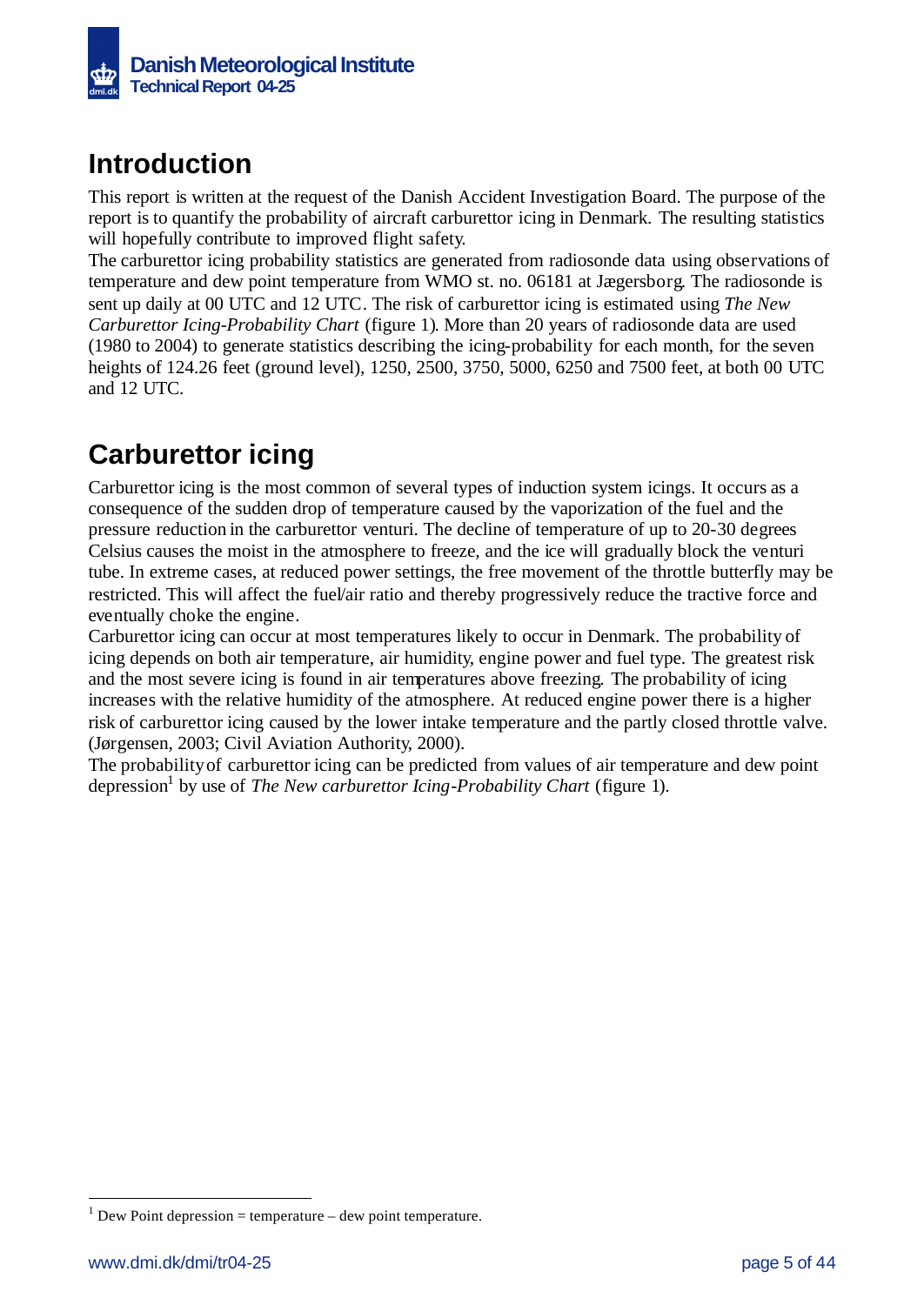

## **Introduction**

This report is written at the request of the Danish Accident Investigation Board. The purpose of the report is to quantify the probability of aircraft carburettor icing in Denmark. The resulting statistics will hopefully contribute to improved flight safety.

The carburettor icing probability statistics are generated from radiosonde data using observations of temperature and dew point temperature from WMO st. no. 06181 at Jægersborg. The radiosonde is sent up daily at 00 UTC and 12 UTC. The risk of carburettor icing is estimated using *The New Carburettor Icing-Probability Chart* (figure 1). More than 20 years of radiosonde data are used (1980 to 2004) to generate statistics describing the icing-probability for each month, for the seven heights of 124.26 feet (ground level), 1250, 2500, 3750, 5000, 6250 and 7500 feet, at both 00 UTC and 12 UTC.

# **Carburettor icing**

Carburettor icing is the most common of several types of induction system icings. It occurs as a consequence of the sudden drop of temperature caused by the vaporization of the fuel and the pressure reduction in the carburettor venturi. The decline of temperature of up to 20-30 degrees Celsius causes the moist in the atmosphere to freeze, and the ice will gradually block the venturi tube. In extreme cases, at reduced power settings, the free movement of the throttle butterfly may be restricted. This will affect the fuel/air ratio and thereby progressively reduce the tractive force and eventually choke the engine.

Carburettor icing can occur at most temperatures likely to occur in Denmark. The probability of icing depends on both air temperature, air humidity, engine power and fuel type. The greatest risk and the most severe icing is found in air temperatures above freezing. The probability of icing increases with the relative humidity of the atmosphere. At reduced engine power there is a higher risk of carburettor icing caused by the lower intake temperature and the partly closed throttle valve. (Jørgensen, 2003; Civil Aviation Authority, 2000).

The probability of carburettor icing can be predicted from values of air temperature and dew point depression<sup>1</sup> by use of *The New carburettor Icing-Probability Chart* (figure 1).

l

 $1$  Dew Point depression = temperature – dew point temperature.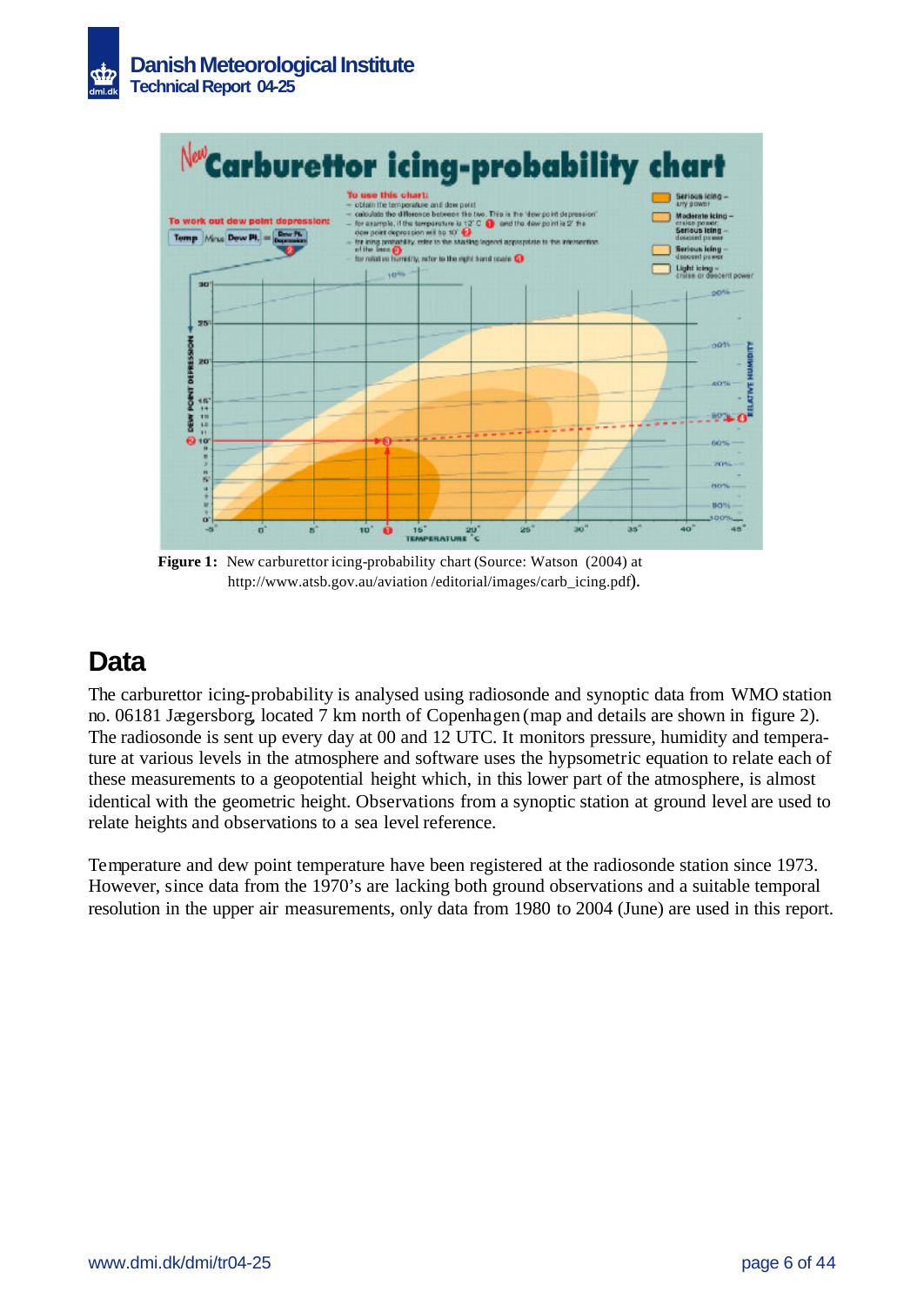



**Figure 1:** New carburettor icing-probability chart (Source: Watson (2004) at http://www.atsb.gov.au/aviation /editorial/images/carb\_icing.pdf).

## **Data**

The carburettor icing-probability is analysed using radiosonde and synoptic data from WMO station no. 06181 Jægersborg, located 7 km north of Copenhagen (map and details are shown in figure 2). The radiosonde is sent up every day at 00 and 12 UTC. It monitors pressure, humidity and temperature at various levels in the atmosphere and software uses the hypsometric equation to relate each of these measurements to a geopotential height which, in this lower part of the atmosphere, is almost identical with the geometric height. Observations from a synoptic station at ground level are used to relate heights and observations to a sea level reference.

Temperature and dew point temperature have been registered at the radiosonde station since 1973. However, since data from the 1970's are lacking both ground observations and a suitable temporal resolution in the upper air measurements, only data from 1980 to 2004 (June) are used in this report.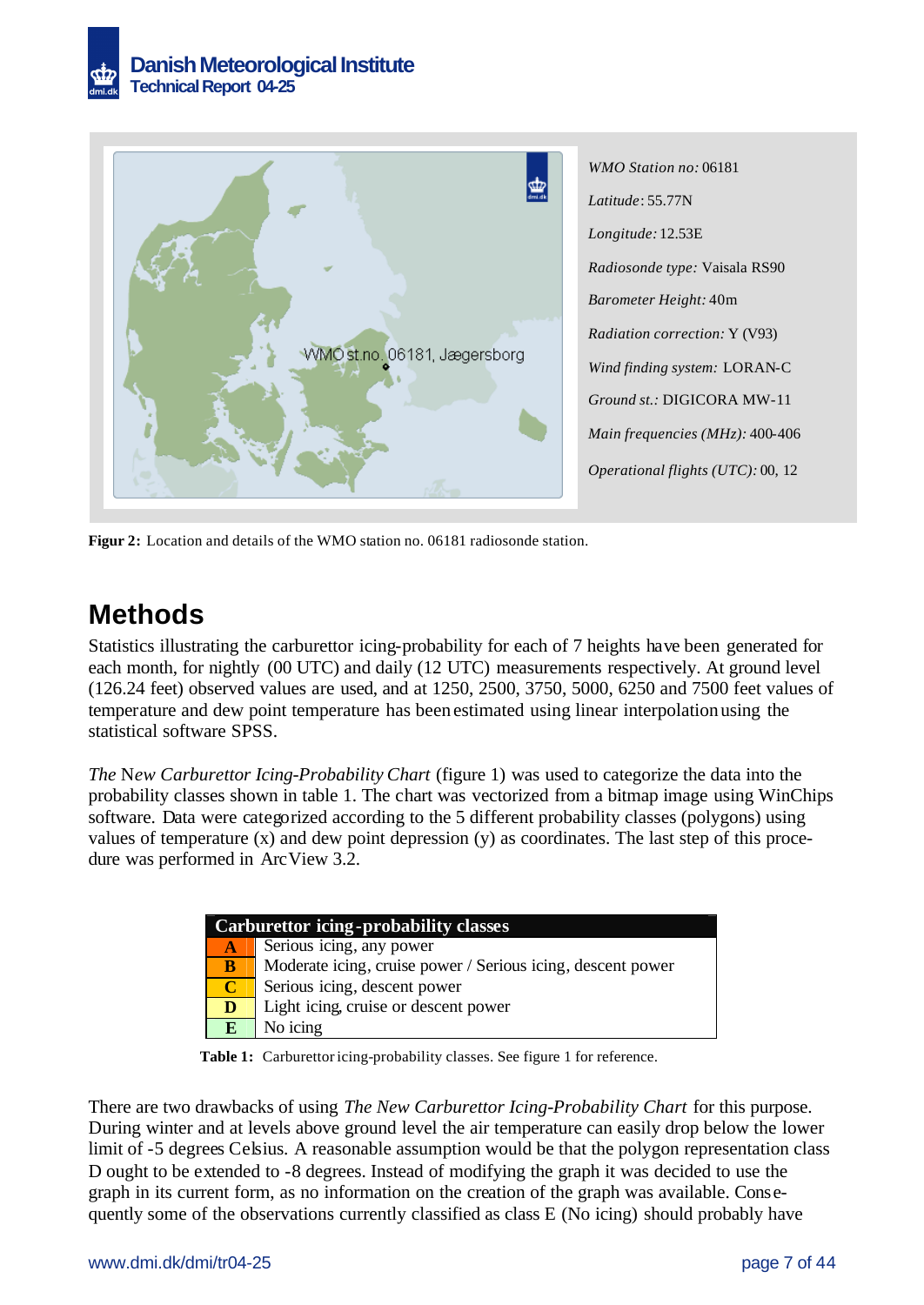

*WMO Station no:* 06181 *Latitude*: 55.77N *Longitude:* 12.53E *Radiosonde type:* Vaisala RS90 *Barometer Height:* 40m *Radiation correction:* Y (V93) *Wind finding system:* LORAN-C *Ground st.:* DIGICORA MW-11 *Main frequencies (MHz):* 400-406 *Operational flights (UTC):* 00, 12

**Figur 2:** Location and details of the WMO station no. 06181 radiosonde station.

## **Methods**

Statistics illustrating the carburettor icing-probability for each of 7 heights have been generated for each month, for nightly (00 UTC) and daily (12 UTC) measurements respectively. At ground level (126.24 feet) observed values are used, and at 1250, 2500, 3750, 5000, 6250 and 7500 feet values of temperature and dew point temperature has been estimated using linear interpolation using the statistical software SPSS.

*The* N*ew Carburettor Icing-Probability Chart* (figure 1) was used to categorize the data into the probability classes shown in table 1. The chart was vectorized from a bitmap image using WinChips software. Data were categorized according to the 5 different probability classes (polygons) using values of temperature (x) and dew point depression (y) as coordinates. The last step of this procedure was performed in ArcView 3.2.

|              | <b>Carburettor icing-probability classes</b>                |
|--------------|-------------------------------------------------------------|
| A.           | Serious icing, any power                                    |
| B            | Moderate icing, cruise power / Serious icing, descent power |
| $\mathbf C$  | Serious icing, descent power                                |
| D            | Light icing, cruise or descent power                        |
| $\mathbf{E}$ | No icing                                                    |

**Table 1:** Carburettor icing-probability classes. See figure 1 for reference.

There are two drawbacks of using *The New Carburettor Icing-Probability Chart* for this purpose. During winter and at levels above ground level the air temperature can easily drop below the lower limit of -5 degrees Celsius. A reasonable assumption would be that the polygon representation class D ought to be extended to -8 degrees. Instead of modifying the graph it was decided to use the graph in its current form, as no information on the creation of the graph was available. Consequently some of the observations currently classified as class E (No icing) should probably have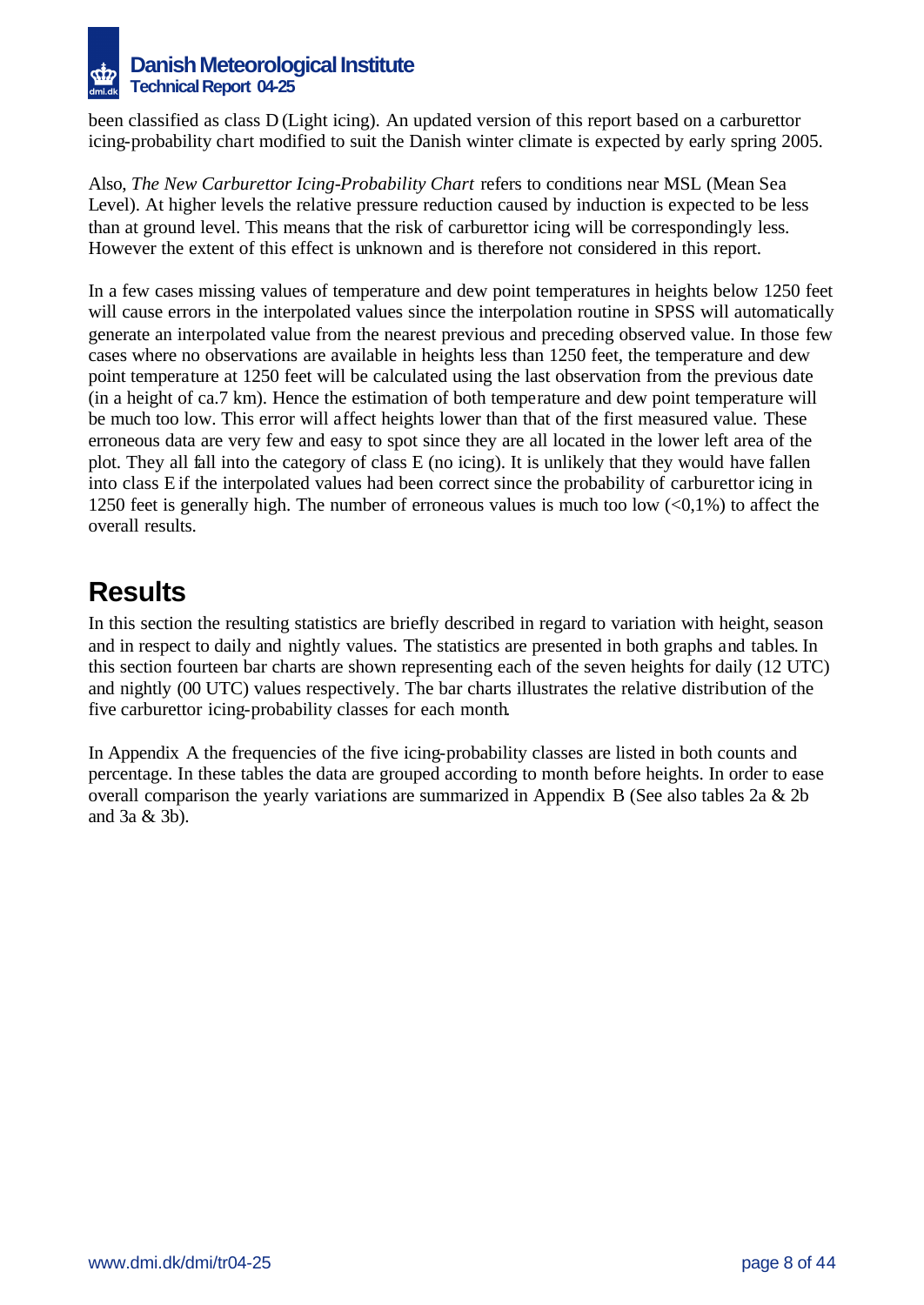

been classified as class D (Light icing). An updated version of this report based on a carburettor icing-probability chart modified to suit the Danish winter climate is expected by early spring 2005.

Also, *The New Carburettor Icing-Probability Chart* refers to conditions near MSL (Mean Sea Level). At higher levels the relative pressure reduction caused by induction is expected to be less than at ground level. This means that the risk of carburettor icing will be correspondingly less. However the extent of this effect is unknown and is therefore not considered in this report.

In a few cases missing values of temperature and dew point temperatures in heights below 1250 feet will cause errors in the interpolated values since the interpolation routine in SPSS will automatically generate an interpolated value from the nearest previous and preceding observed value. In those few cases where no observations are available in heights less than 1250 feet, the temperature and dew point temperature at 1250 feet will be calculated using the last observation from the previous date (in a height of ca.7 km). Hence the estimation of both temperature and dew point temperature will be much too low. This error will affect heights lower than that of the first measured value. These erroneous data are very few and easy to spot since they are all located in the lower left area of the plot. They all fall into the category of class E (no icing). It is unlikely that they would have fallen into class E if the interpolated values had been correct since the probability of carburettor icing in 1250 feet is generally high. The number of erroneous values is much too low  $\langle 0,1\% \rangle$  to affect the overall results.

# **Results**

In this section the resulting statistics are briefly described in regard to variation with height, season and in respect to daily and nightly values. The statistics are presented in both graphs and tables. In this section fourteen bar charts are shown representing each of the seven heights for daily (12 UTC) and nightly (00 UTC) values respectively. The bar charts illustrates the relative distribution of the five carburettor icing-probability classes for each month.

In Appendix A the frequencies of the five icing-probability classes are listed in both counts and percentage. In these tables the data are grouped according to month before heights. In order to ease overall comparison the yearly variations are summarized in Appendix B (See also tables 2a & 2b and 3a & 3b).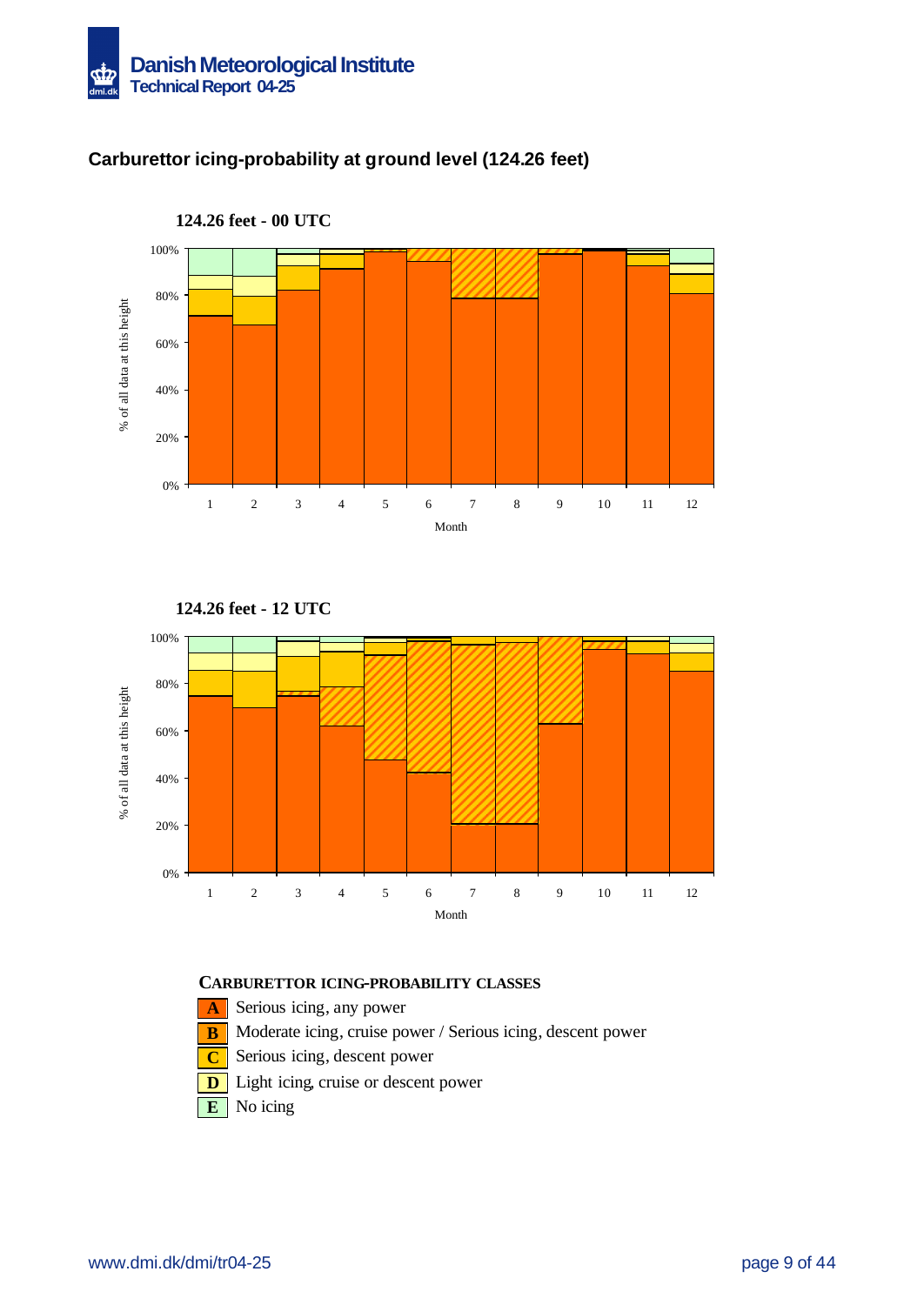

### **Carburettor icing-probability at ground level (124.26 feet)**









- **A** Serious icing, any power
- **B** Moderate icing, cruise power / Serious icing, descent power
- **C** Serious icing, descent power
- **D** Light icing, cruise or descent power
- **E** No icing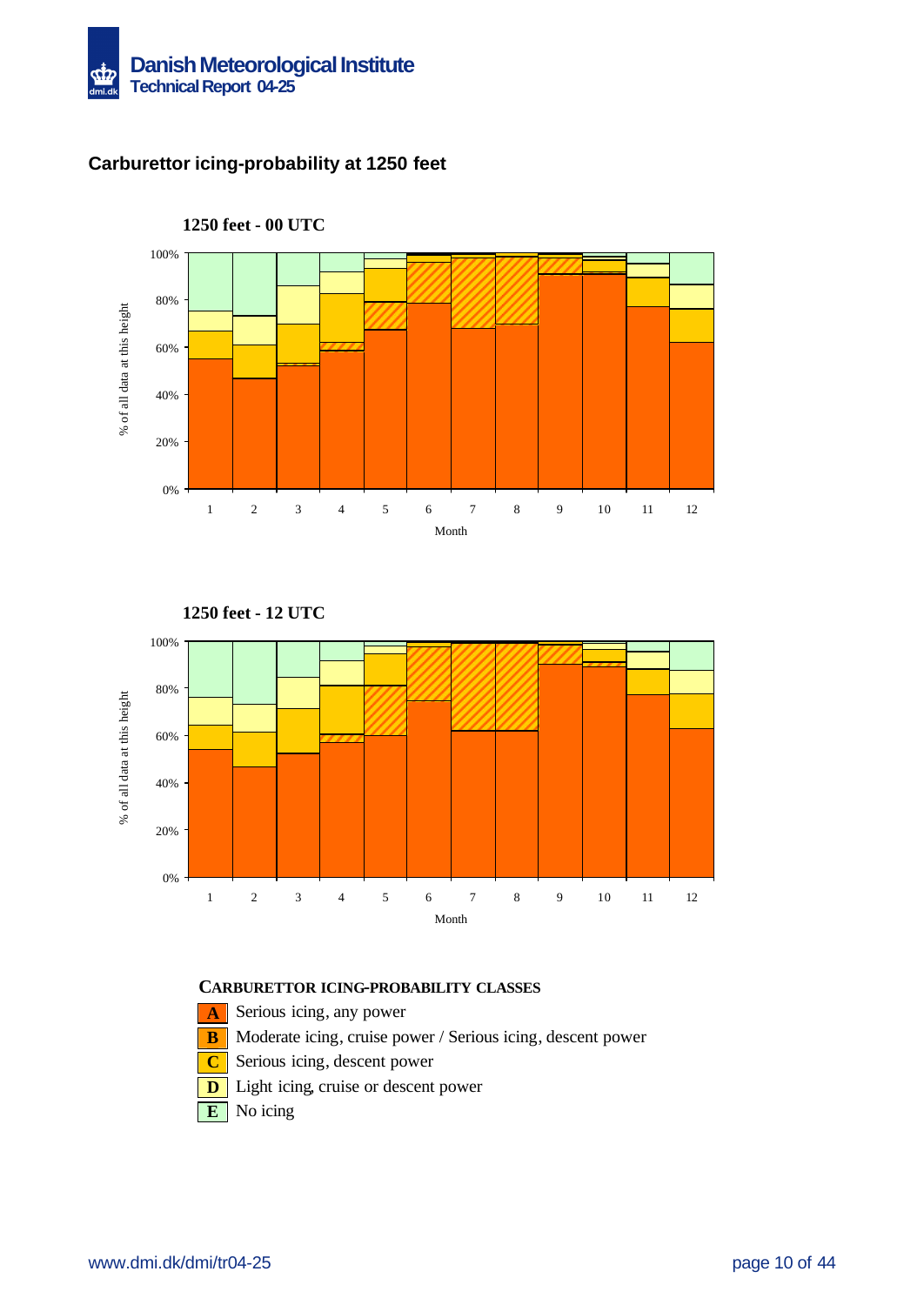

### **Carburettor icing-probability at 1250 feet**







- **A** Serious icing, any power
- **B** Moderate icing, cruise power / Serious icing, descent power
- **C** Serious icing, descent power
- **D** Light icing, cruise or descent power
- **E** No icing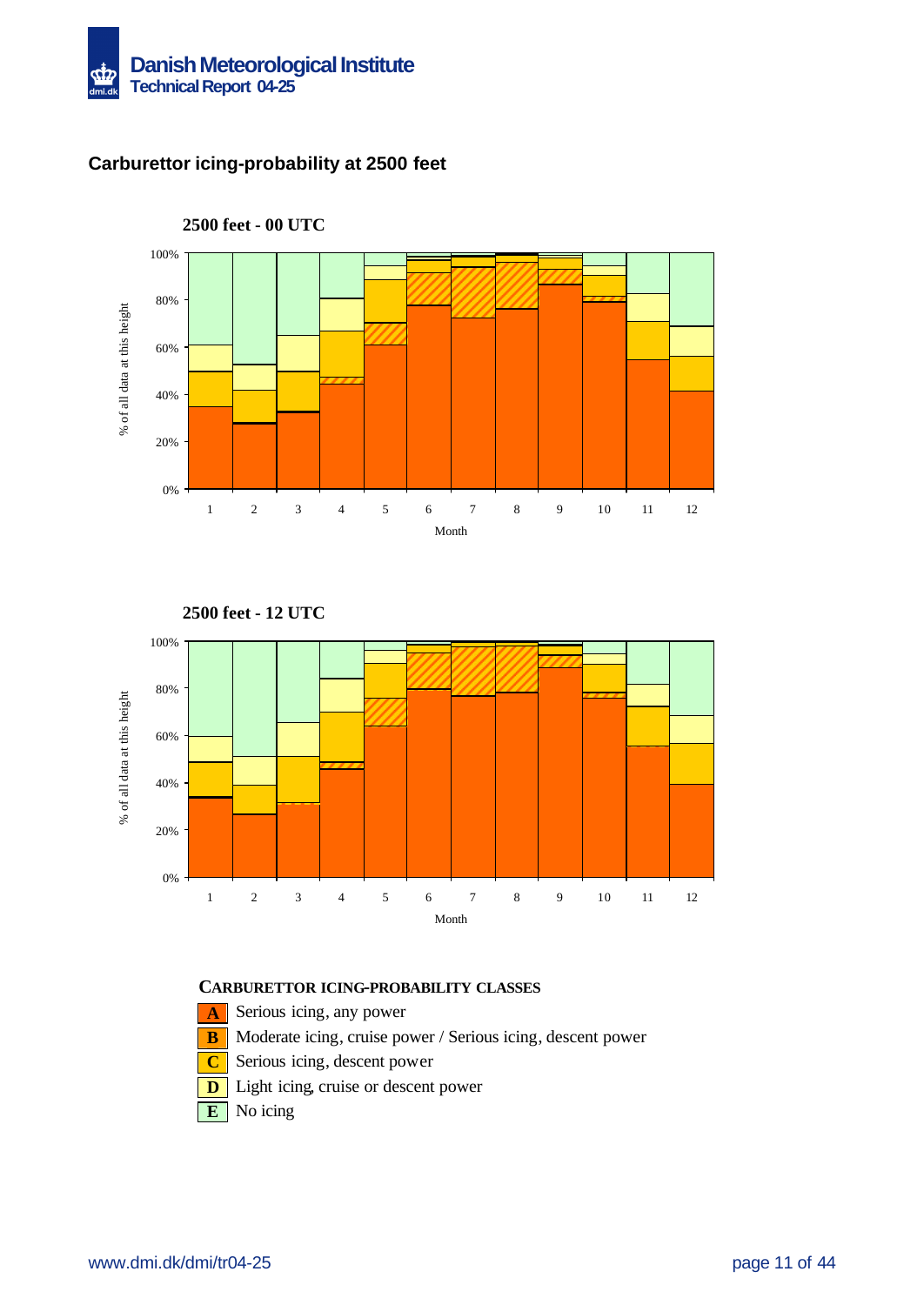

### **Carburettor icing-probability at 2500 feet**







**2500 feet - 12 UTC**

- **A** Serious icing, any power
- **B** Moderate icing, cruise power / Serious icing, descent power
- **C** Serious icing, descent power
- **D** Light icing, cruise or descent power
- **E** No icing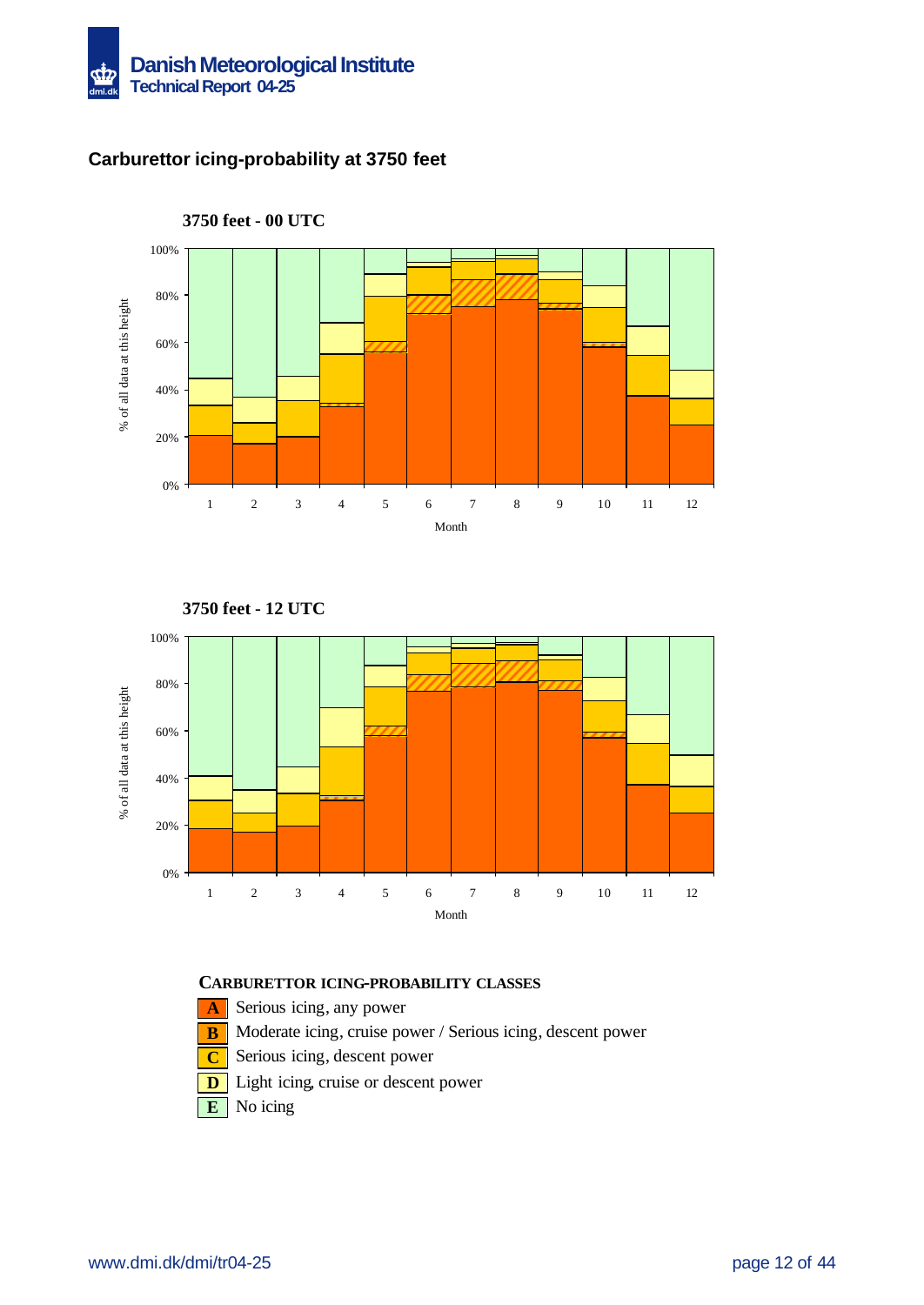

### **Carburettor icing-probability at 3750 feet**



**3750 feet - 00 UTC**





- **A** Serious icing, any power
- **B** Moderate icing, cruise power / Serious icing, descent power
- **C** Serious icing, descent power
- **D** Light icing, cruise or descent power
- **E** No icing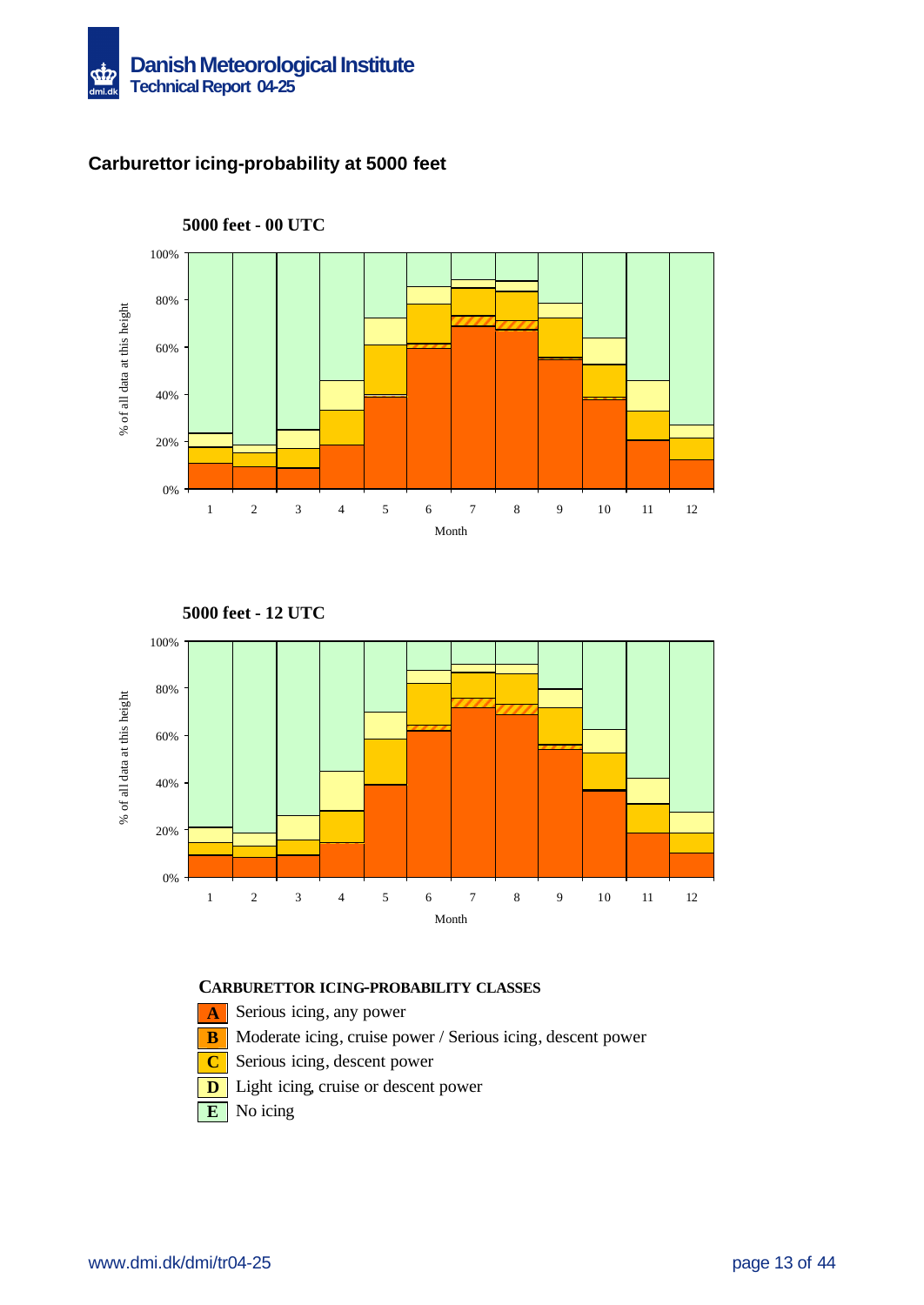

### **Carburettor icing-probability at 5000 feet**



**5000 feet - 12 UTC**



- **A** Serious icing, any power
- **B** Moderate icing, cruise power / Serious icing, descent power
- **C** Serious icing, descent power
- **D** Light icing, cruise or descent power
- **E** No icing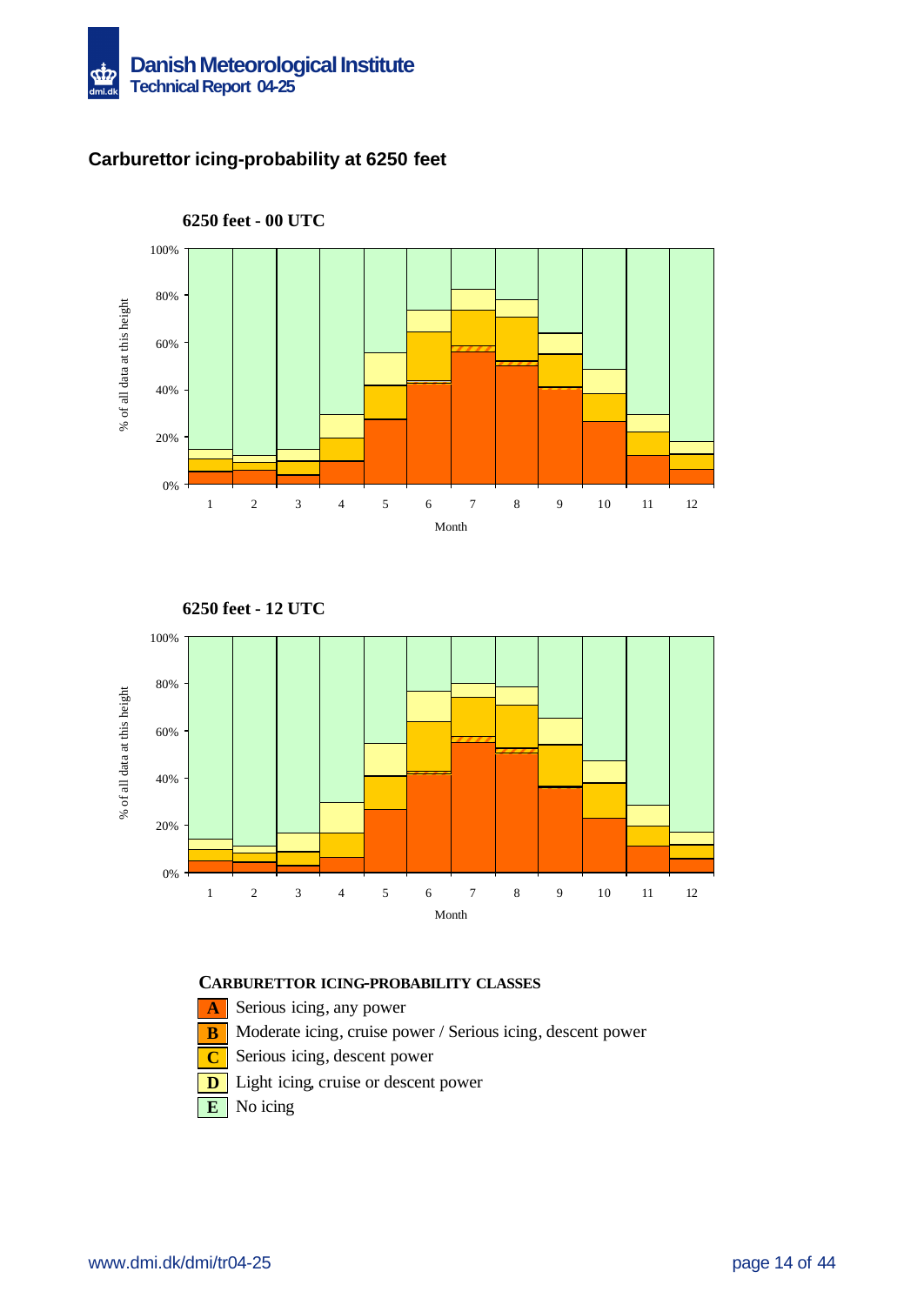

### **Carburettor icing-probability at 6250 feet**



**6250 feet - 00 UTC**





- **A** Serious icing, any power
- **B** Moderate icing, cruise power / Serious icing, descent power
- **C** Serious icing, descent power
- **D** Light icing, cruise or descent power
- **E** No icing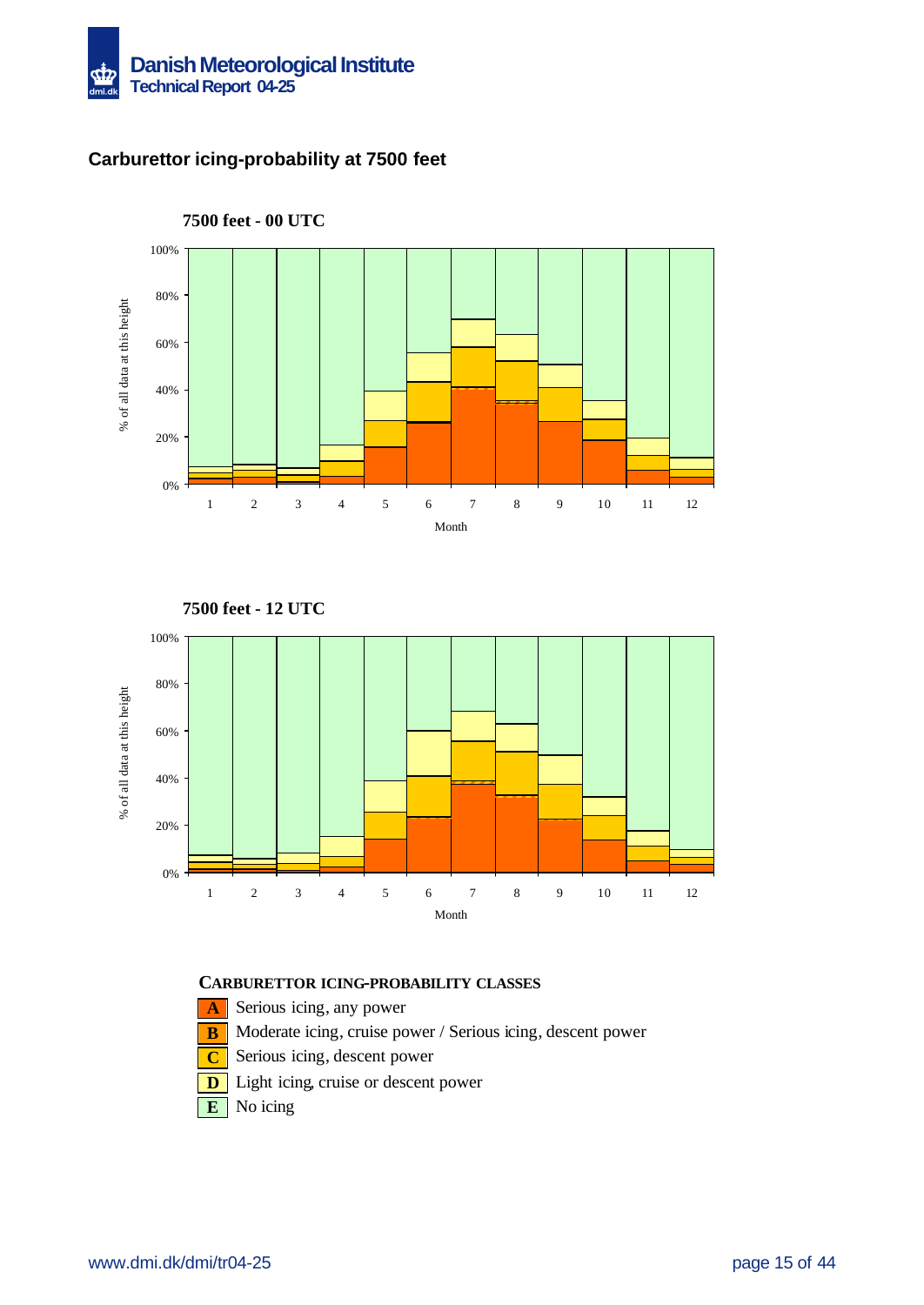

### **Carburettor icing-probability at 7500 feet**



**7500 feet - 00 UTC**





- **A** Serious icing, any power
- **B** Moderate icing, cruise power / Serious icing, descent power
- **C** Serious icing, descent power
- **D** Light icing, cruise or descent power
- **E** No icing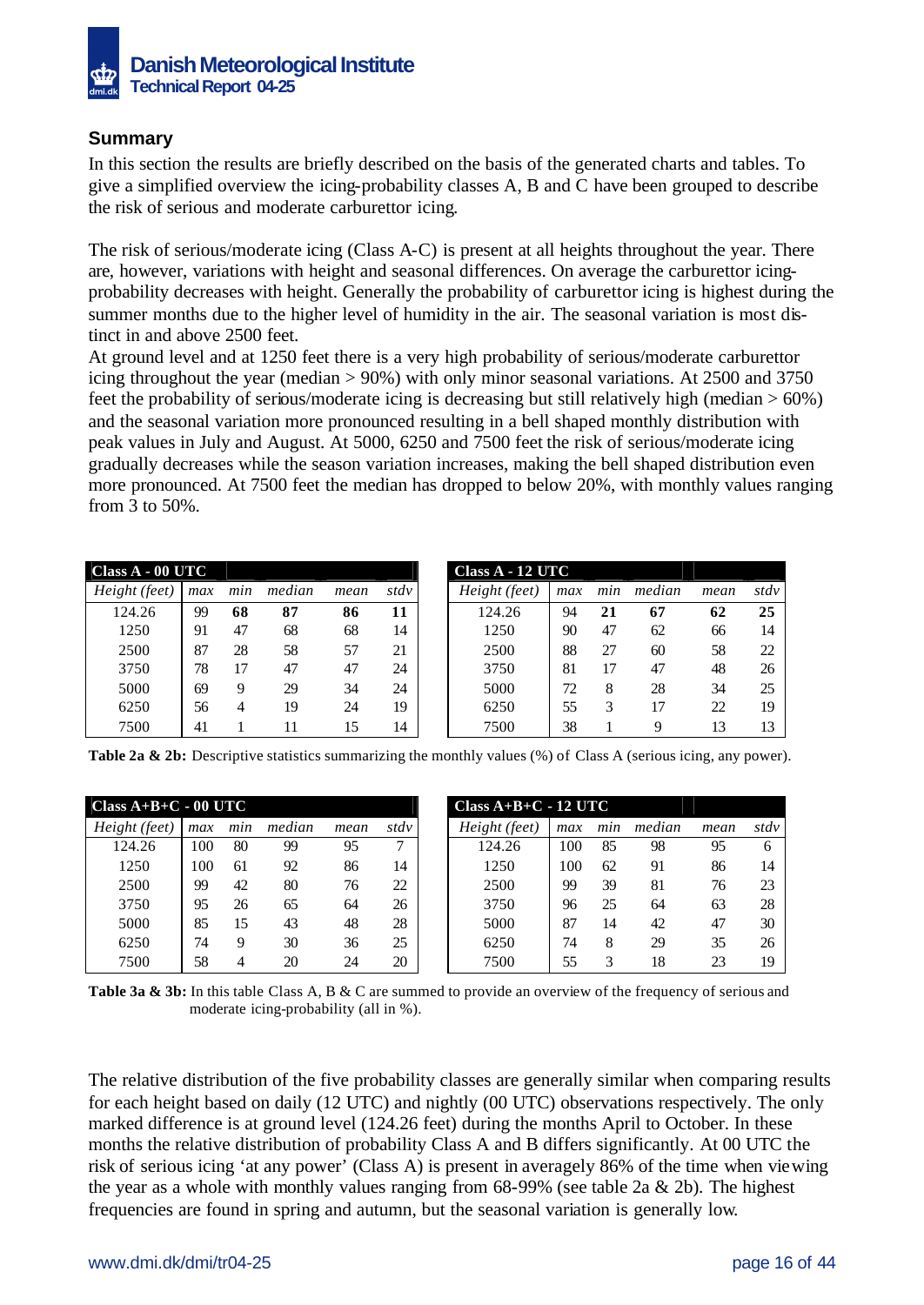

### **Summary**

In this section the results are briefly described on the basis of the generated charts and tables. To give a simplified overview the icing-probability classes A, B and C have been grouped to describe the risk of serious and moderate carburettor icing.

The risk of serious/moderate icing (Class A-C) is present at all heights throughout the year. There are, however, variations with height and seasonal differences. On average the carburettor icingprobability decreases with height. Generally the probability of carburettor icing is highest during the summer months due to the higher level of humidity in the air. The seasonal variation is most distinct in and above 2500 feet.

At ground level and at 1250 feet there is a very high probability of serious/moderate carburettor icing throughout the year (median > 90%) with only minor seasonal variations. At 2500 and 3750 feet the probability of serious/moderate icing is decreasing but still relatively high (median  $> 60\%$ ) and the seasonal variation more pronounced resulting in a bell shaped monthly distribution with peak values in July and August. At 5000, 6250 and 7500 feet the risk of serious/moderate icing gradually decreases while the season variation increases, making the bell shaped distribution even more pronounced. At 7500 feet the median has dropped to below 20%, with monthly values ranging from 3 to 50%.

| Class A - 00 UTC |     |     |        |      |      | Class A - 12 UTC |     |     |        |      |      |
|------------------|-----|-----|--------|------|------|------------------|-----|-----|--------|------|------|
| Height (feet)    | max | min | median | mean | stdv | Height (feet)    | max | min | median | mean | stdv |
| 124.26           | 99  | 68  | 87     | 86   | 11   | 124.26           | 94  | 21  | 67     | 62   | 25   |
| 1250             | 91  | 47  | 68     | 68   | 14   | 1250             | 90  | 47  | 62     | 66   | 14   |
| 2500             | 87  | 28  | 58     | 57   | 21   | 2500             | 88  | 27  | 60     | 58   | 22   |
| 3750             | 78  | 17  | 47     | 47   | 24   | 3750             | 81  | 17  | 47     | 48   | 26   |
| 5000             | 69  | 9   | 29     | 34   | 24   | 5000             | 72  | 8   | 28     | 34   | 25   |
| 6250             | 56  | 4   | 19     | 24   | 19   | 6250             | 55  | 3   | 17     | 22   | 19   |
| 7500             | 41  |     | 11     | 15   | 14   | 7500             | 38  |     | 9      | 13   | 13   |

|             | $\mathrm{uss}\, \mathrm{A}$ - 00 UTC $\mathrm{C}$ |     |        |      |      |  |  |  |
|-------------|---------------------------------------------------|-----|--------|------|------|--|--|--|
| ight (feet) | max                                               | min | median | mean | stdv |  |  |  |
| 124.26      | 99                                                | 68  | 87     | 86   | 11   |  |  |  |
| 1250        | 91                                                | 47  | 68     | 68   | 14   |  |  |  |
| 2500        | 87                                                | 28  | 58     | 57   | 21   |  |  |  |
| 3750        | 78                                                | 17  | 47     | 47   | 24   |  |  |  |
| 5000        | 69                                                | 9   | 29     | 34   | 24   |  |  |  |
| 6250        | 56                                                | 4   | 19     | 24   | 19   |  |  |  |
| 7500        | 41                                                |     |        | 15   | 14   |  |  |  |

**Table 2a & 2b:** Descriptive statistics summarizing the monthly values (%) of Class A (serious icing, any power).

| Class $A+B+C - 00$ UTC |     |     |        |      |      | $Class A+B+C-12 UTC$ |     |     |        |      |      |
|------------------------|-----|-----|--------|------|------|----------------------|-----|-----|--------|------|------|
| Height (feet)          | max | min | median | mean | stdv | Height (feet)        | max | min | median | mean | stdv |
| 124.26                 | 100 | 80  | 99     | 95   | ⇁    | 124.26               | .00 | 85  | 98     | 95   | 6    |
| 1250                   | 100 | 61  | 92     | 86   | 14   | 1250                 | 00  | 62  | 91     | 86   | 14   |
| 2500                   | 99  | 42  | 80     | 76   | 22   | 2500                 | 99  | 39  | 81     | 76   | 23   |
| 3750                   | 95  | 26  | 65     | 64   | 26   | 3750                 | 96  | 25  | 64     | 63   | 28   |
| 5000                   | 85  | 15  | 43     | 48   | 28   | 5000                 | 87  | 14  | 42     | 47   | 30   |
| 6250                   | 74  | 9   | 30     | 36   | 25   | 6250                 | 74  | 8   | 29     | 35   | 26   |
| 7500                   | 58  | 4   | 20     | 24   | 20   | 7500                 | 55  | 3   | 18     | 23   | 19   |

**Table 3a & 3b:** In this table Class A, B & C are summed to provide an overview of the frequency of serious and moderate icing-probability (all in %).

The relative distribution of the five probability classes are generally similar when comparing results for each height based on daily (12 UTC) and nightly (00 UTC) observations respectively. The only marked difference is at ground level (124.26 feet) during the months April to October. In these months the relative distribution of probability Class A and B differs significantly. At 00 UTC the risk of serious icing 'at any power' (Class A) is present in averagely 86% of the time when viewing the year as a whole with monthly values ranging from  $68-99\%$  (see table 2a & 2b). The highest frequencies are found in spring and autumn, but the seasonal variation is generally low.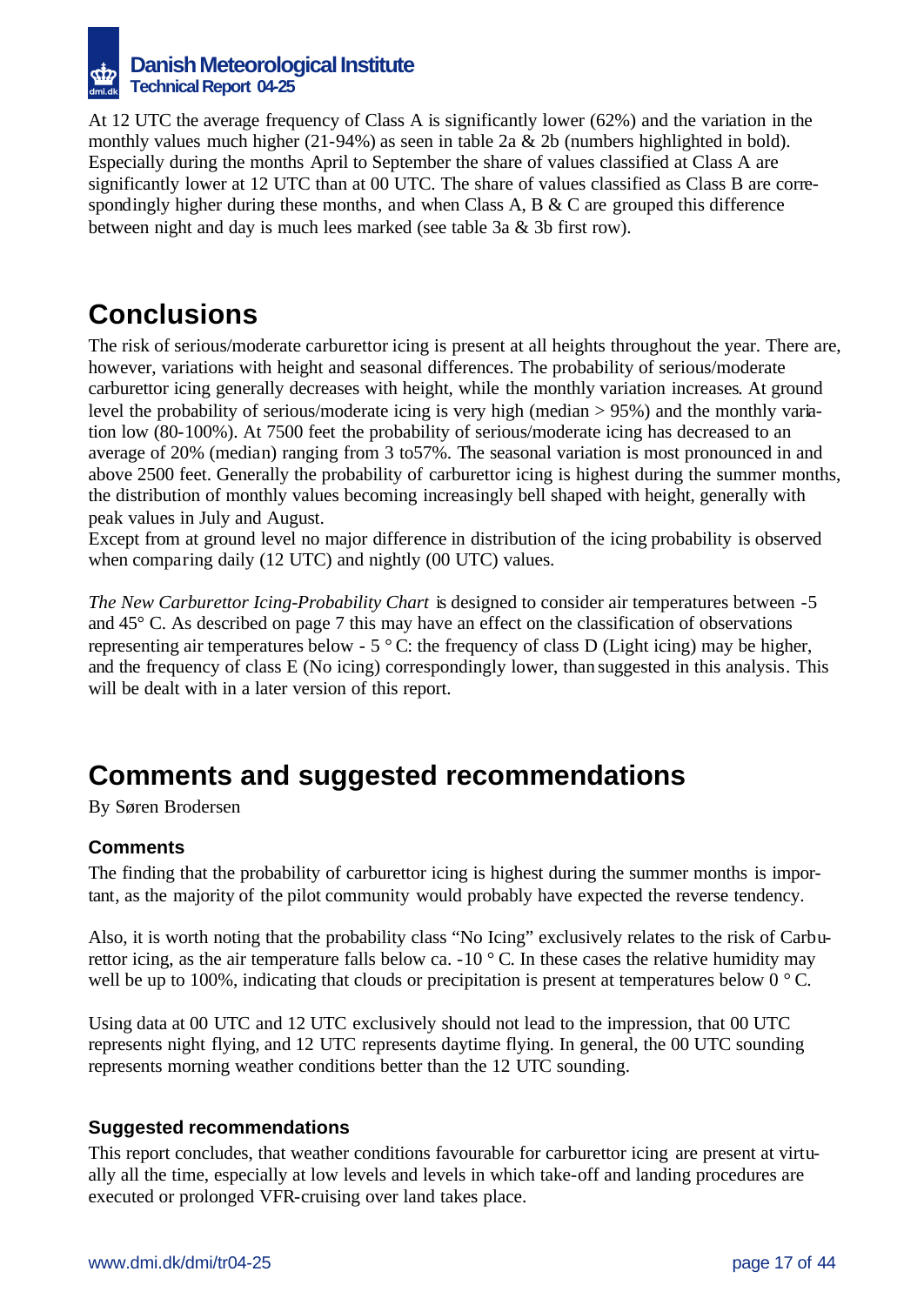

At 12 UTC the average frequency of Class A is significantly lower (62%) and the variation in the monthly values much higher (21-94%) as seen in table 2a & 2b (numbers highlighted in bold). Especially during the months April to September the share of values classified at Class A are significantly lower at 12 UTC than at 00 UTC. The share of values classified as Class B are correspondingly higher during these months, and when Class A, B & C are grouped this difference between night and day is much lees marked (see table 3a & 3b first row).

## **Conclusions**

The risk of serious/moderate carburettor icing is present at all heights throughout the year. There are, however, variations with height and seasonal differences. The probability of serious/moderate carburettor icing generally decreases with height, while the monthly variation increases. At ground level the probability of serious/moderate icing is very high (median > 95%) and the monthly variation low (80-100%). At 7500 feet the probability of serious/moderate icing has decreased to an average of 20% (median) ranging from 3 to57%. The seasonal variation is most pronounced in and above 2500 feet. Generally the probability of carburettor icing is highest during the summer months, the distribution of monthly values becoming increasingly bell shaped with height, generally with peak values in July and August.

Except from at ground level no major difference in distribution of the icing probability is observed when comparing daily (12 UTC) and nightly (00 UTC) values.

*The New Carburettor Icing-Probability Chart* is designed to consider air temperatures between -5 and 45° C. As described on page 7 this may have an effect on the classification of observations representing air temperatures below -  $5^{\circ}$  C: the frequency of class D (Light icing) may be higher, and the frequency of class E (No icing) correspondingly lower, than suggested in this analysis. This will be dealt with in a later version of this report.

## **Comments and suggested recommendations**

By Søren Brodersen

### **Comments**

The finding that the probability of carburettor icing is highest during the summer months is important, as the majority of the pilot community would probably have expected the reverse tendency.

Also, it is worth noting that the probability class "No Icing" exclusively relates to the risk of Carburettor icing, as the air temperature falls below ca.  $-10\degree$  C. In these cases the relative humidity may well be up to 100%, indicating that clouds or precipitation is present at temperatures below  $0^{\circ}$  C.

Using data at 00 UTC and 12 UTC exclusively should not lead to the impression, that 00 UTC represents night flying, and 12 UTC represents daytime flying. In general, the 00 UTC sounding represents morning weather conditions better than the 12 UTC sounding.

#### **Suggested recommendations**

This report concludes, that weather conditions favourable for carburettor icing are present at virtually all the time, especially at low levels and levels in which take-off and landing procedures are executed or prolonged VFR-cruising over land takes place.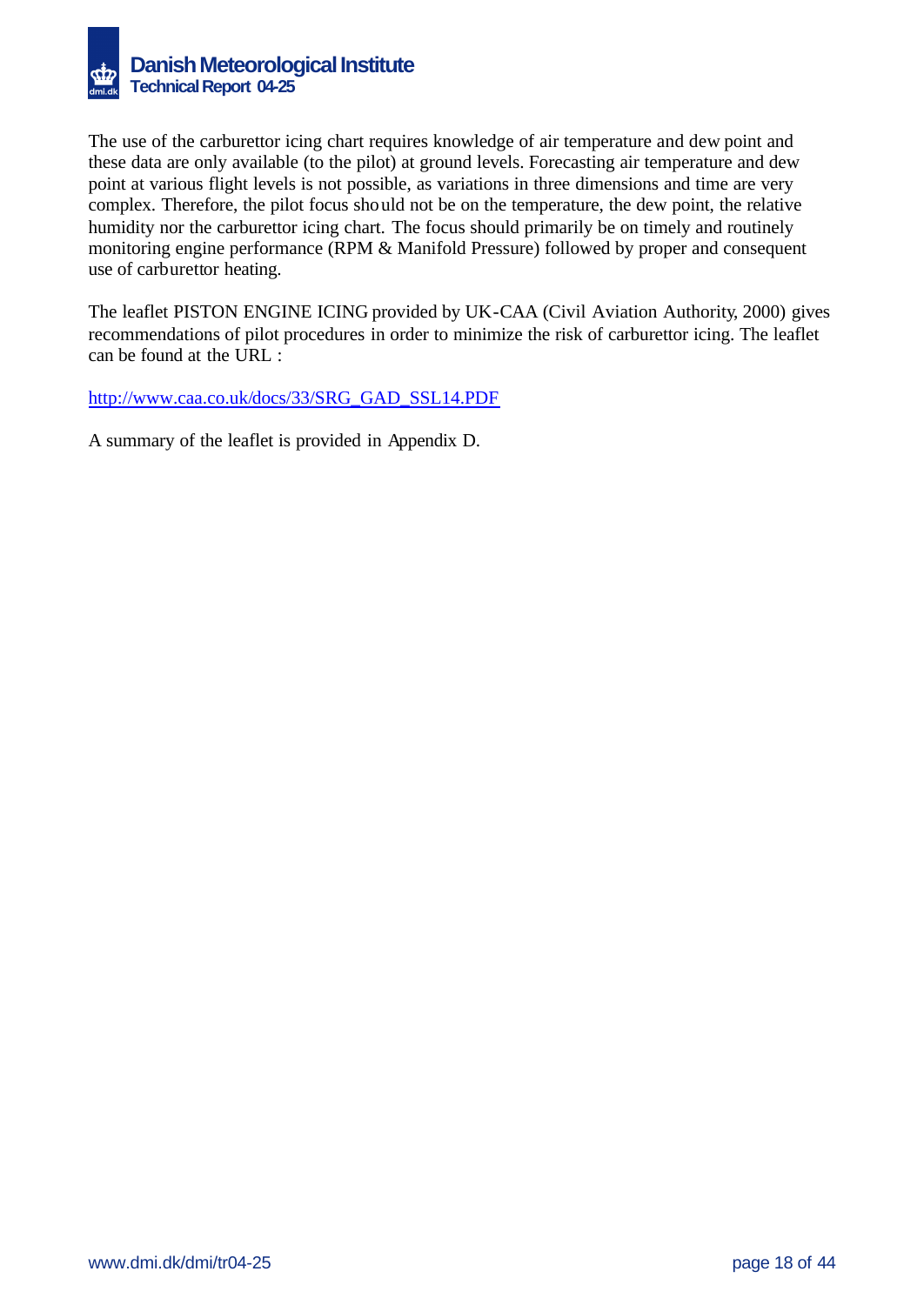

The use of the carburettor icing chart requires knowledge of air temperature and dew point and these data are only available (to the pilot) at ground levels. Forecasting air temperature and dew point at various flight levels is not possible, as variations in three dimensions and time are very complex. Therefore, the pilot focus should not be on the temperature, the dew point, the relative humidity nor the carburettor icing chart. The focus should primarily be on timely and routinely monitoring engine performance (RPM & Manifold Pressure) followed by proper and consequent use of carburettor heating.

The leaflet PISTON ENGINE ICING provided by UK-CAA (Civil Aviation Authority, 2000) gives recommendations of pilot procedures in order to minimize the risk of carburettor icing. The leaflet can be found at the URL :

http://www.caa.co.uk/docs/33/SRG\_GAD\_SSL14.PDF

A summary of the leaflet is provided in Appendix D.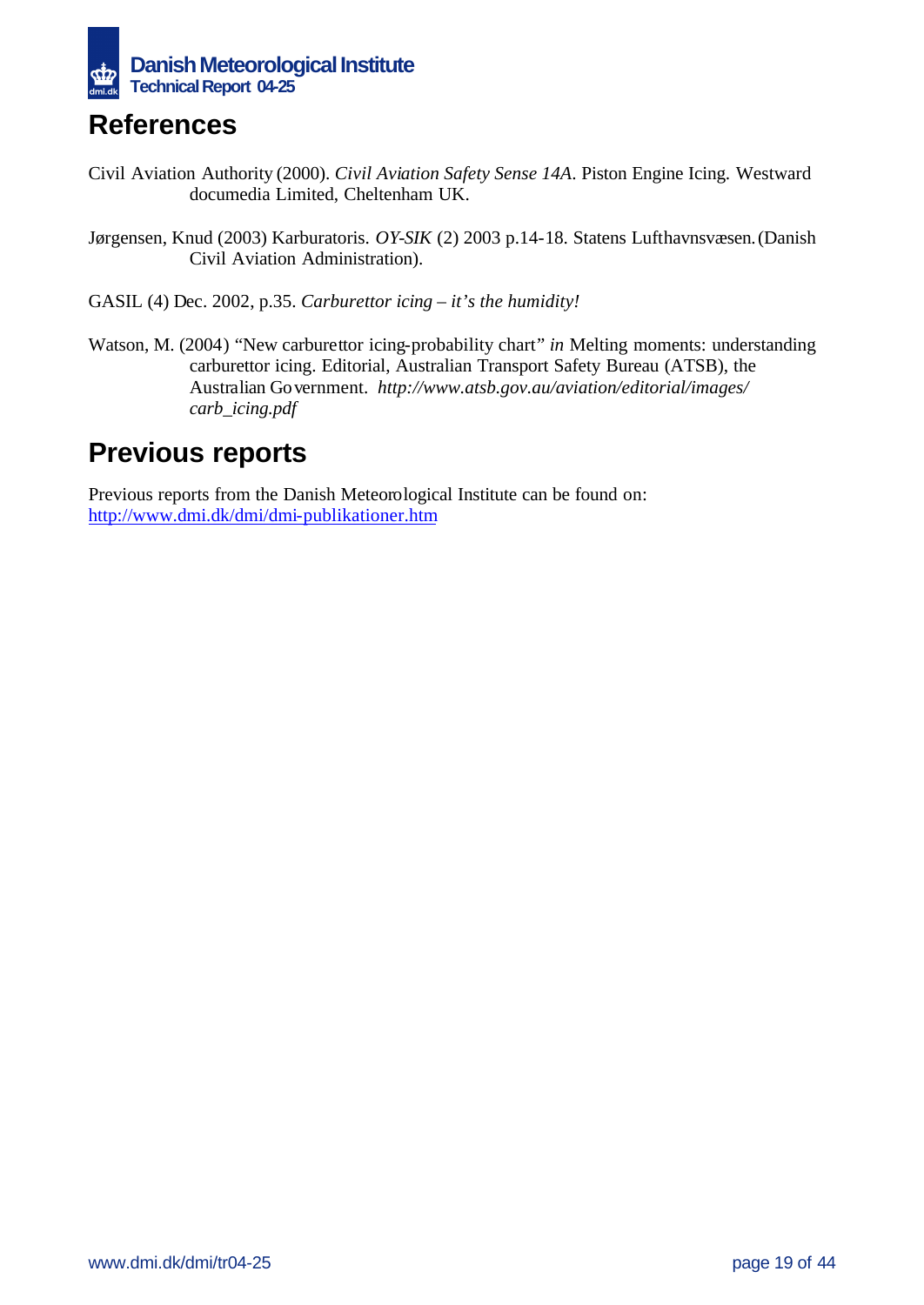

## **References**

- Civil Aviation Authority (2000). *Civil Aviation Safety Sense 14A*. Piston Engine Icing. Westward documedia Limited, Cheltenham UK.
- Jørgensen, Knud (2003) Karburatoris. *OY-SIK* (2) 2003 p.14-18. Statens Lufthavnsvæsen.(Danish Civil Aviation Administration).

GASIL (4) Dec. 2002, p.35. *Carburettor icing – it's the humidity!*

Watson, M. (2004) "New carburettor icing-probability chart*" in* Melting moments: understanding carburettor icing. Editorial, Australian Transport Safety Bureau (ATSB), the Australian Government. *http://www.atsb.gov.au/aviation/editorial/images/ carb\_icing.pdf*

## **Previous reports**

Previous reports from the Danish Meteorological Institute can be found on: http://www.dmi.dk/dmi/dmi-publikationer.htm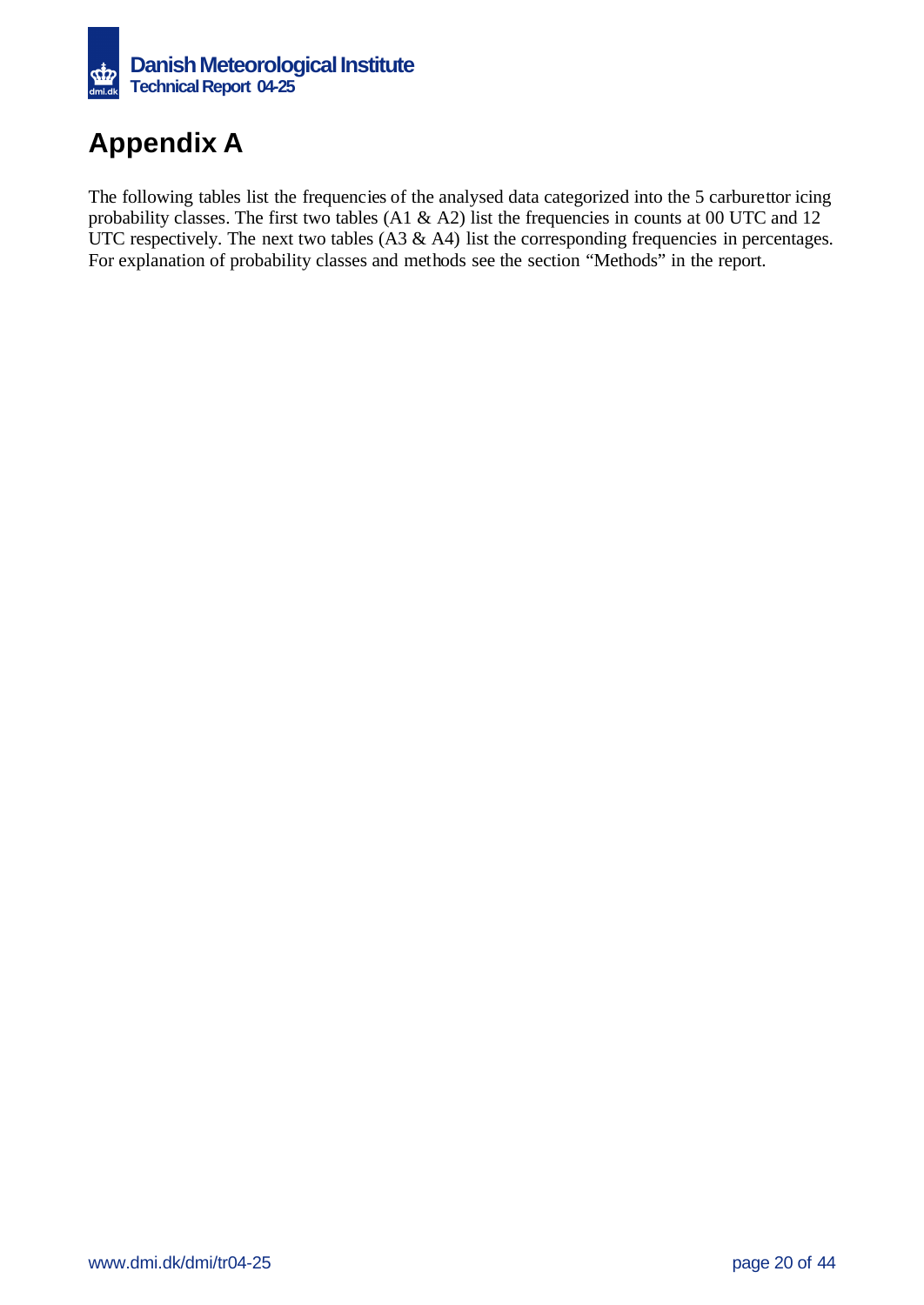

# **Appendix A**

The following tables list the frequencies of the analysed data categorized into the 5 carburettor icing probability classes. The first two tables (A1 & A2) list the frequencies in counts at 00 UTC and 12 UTC respectively. The next two tables  $(A3 \& A4)$  list the corresponding frequencies in percentages. For explanation of probability classes and methods see the section "Methods" in the report.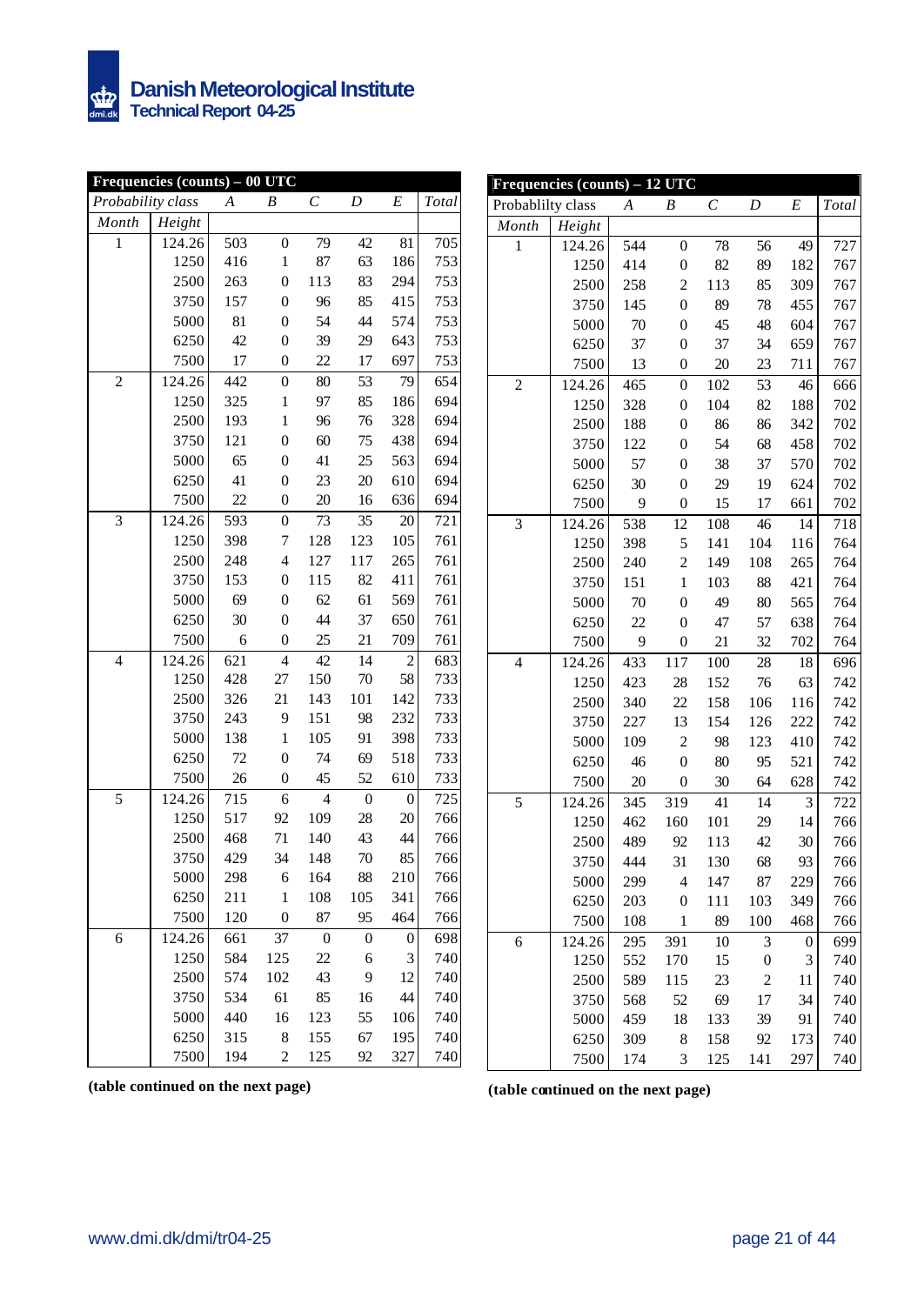

|                   | Frequencies (counts) - 00 UTC |     |                  |                  |                  |                  |       |
|-------------------|-------------------------------|-----|------------------|------------------|------------------|------------------|-------|
| Probability class |                               | A   | B                | $\boldsymbol{C}$ | D                | E                | Total |
| Month             | Height                        |     |                  |                  |                  |                  |       |
| $\mathbf{1}$      | 124.26                        | 503 | $\boldsymbol{0}$ | 79               | 42               | 81               | 705   |
|                   | 1250                          | 416 | $\mathbf{1}$     | 87               | 63               | 186              | 753   |
|                   | 2500                          | 263 | $\boldsymbol{0}$ | 113              | 83               | 294              | 753   |
|                   | 3750                          | 157 | $\boldsymbol{0}$ | 96               | 85               | 415              | 753   |
|                   | 5000                          | 81  | $\boldsymbol{0}$ | 54               | 44               | 574              | 753   |
|                   | 6250                          | 42  | $\boldsymbol{0}$ | 39               | 29               | 643              | 753   |
|                   | 7500                          | 17  | $\boldsymbol{0}$ | 22               | 17               | 697              | 753   |
| $\overline{c}$    | 124.26                        | 442 | $\boldsymbol{0}$ | 80               | 53               | 79               | 654   |
|                   | 1250                          | 325 | $\mathbf{1}$     | 97               | 85               | 186              | 694   |
|                   | 2500                          | 193 | $\mathbf{1}$     | 96               | 76               | 328              | 694   |
|                   | 3750                          | 121 | $\boldsymbol{0}$ | 60               | 75               | 438              | 694   |
|                   | 5000                          | 65  | $\boldsymbol{0}$ | 41               | 25               | 563              | 694   |
|                   | 6250                          | 41  | $\boldsymbol{0}$ | 23               | 20               | 610              | 694   |
|                   | 7500                          | 22  | $\boldsymbol{0}$ | 20               | 16               | 636              | 694   |
| 3                 | 124.26                        | 593 | $\overline{0}$   | 73               | 35               | 20               | 721   |
|                   | 1250                          | 398 | $\overline{7}$   | 128              | 123              | 105              | 761   |
|                   | 2500                          | 248 | $\overline{4}$   | 127              | 117              | 265              | 761   |
|                   | 3750                          | 153 | $\boldsymbol{0}$ | 115              | 82               | 411              | 761   |
|                   | 5000                          | 69  | $\boldsymbol{0}$ | 62               | 61               | 569              | 761   |
|                   | 6250                          | 30  | $\boldsymbol{0}$ | 44               | 37               | 650              | 761   |
|                   | 7500                          | 6   | $\boldsymbol{0}$ | 25               | 21               | 709              | 761   |
| $\overline{4}$    | 124.26                        | 621 | $\overline{4}$   | 42               | 14               | $\overline{c}$   | 683   |
|                   | 1250                          | 428 | 27               | 150              | 70               | 58               | 733   |
|                   | 2500                          | 326 | 21               | 143              | 101              | 142              | 733   |
|                   | 3750                          | 243 | 9                | 151              | 98               | 232              | 733   |
|                   | 5000                          | 138 | $\mathbf{1}$     | 105              | 91               | 398              | 733   |
|                   | 6250                          | 72  | $\boldsymbol{0}$ | 74               | 69               | 518              | 733   |
|                   | 7500                          | 26  | $\boldsymbol{0}$ | 45               | 52               | 610              | 733   |
| 5                 | 124.26                        | 715 | 6                | $\overline{4}$   | $\boldsymbol{0}$ | $\boldsymbol{0}$ | 725   |
|                   | 1250                          | 517 | 92               | 109              | 28               | 20               | 766   |
|                   | 2500                          | 468 | 71               | 140              | 43               | 44               | 766   |
|                   | 3750                          | 429 | 34               | 148              | 70               | 85               | 766   |
|                   | 5000                          | 298 | 6                | 164              | 88               | 210              | 766   |
|                   | 6250                          | 211 | $\mathbf{1}$     | 108              | 105              | 341              | 766   |
|                   | 7500                          | 120 | $\boldsymbol{0}$ | 87               | 95               | 464              | 766   |
| 6                 | 124.26                        | 661 | 37               | $\boldsymbol{0}$ | 0                | $\boldsymbol{0}$ | 698   |
|                   | 1250                          | 584 | 125              | 22               | 6                | 3                | 740   |
|                   | 2500                          | 574 | 102              | 43               | 9                | 12               | 740   |
|                   | 3750                          | 534 | 61               | 85               | 16               | 44               | 740   |
|                   | 5000                          | 440 | 16               | 123              | 55               | 106              | 740   |
|                   | 6250                          | 315 | 8                | 155              | 67               | 195              | 740   |
|                   | 7500                          | 194 | $\overline{c}$   | 125              | 92               | 327              | 740   |

|                          | Frequencies (counts) - 12 UTC |                  |                  |                  |                  |                  |       |
|--------------------------|-------------------------------|------------------|------------------|------------------|------------------|------------------|-------|
| Probablilty class        |                               | $\boldsymbol{A}$ | B                | $\boldsymbol{C}$ | D                | E                | Total |
| Month                    | Height                        |                  |                  |                  |                  |                  |       |
| 1                        | 124.26                        | 544              | $\boldsymbol{0}$ | 78               | 56               | 49               | 727   |
|                          | 1250                          | 414              | $\boldsymbol{0}$ | 82               | 89               | 182              | 767   |
|                          | 2500                          | 258              | $\overline{c}$   | 113              | 85               | 309              | 767   |
|                          | 3750                          | 145              | $\overline{0}$   | 89               | 78               | 455              | 767   |
|                          | 5000                          | 70               | $\boldsymbol{0}$ | 45               | 48               | 604              | 767   |
|                          | 6250                          | 37               | $\boldsymbol{0}$ | 37               | 34               | 659              | 767   |
|                          | 7500                          | 13               | $\boldsymbol{0}$ | 20               | 23               | 711              | 767   |
| $\overline{c}$           | 124.26                        | 465              | $\boldsymbol{0}$ | 102              | 53               | 46               | 666   |
|                          | 1250                          | 328              | $\boldsymbol{0}$ | 104              | 82               | 188              | 702   |
|                          | 2500                          | 188              | $\boldsymbol{0}$ | 86               | 86               | 342              | 702   |
|                          | 3750                          | 122              | $\overline{0}$   | 54               | 68               | 458              | 702   |
|                          | 5000                          | 57               | $\boldsymbol{0}$ | 38               | 37               | 570              | 702   |
|                          | 6250                          | 30               | $\boldsymbol{0}$ | 29               | 19               | 624              | 702   |
|                          | 7500                          | 9                | $\boldsymbol{0}$ | 15               | 17               | 661              | 702   |
| 3                        | 124.26                        | 538              | 12               | 108              | 46               | 14               | 718   |
|                          | 1250                          | 398              | 5                | 141              | 104              | 116              | 764   |
|                          | 2500                          | 240              | $\overline{c}$   | 149              | 108              | 265              | 764   |
|                          | 3750                          | 151              | $\mathbf{1}$     | 103              | 88               | 421              | 764   |
|                          | 5000                          | 70               | $\overline{0}$   | 49               | 80               | 565              | 764   |
|                          | 6250                          | 22               | $\boldsymbol{0}$ | 47               | 57               | 638              | 764   |
|                          | 7500                          | 9                | $\boldsymbol{0}$ | 21               | 32               | 702              | 764   |
| $\overline{\mathcal{L}}$ | 124.26                        | 433              | 117              | 100              | 28               | 18               | 696   |
|                          | 1250                          | 423              | 28               | 152              | 76               | 63               | 742   |
|                          | 2500                          | 340              | 22               | 158              | 106              | 116              | 742   |
|                          | 3750                          | 227              | 13               | 154              | 126              | 222              | 742   |
|                          | 5000                          | 109              | $\overline{c}$   | 98               | 123              | 410              | 742   |
|                          | 6250                          | 46               | $\overline{0}$   | 80               | 95               | 521              | 742   |
|                          | 7500                          | 20               | $\boldsymbol{0}$ | 30               | 64               | 628              | 742   |
| 5                        | 124.26                        | 345              | 319              | 41               | 14               | 3                | 722   |
|                          | 1250                          | 462              | 160              | 101              | 29               | 14               | 766   |
|                          | 2500                          | 489              | 92               | 113              | 42               | 30               | 766   |
|                          | 3750                          | 444              | 31               | 130              | 68               | 93               | 766   |
|                          | 5000                          | 299              | 4                | 147              | 87               | 229              | 766   |
|                          | 6250                          | 203              | $\boldsymbol{0}$ | 111              | 103              | 349              | 766   |
|                          | 7500                          | 108              | $\,1$            | 89               | 100              | 468              | 766   |
| 6                        | 124.26                        | 295              | 391              | 10               | 3                | $\boldsymbol{0}$ | 699   |
|                          | 1250                          | 552              | 170              | 15               | $\boldsymbol{0}$ | 3                | 740   |
|                          | 2500                          | 589              | 115              | 23               | $\overline{c}$   | 11               | 740   |
|                          | 3750                          | 568              | 52               | 69               | 17               | 34               | 740   |
|                          | 5000                          | 459              | 18               | 133              | 39               | 91               | 740   |
|                          | 6250                          | 309              | 8                | 158              | 92               | 173              | 740   |
|                          | 7500                          | 174              | 3                | 125              | 141              | 297              | 740   |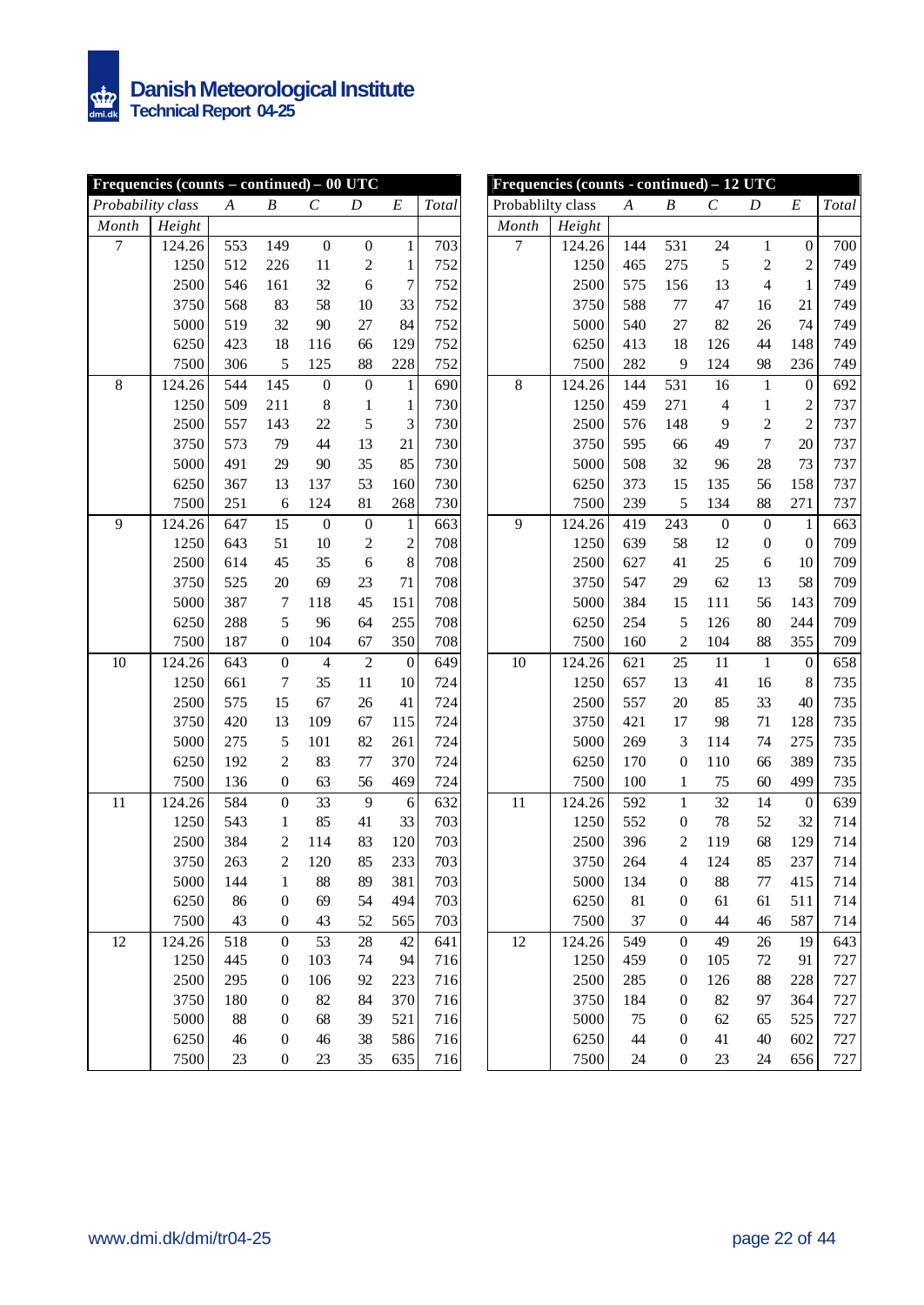|                   | Frequencies (counts $-$ continued) $-00$ UTC |                  |                  |                  |                  |                  |       |                   | Frequencies (counts - continued) - 12 UTC |                  |                  |                  |                  |                  |       |
|-------------------|----------------------------------------------|------------------|------------------|------------------|------------------|------------------|-------|-------------------|-------------------------------------------|------------------|------------------|------------------|------------------|------------------|-------|
| Probability class |                                              | $\boldsymbol{A}$ | B                | $\mathcal C$     | D                | $\cal E$         | Total | Probablilty class |                                           | $\boldsymbol{A}$ | B                | $\mathcal C$     | D                | $\boldsymbol{E}$ | Total |
| Month             | Height                                       |                  |                  |                  |                  |                  |       | Month             | Height                                    |                  |                  |                  |                  |                  |       |
| $\tau$            | 124.26                                       | 553              | 149              | $\mathbf{0}$     | $\boldsymbol{0}$ | $\mathbf{1}$     | 703   | 7                 | 124.26                                    | 144              | 531              | 24               | $\mathbf{1}$     | $\boldsymbol{0}$ | 700   |
|                   | 1250                                         | 512              | 226              | 11               | $\sqrt{2}$       | $\mathbf{1}$     | 752   |                   | 1250                                      | 465              | 275              | 5                | $\overline{c}$   | $\overline{c}$   | 749   |
|                   | 2500                                         | 546              | 161              | 32               | 6                | $\boldsymbol{7}$ | 752   |                   | 2500                                      | 575              | 156              | 13               | 4                | $\mathbf{1}$     | 749   |
|                   | 3750                                         | 568              | 83               | 58               | 10               | 33               | 752   |                   | 3750                                      | 588              | 77               | 47               | 16               | 21               | 749   |
|                   | 5000                                         | 519              | 32               | 90               | 27               | 84               | 752   |                   | 5000                                      | 540              | 27               | 82               | 26               | 74               | 749   |
|                   | 6250                                         | 423              | 18               | 116              | 66               | 129              | 752   |                   | 6250                                      | 413              | 18               | 126              | 44               | 148              | 749   |
|                   | 7500                                         | 306              | 5                | 125              | 88               | 228              | 752   |                   | 7500                                      | 282              | 9                | 124              | 98               | 236              | 749   |
| 8                 | 124.26                                       | 544              | 145              | $\boldsymbol{0}$ | $\boldsymbol{0}$ | $\mathbf{1}$     | 690   | 8                 | 124.26                                    | 144              | 531              | 16               | $\mathbf{1}$     | $\boldsymbol{0}$ | 692   |
|                   | 1250                                         | 509              | 211              | $\,$ 8 $\,$      | $\,1$            | $\mathbf{1}$     | 730   |                   | 1250                                      | 459              | 271              | $\overline{4}$   | $\mathbf{1}$     | $\overline{c}$   | 737   |
|                   | 2500                                         | 557              | 143              | 22               | 5                | 3                | 730   |                   | 2500                                      | 576              | 148              | 9                | $\overline{c}$   | $\overline{c}$   | 737   |
|                   | 3750                                         | 573              | 79               | 44               | 13               | 21               | 730   |                   | 3750                                      | 595              | 66               | 49               | $\overline{7}$   | 20               | 737   |
|                   | 5000                                         | 491              | 29               | 90               | 35               | 85               | 730   |                   | 5000                                      | 508              | 32               | 96               | 28               | 73               | 737   |
|                   | 6250                                         | 367              | 13               | 137              | 53               | 160              | 730   |                   | 6250                                      | 373              | 15               | 135              | 56               | 158              | 737   |
|                   | 7500                                         | 251              | 6                | 124              | 81               | 268              | 730   |                   | 7500                                      | 239              | 5                | 134              | 88               | 271              | 737   |
| 9                 | 124.26                                       | 647              | 15               | $\boldsymbol{0}$ | $\boldsymbol{0}$ | $\mathbf{1}$     | 663   | 9                 | 124.26                                    | 419              | 243              | $\boldsymbol{0}$ | $\boldsymbol{0}$ | $\mathbf{1}$     | 663   |
|                   | 1250                                         | 643              | 51               | 10               | $\sqrt{2}$       | $\overline{c}$   | 708   |                   | 1250                                      | 639              | 58               | 12               | $\boldsymbol{0}$ | $\boldsymbol{0}$ | 709   |
|                   | 2500                                         | 614              | 45               | 35               | 6                | $\,8\,$          | 708   |                   | 2500                                      | 627              | 41               | 25               | 6                | 10               | 709   |
|                   | 3750                                         | 525              | $20\,$           | 69               | 23               | 71               | 708   |                   | 3750                                      | 547              | 29               | 62               | 13               | 58               | 709   |
|                   | 5000                                         | 387              | 7                | 118              | 45               | 151              | 708   |                   | 5000                                      | 384              | 15               | 111              | 56               | 143              | 709   |
|                   | 6250                                         | 288              | 5                | 96               | 64               | 255              | 708   |                   | 6250                                      | 254              | 5                | 126              | 80               | 244              | 709   |
|                   | 7500                                         | 187              | 0                | 104              | 67               | 350              | 708   |                   | 7500                                      | 160              | $\overline{c}$   | 104              | 88               | 355              | 709   |
| 10                | 124.26                                       | 643              | $\boldsymbol{0}$ | 4                | $\overline{2}$   | $\boldsymbol{0}$ | 649   | $10\,$            | 124.26                                    | 621              | 25               | 11               | $\mathbf{1}$     | $\boldsymbol{0}$ | 658   |
|                   | 1250                                         | 661              | 7                | 35               | 11               | 10               | 724   |                   | 1250                                      | 657              | 13               | 41               | 16               | 8                | 735   |
|                   | 2500                                         | 575              | 15               | 67               | 26               | 41               | 724   |                   | 2500                                      | 557              | 20               | 85               | 33               | 40               | 735   |
|                   | 3750                                         | 420              | 13               | 109              | 67               | 115              | 724   |                   | 3750                                      | 421              | 17               | 98               | $71\,$           | 128              | 735   |
|                   | 5000                                         | 275              | 5                | 101              | 82               | 261              | 724   |                   | 5000                                      | 269              | 3                | 114              | $74\,$           | 275              | 735   |
|                   | 6250                                         | 192              | 2                | 83               | 77               | 370              | 724   |                   | 6250                                      | 170              | $\boldsymbol{0}$ | 110              | 66               | 389              | 735   |
|                   | 7500                                         | 136              | $\boldsymbol{0}$ | 63               | 56               | 469              | 724   |                   | 7500                                      | 100              | 1                | 75               | 60               | 499              | 735   |
| 11                | 124.26                                       | 584              | $\boldsymbol{0}$ | 33               | 9                | $\boldsymbol{6}$ | 632   | 11                | 124.26                                    | 592              | $\mathbf{1}$     | 32               | 14               | $\boldsymbol{0}$ | 639   |
|                   | 1250                                         | 543              | $\mathbf{1}$     | 85               | 41               | 33               | 703   |                   | 1250                                      | 552              | $\boldsymbol{0}$ | 78               | 52               | 32               | 714   |
|                   | 2500                                         | 384              | 2                | 114              | 83               | 120              | 703   |                   | 2500                                      | 396              | $\overline{c}$   | 119              | 68               | 129              | 714   |
|                   | 3750                                         | 263              | $\overline{2}$   | 120              | 85               | 233              | 703   |                   | 3750                                      | 264              | 4                | 124              | 85               | 237              | 714   |
|                   | 5000                                         | 144              | 1                | 88               | 89               | 381              | 703   |                   | 5000                                      | 134              | $\boldsymbol{0}$ | 88               | 77               | 415              | 714   |
|                   | 6250                                         | 86               | 0                | 69               | 54               | 494              | 703   |                   | 6250                                      | 81               | $\boldsymbol{0}$ | 61               | 61               | 511              | 714   |
|                   | 7500                                         | 43               | 0                | 43               | 52               | 565              | 703   |                   | 7500                                      | 37               | $\boldsymbol{0}$ | 44               | $46$             | 587              | 714   |
| 12                | 124.26                                       | 518              | $\overline{0}$   | 53               | 28               | 42               | 641   | 12                | 124.26                                    | 549              | $\boldsymbol{0}$ | 49               | 26               | 19               | 643   |
|                   | 1250                                         | 445              | 0                | 103              | 74               | 94               | 716   |                   | 1250                                      | 459              | $\mathbf{0}$     | 105              | 72               | 91               | 727   |
|                   | 2500                                         | 295              | $\theta$         | 106              | 92               | 223              | 716   |                   | 2500                                      | 285              | $\boldsymbol{0}$ | 126              | 88               | 228              | 727   |
|                   | 3750                                         | 180              | $\mathbf{0}$     | 82               | 84               | 370              | 716   |                   | 3750                                      | 184              | $\boldsymbol{0}$ | 82               | 97               | 364              | 727   |
|                   | 5000                                         | 88               | 0                | 68               | 39               | 521              | 716   |                   | 5000                                      | 75               | $\boldsymbol{0}$ | 62               | 65               | 525              | 727   |
|                   | 6250                                         | 46               | $\mathbf{0}$     | 46               | 38               | 586              | 716   |                   | 6250                                      | 44               | $\boldsymbol{0}$ | 41               | $40\,$           | 602              | 727   |
|                   | 7500                                         | 23               | $\boldsymbol{0}$ | 23               | 35               | 635              | 716   |                   | 7500                                      | 24               | $\boldsymbol{0}$ | 23               | 24               | 656              | 727   |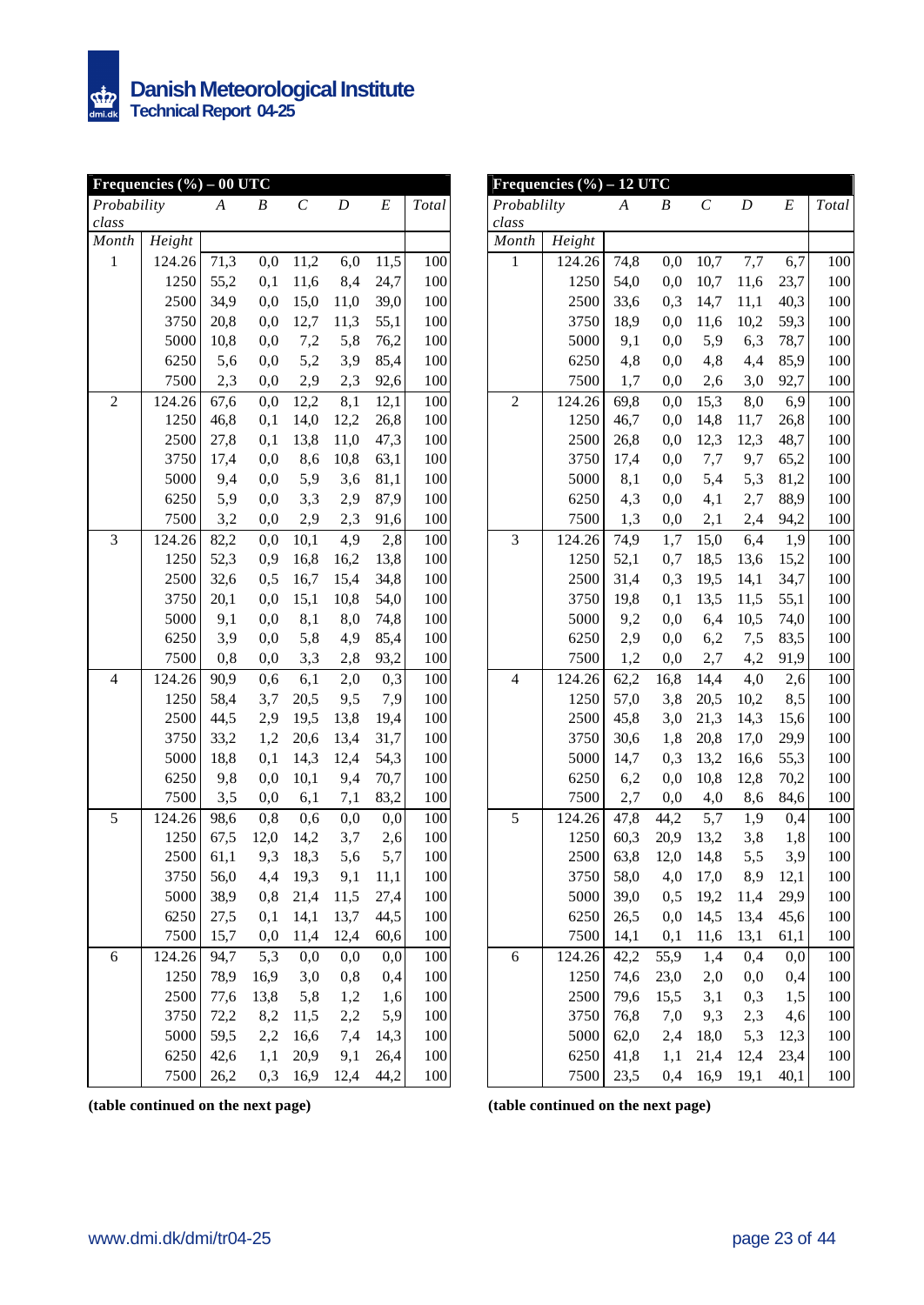

| Frequencies $(\%)-00$ UTC |        |      |          |              |      |          |       |  |  |  |  |
|---------------------------|--------|------|----------|--------------|------|----------|-------|--|--|--|--|
| Probability               |        | A    | B        | $\mathcal C$ | D    | E        | Total |  |  |  |  |
| class                     |        |      |          |              |      |          |       |  |  |  |  |
| Month                     | Height |      |          |              |      |          |       |  |  |  |  |
| $\mathbf{1}$              | 124.26 | 71,3 | 0,0      | 11,2         | 6,0  | 11,5     | 100   |  |  |  |  |
|                           | 1250   | 55,2 | 0,1      | 11,6         | 8,4  | 24,7     | 100   |  |  |  |  |
|                           | 2500   | 34,9 | 0,0      | 15,0         | 11,0 | 39,0     | 100   |  |  |  |  |
|                           | 3750   | 20,8 | 0,0      | 12,7         | 11,3 | 55,1     | 100   |  |  |  |  |
|                           | 5000   | 10,8 | 0,0      | 7,2          | 5,8  | 76,2     | 100   |  |  |  |  |
|                           | 6250   | 5,6  | 0,0      | 5,2          | 3,9  | 85,4     | 100   |  |  |  |  |
|                           | 7500   | 2,3  | $_{0,0}$ | 2,9          | 2,3  | 92,6     | 100   |  |  |  |  |
| $\overline{c}$            | 124.26 | 67,6 | 0,0      | 12,2         | 8,1  | 12,1     | 100   |  |  |  |  |
|                           | 1250   | 46,8 | 0,1      | 14,0         | 12,2 | 26,8     | 100   |  |  |  |  |
|                           | 2500   | 27,8 | 0,1      | 13,8         | 11,0 | 47,3     | 100   |  |  |  |  |
|                           | 3750   | 17,4 | 0,0      | 8,6          | 10,8 | 63,1     | 100   |  |  |  |  |
|                           | 5000   | 9,4  | $_{0,0}$ | 5,9          | 3,6  | 81,1     | 100   |  |  |  |  |
|                           | 6250   | 5,9  | 0,0      | 3,3          | 2,9  | 87,9     | 100   |  |  |  |  |
|                           | 7500   | 3,2  | $_{0,0}$ | 2,9          | 2,3  | 91,6     | 100   |  |  |  |  |
| 3                         | 124.26 | 82,2 | 0,0      | 10,1         | 4,9  | 2,8      | 100   |  |  |  |  |
|                           | 1250   | 52,3 | 0,9      | 16,8         | 16,2 | 13,8     | 100   |  |  |  |  |
|                           | 2500   | 32,6 | 0,5      | 16,7         | 15,4 | 34,8     | 100   |  |  |  |  |
|                           | 3750   | 20,1 | 0,0      | 15,1         | 10,8 | 54,0     | 100   |  |  |  |  |
|                           | 5000   | 9,1  | 0,0      | 8,1          | 8,0  | 74,8     | 100   |  |  |  |  |
|                           | 6250   | 3,9  | 0,0      | 5,8          | 4,9  | 85,4     | 100   |  |  |  |  |
|                           | 7500   | 0,8  | $_{0,0}$ | 3,3          | 2,8  | 93,2     | 100   |  |  |  |  |
| $\overline{4}$            | 124.26 | 90,9 | 0,6      | 6,1          | 2,0  | 0,3      | 100   |  |  |  |  |
|                           | 1250   | 58,4 | 3,7      | 20,5         | 9,5  | 7,9      | 100   |  |  |  |  |
|                           | 2500   | 44,5 | 2,9      | 19,5         | 13,8 | 19,4     | 100   |  |  |  |  |
|                           | 3750   | 33,2 | 1,2      | 20,6         | 13,4 | 31,7     | 100   |  |  |  |  |
|                           | 5000   | 18,8 | 0,1      | 14,3         | 12,4 | 54,3     | 100   |  |  |  |  |
|                           | 6250   | 9,8  | 0,0      | 10,1         | 9,4  | 70,7     | 100   |  |  |  |  |
|                           | 7500   | 3,5  | $_{0,0}$ | 6,1          | 7,1  | 83,2     | 100   |  |  |  |  |
| 5                         | 124.26 | 98,6 | 0,8      | 0,6          | 0,0  | 0,0      | 100   |  |  |  |  |
|                           | 1250   | 67,5 | 12,0     | 14,2         | 3,7  | 2,6      | 100   |  |  |  |  |
|                           | 2500   | 61,1 | 9,3      | 18,3         | 5,6  | 5,7      | 100   |  |  |  |  |
|                           | 3750   | 56,0 | 4,4      | 19,3         | 9,1  | 11,1     | 100   |  |  |  |  |
|                           | 5000   | 38,9 | 0,8      | 21,4         | 11,5 | 27,4     | 100   |  |  |  |  |
|                           | 6250   | 27,5 | 0,1      | 14,1         | 13,7 | 44,5     | 100   |  |  |  |  |
|                           | 7500   | 15,7 | $_{0,0}$ | 11,4         | 12,4 | 60,6     | 100   |  |  |  |  |
| 6                         | 124.26 | 94,7 | 5,3      | 0,0          | 0,0  | $_{0,0}$ | 100   |  |  |  |  |
|                           | 1250   | 78,9 | 16,9     | 3,0          | 0,8  | 0,4      | 100   |  |  |  |  |
|                           | 2500   | 77,6 | 13,8     | 5,8          | 1,2  | 1,6      | 100   |  |  |  |  |
|                           | 3750   | 72,2 | 8,2      | 11,5         | 2,2  | 5,9      | 100   |  |  |  |  |
|                           | 5000   | 59,5 | 2,2      | 16,6         | 7,4  | 14,3     | 100   |  |  |  |  |
|                           | 6250   | 42,6 | 1,1      | 20,9         | 9,1  | 26,4     | 100   |  |  |  |  |
|                           | 7500   | 26,2 | 0,3      | 16,9         | 12,4 | 44,2     | 100   |  |  |  |  |

|                          | Frequencies $(\%)-12$ UTC |      |          |              |          |       |       |
|--------------------------|---------------------------|------|----------|--------------|----------|-------|-------|
| Probablilty              |                           | A    | B        | $\mathcal C$ | D        | E     | Total |
| class                    |                           |      |          |              |          |       |       |
| Month                    | Height                    |      |          |              |          |       |       |
| $\mathbf{1}$             | 124.26                    | 74,8 | 0,0      | 10,7         | 7,7      | 6,7   | 100   |
|                          | 1250                      | 54,0 | 0,0      | 10,7         | 11,6     | 23,7  | 100   |
|                          | 2500                      | 33,6 | 0,3      | 14,7         | 11,1     | 40,3  | 100   |
|                          | 3750                      | 18,9 | $_{0,0}$ | 11,6         | 10,2     | 59,3  | 100   |
|                          | 5000                      | 9,1  | 0,0      | 5,9          | 6,3      | 78,7  | 100   |
|                          | 6250                      | 4,8  | 0,0      | 4,8          | 4,4      | 85,9  | 100   |
|                          | 7500                      | 1,7  | 0,0      | 2,6          | 3,0      | 92,7  | 100   |
| $\overline{c}$           | 124.26                    | 69,8 | 0,0      | 15,3         | 8,0      | 6,9   | 100   |
|                          | 1250                      | 46,7 | 0,0      | 14,8         | 11,7     | 26,8  | 100   |
|                          | 2500                      | 26,8 | 0,0      | 12,3         | 12,3     | 48,7  | 100   |
|                          | 3750                      | 17,4 | 0,0      | 7,7          | 9,7      | 65,2  | 100   |
|                          | 5000                      | 8,1  | 0,0      | 5,4          | 5,3      | 81,2  | 100   |
|                          | 6250                      | 4,3  | 0,0      | 4,1          | 2,7      | 88,9  | 100   |
|                          | 7500                      | 1,3  | $_{0,0}$ | 2,1          | 2,4      | 94,2  | 100   |
| 3                        | 124.26                    | 74,9 | 1,7      | 15,0         | 6,4      | 1,9   | 100   |
|                          | 1250                      | 52,1 | 0,7      | 18,5         | 13,6     | 15,2  | 100   |
|                          | 2500                      | 31,4 | 0,3      | 19,5         | 14,1     | 34,7  | 100   |
|                          | 3750                      | 19,8 | 0,1      | 13,5         | 11,5     | 55,1  | 100   |
|                          | 5000                      | 9,2  | 0,0      | 6,4          | 10,5     | 74,0  | 100   |
|                          | 6250                      | 2,9  | 0,0      | 6,2          | 7,5      | 83,5  | 100   |
|                          | 7500                      | 1,2  | $_{0,0}$ | 2,7          | 4,2      | 91,9  | 100   |
| $\overline{\mathcal{L}}$ | 124.26                    | 62,2 | 16,8     | 14,4         | 4,0      | $2,6$ | 100   |
|                          | 1250                      | 57,0 | 3,8      | 20,5         | 10,2     | 8,5   | 100   |
|                          | 2500                      | 45,8 | 3,0      | 21,3         | 14,3     | 15,6  | 100   |
|                          | 3750                      | 30,6 | 1,8      | 20,8         | 17,0     | 29,9  | 100   |
|                          | 5000                      | 14,7 | 0,3      | 13,2         | 16,6     | 55,3  | 100   |
|                          | 6250                      | 6,2  | 0,0      | 10,8         | 12,8     | 70,2  | 100   |
|                          | 7500                      | 2,7  | 0,0      | 4,0          | 8,6      | 84,6  | 100   |
| 5                        | 124.26                    | 47,8 | 44,2     | 5,7          | 1,9      | 0,4   | 100   |
|                          | 1250                      | 60,3 | 20,9     | 13,2         | 3,8      | 1,8   | 100   |
|                          | 2500                      | 63,8 | 12,0     | 14,8         | 5,5      | 3,9   | 100   |
|                          | 3750                      | 58,0 | 4,0      | 17,0         | 8,9      | 12,1  | 100   |
|                          | 5000                      | 39,0 | 0, 5     | 19,2         | 11,4     | 29,9  | 100   |
|                          | 6250                      | 26,5 | 0,0      | 14,5         | 13,4     | 45,6  | 100   |
|                          | 7500                      | 14,1 | 0,1      | 11,6         | 13,1     | 61,1  | 100   |
| 6                        | 124.26                    | 42,2 | 55,9     | 1,4          | 0,4      | 0,0   | 100   |
|                          | 1250                      | 74,6 | 23,0     | 2,0          | $_{0,0}$ | 0,4   | 100   |
|                          | 2500                      | 79,6 | 15,5     | 3,1          | 0,3      | 1,5   | 100   |
|                          | 3750                      | 76,8 | 7,0      | 9,3          | 2,3      | 4,6   | 100   |
|                          | 5000                      | 62,0 | 2,4      | 18,0         | 5,3      | 12,3  | 100   |
|                          | 6250                      | 41,8 | 1,1      | 21,4         | 12,4     | 23,4  | 100   |
|                          | 7500                      | 23,5 | 0,4      | 16,9         | 19,1     | 40,1  | 100   |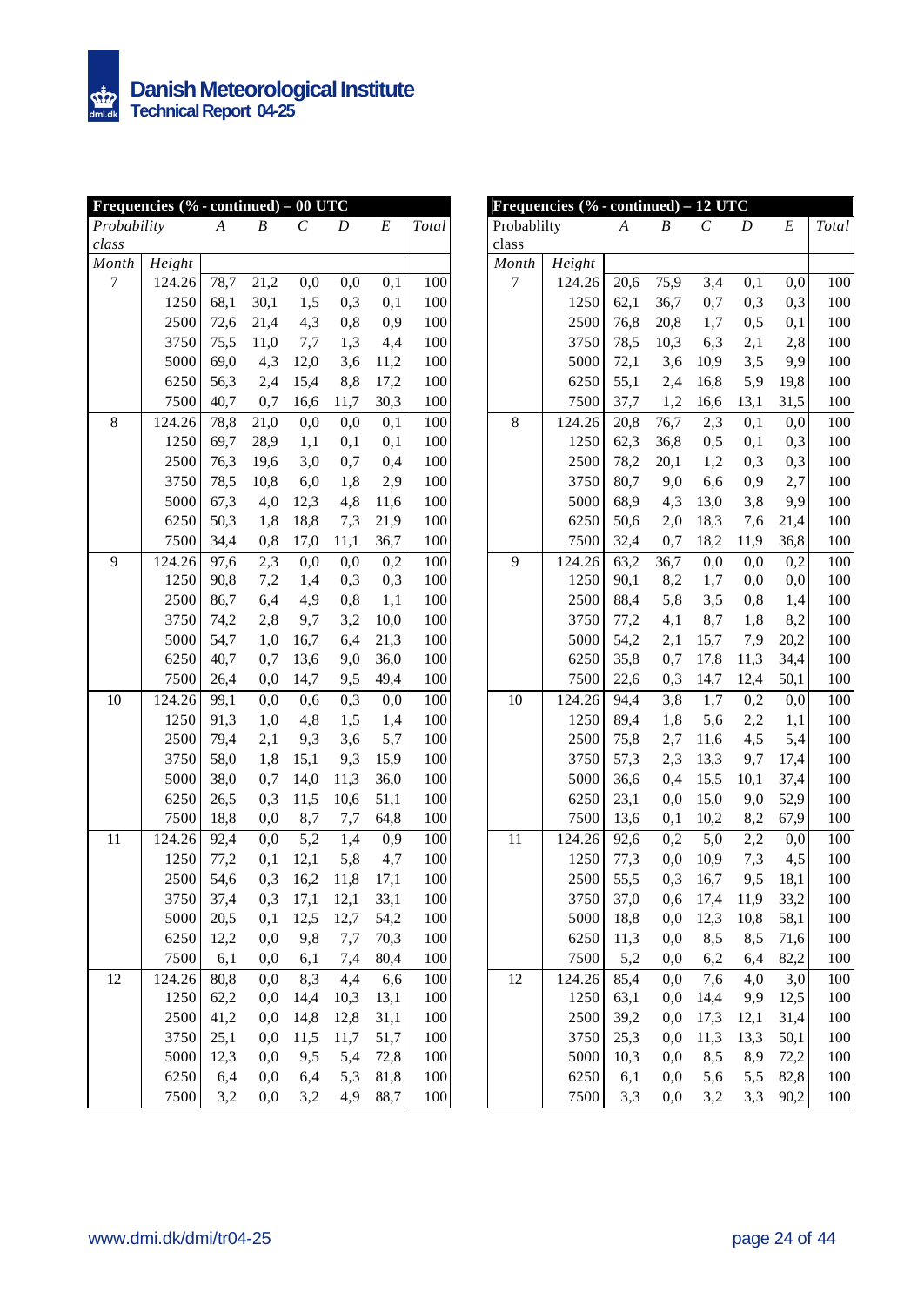|             | Frequencies (% - continued) - 00 UTC |                  |                  |      |      |      |       |
|-------------|--------------------------------------|------------------|------------------|------|------|------|-------|
| Probability |                                      | $\boldsymbol{A}$ | $\boldsymbol{B}$ | C    | D    | E    | Total |
| class       |                                      |                  |                  |      |      |      |       |
| Month       | Height                               |                  |                  |      |      |      |       |
| 7           | 124.26                               | 78,7             | 21,2             | 0,0  | 0,0  | 0,1  | 100   |
|             | 1250                                 | 68,1             | 30,1             | 1,5  | 0,3  | 0,1  | 100   |
|             | 2500                                 | 72,6             | 21,4             | 4,3  | 0,8  | 0,9  | 100   |
|             | 3750                                 | 75,5             | 11,0             | 7,7  | 1,3  | 4,4  | 100   |
|             | 5000                                 | 69,0             | 4,3              | 12,0 | 3,6  | 11,2 | 100   |
|             | 6250                                 | 56,3             | 2,4              | 15,4 | 8,8  | 17,2 | 100   |
|             | 7500                                 | 40,7             | 0,7              | 16,6 | 11,7 | 30,3 | 100   |
| 8           | 124.26                               | 78,8             | 21,0             | 0,0  | 0,0  | 0,1  | 100   |
|             | 1250                                 | 69,7             | 28,9             | 1,1  | 0,1  | 0,1  | 100   |
|             | 2500                                 | 76,3             | 19,6             | 3,0  | 0,7  | 0,4  | 100   |
|             | 3750                                 | 78,5             | 10,8             | 6,0  | 1,8  | 2,9  | 100   |
|             | 5000                                 | 67,3             | 4,0              | 12,3 | 4,8  | 11,6 | 100   |
|             | 6250                                 | 50,3             | 1,8              | 18,8 | 7,3  | 21,9 | 100   |
|             | 7500                                 | 34,4             | 0,8              | 17,0 | 11,1 | 36,7 | 100   |
| 9           | 124.26                               | 97,6             | 2,3              | 0,0  | 0,0  | 0,2  | 100   |
|             | 1250                                 | 90,8             | 7,2              | 1,4  | 0,3  | 0,3  | 100   |
|             | 2500                                 | 86,7             | 6,4              | 4,9  | 0,8  | 1,1  | 100   |
|             | 3750                                 | 74,2             | 2,8              | 9,7  | 3,2  | 10,0 | 100   |
|             | 5000                                 | 54,7             | 1,0              | 16,7 | 6,4  | 21,3 | 100   |
|             | 6250                                 | 40,7             | 0,7              | 13,6 | 9,0  | 36,0 | 100   |
|             | 7500                                 | 26,4             | 0,0              | 14,7 | 9,5  | 49,4 | 100   |
| 10          | 124.26                               | 99,1             | 0,0              | 0,6  | 0,3  | 0,0  | 100   |
|             | 1250                                 | 91,3             | 1,0              | 4,8  | 1,5  | 1,4  | 100   |
|             | 2500                                 | 79,4             | 2,1              | 9,3  | 3,6  | 5,7  | 100   |
|             | 3750                                 | 58,0             | 1,8              | 15,1 | 9,3  | 15,9 | 100   |
|             | 5000                                 | 38,0             | 0,7              | 14,0 | 11,3 | 36,0 | 100   |
|             | 6250                                 | 26,5             | 0,3              | 11,5 | 10,6 | 51,1 | 100   |
|             | 7500                                 | 18,8             | 0,0              | 8,7  | 7,7  | 64,8 | 100   |
| 11          | 124.26                               | 92,4             | 0,0              | 5,2  | 1,4  | 0,9  | 100   |
|             | 1250                                 | 77,2             | 0,1              | 12,1 | 5,8  | 4,7  | 100   |
|             | 2500                                 | 54,6             | 0,3              | 16,2 | 11,8 | 17,1 | 100   |
|             | 3750                                 | 37,4             | 0,3              | 17,1 | 12,1 | 33,1 | 100   |
|             | 5000                                 | 20,5             | 0,1              | 12,5 | 12,7 | 54,2 | 100   |
|             | 6250                                 | 12,2             | $_{0,0}$         | 9,8  | 7,7  | 70,3 | 100   |
|             | 7500                                 | 6,1              | $_{0,0}$         | 6,1  | 7,4  | 80,4 | 100   |
| 12          | 124.26                               | 80,8             | $_{0,0}$         | 8,3  | 4,4  | 6,6  | 100   |
|             | 1250                                 | 62,2             | $_{0,0}$         | 14,4 | 10,3 | 13,1 | 100   |
|             | 2500                                 | 41,2             | 0,0              | 14,8 | 12,8 | 31,1 | 100   |
|             | 3750                                 | 25,1             | 0,0              | 11,5 | 11,7 | 51,7 | 100   |
|             | 5000                                 | 12,3             | 0,0              | 9,5  | 5,4  | 72,8 | 100   |
|             | 6250                                 | 6,4              | 0,0              | 6,4  | 5,3  | 81,8 | 100   |
|             | 7500                                 | 3,2              | $_{0,0}$         | 3,2  | 4,9  | 88,7 | 100   |

| Frequencies $(% \mathcal{O}_{0} \cdot \text{continued}) - 12$ UTC |        |      |          |      |      |         |       |  |  |  |  |
|-------------------------------------------------------------------|--------|------|----------|------|------|---------|-------|--|--|--|--|
| Probablilty                                                       |        | A    | B        | C    | D    | E       | Total |  |  |  |  |
| class                                                             |        |      |          |      |      |         |       |  |  |  |  |
| Month                                                             | Height |      |          |      |      |         |       |  |  |  |  |
| 7                                                                 | 124.26 | 20,6 | 75,9     | 3,4  | 0,1  | 0,0     | 100   |  |  |  |  |
|                                                                   | 1250   | 62,1 | 36,7     | 0,7  | 0,3  | 0,3     | 100   |  |  |  |  |
|                                                                   | 2500   | 76,8 | 20,8     | 1,7  | 0,5  | 0,1     | 100   |  |  |  |  |
|                                                                   | 3750   | 78,5 | 10,3     | 6,3  | 2,1  | 2,8     | 100   |  |  |  |  |
|                                                                   | 5000   | 72,1 | 3,6      | 10,9 | 3,5  | 9,9     | 100   |  |  |  |  |
|                                                                   | 6250   | 55,1 | 2,4      | 16,8 | 5,9  | 19,8    | 100   |  |  |  |  |
|                                                                   | 7500   | 37,7 | 1,2      | 16,6 | 13,1 | 31,5    | 100   |  |  |  |  |
| 8                                                                 | 124.26 | 20,8 | 76,7     | 2,3  | 0,1  | 0,0     | 100   |  |  |  |  |
|                                                                   | 1250   | 62,3 | 36,8     | 0,5  | 0,1  | 0,3     | 100   |  |  |  |  |
|                                                                   | 2500   | 78,2 | 20,1     | 1,2  | 0,3  | 0,3     | 100   |  |  |  |  |
|                                                                   | 3750   | 80,7 | 9,0      | 6,6  | 0,9  | $2,\!7$ | 100   |  |  |  |  |
|                                                                   | 5000   | 68,9 | 4,3      | 13,0 | 3,8  | 9,9     | 100   |  |  |  |  |
|                                                                   | 6250   | 50,6 | 2,0      | 18,3 | 7,6  | 21,4    | 100   |  |  |  |  |
|                                                                   | 7500   | 32,4 | 0,7      | 18,2 | 11,9 | 36,8    | 100   |  |  |  |  |
| 9                                                                 | 124.26 | 63,2 | 36,7     | 0,0  | 0,0  | 0,2     | 100   |  |  |  |  |
|                                                                   | 1250   | 90,1 | 8,2      | 1,7  | 0,0  | 0,0     | 100   |  |  |  |  |
|                                                                   | 2500   | 88,4 | 5,8      | 3,5  | 0,8  | 1,4     | 100   |  |  |  |  |
|                                                                   | 3750   | 77,2 | 4,1      | 8,7  | 1,8  | 8,2     | 100   |  |  |  |  |
|                                                                   | 5000   | 54,2 | 2,1      | 15,7 | 7,9  | 20,2    | 100   |  |  |  |  |
|                                                                   | 6250   | 35,8 | 0,7      | 17,8 | 11,3 | 34,4    | 100   |  |  |  |  |
|                                                                   | 7500   | 22,6 | 0,3      | 14,7 | 12,4 | 50,1    | 100   |  |  |  |  |
| 10                                                                | 124.26 | 94,4 | 3,8      | 1,7  | 0,2  | 0,0     | 100   |  |  |  |  |
|                                                                   | 1250   | 89,4 | 1,8      | 5,6  | 2,2  | 1,1     | 100   |  |  |  |  |
|                                                                   | 2500   | 75,8 | 2,7      | 11,6 | 4,5  | 5,4     | 100   |  |  |  |  |
|                                                                   | 3750   | 57,3 | 2,3      | 13,3 | 9,7  | 17,4    | 100   |  |  |  |  |
|                                                                   | 5000   | 36,6 | 0,4      | 15,5 | 10,1 | 37,4    | 100   |  |  |  |  |
|                                                                   | 6250   | 23,1 | 0,0      | 15,0 | 9,0  | 52,9    | 100   |  |  |  |  |
|                                                                   | 7500   | 13,6 | 0,1      | 10,2 | 8,2  | 67,9    | 100   |  |  |  |  |
| 11                                                                | 124.26 | 92,6 | 0,2      | 5,0  | 2,2  | 0,0     | 100   |  |  |  |  |
|                                                                   | 1250   | 77,3 | 0,0      | 10,9 | 7,3  | 4,5     | 100   |  |  |  |  |
|                                                                   | 2500   | 55,5 | 0,3      | 16,7 | 9,5  | 18,1    | 100   |  |  |  |  |
|                                                                   | 3750   | 37,0 | 0,6      | 17,4 | 11,9 | 33,2    | 100   |  |  |  |  |
|                                                                   | 5000   | 18,8 | $_{0,0}$ | 12,3 | 10,8 | 58,1    | 100   |  |  |  |  |
|                                                                   | 6250   | 11,3 | $_{0,0}$ | 8,5  | 8,5  | 71,6    | 100   |  |  |  |  |
|                                                                   | 7500   | 5,2  | $_{0,0}$ | 6,2  | 6,4  | 82,2    | 100   |  |  |  |  |
| 12                                                                | 124.26 | 85,4 | 0,0      | 7,6  | 4,0  | 3,0     | 100   |  |  |  |  |
|                                                                   | 1250   | 63,1 | 0,0      | 14,4 | 9,9  | 12,5    | 100   |  |  |  |  |
|                                                                   | 2500   | 39,2 | 0,0      | 17,3 | 12,1 | 31,4    | 100   |  |  |  |  |
|                                                                   | 3750   | 25,3 | 0,0      | 11,3 | 13,3 | 50,1    | 100   |  |  |  |  |
|                                                                   | 5000   | 10,3 | 0,0      | 8,5  | 8,9  | 72,2    | 100   |  |  |  |  |
|                                                                   | 6250   | 6,1  | 0,0      | 5,6  | 5,5  | 82,8    | 100   |  |  |  |  |
|                                                                   | 7500   | 3,3  | $_{0,0}$ | 3,2  | 3,3  | 90,2    | 100   |  |  |  |  |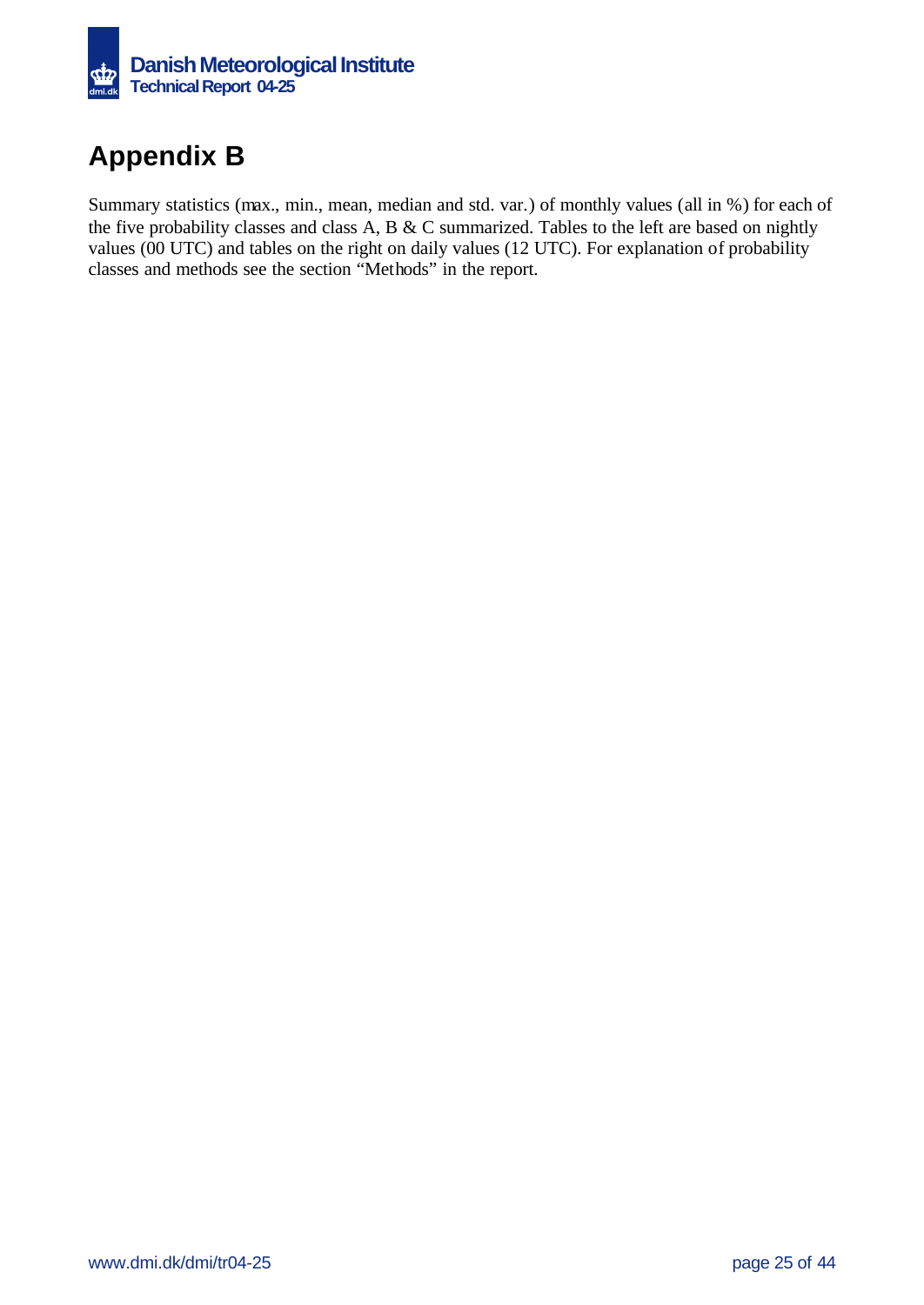

# **Appendix B**

Summary statistics (max., min., mean, median and std. var.) of monthly values (all in %) for each of the five probability classes and class A, B & C summarized. Tables to the left are based on nightly values (00 UTC) and tables on the right on daily values (12 UTC). For explanation of probability classes and methods see the section "Methods" in the report.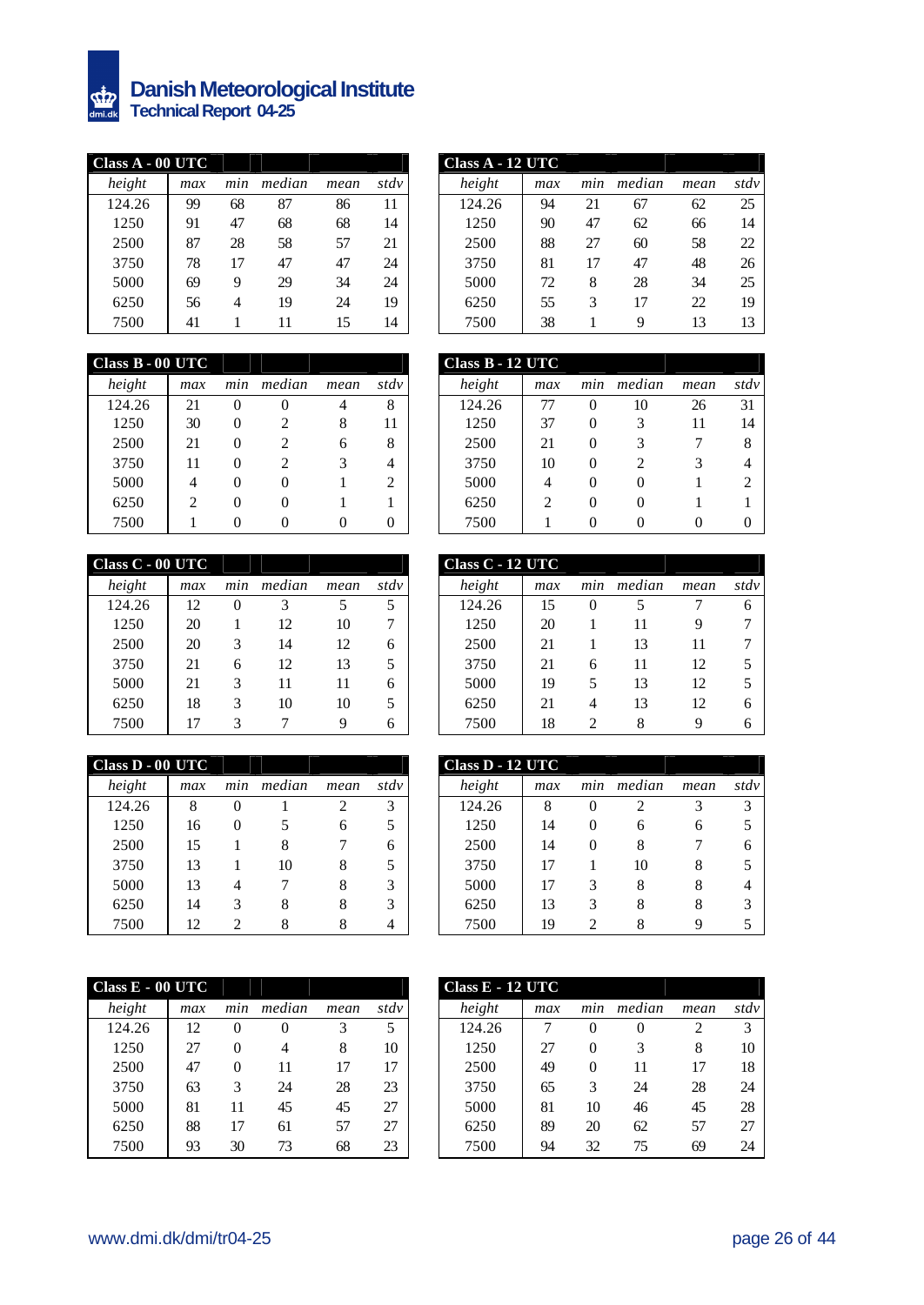

### **Danish Meteorological Institute Technical Report 04-25**

| Class A - 00 UTC |     |     |        |      |      | Class A - 12 UTC |     |
|------------------|-----|-----|--------|------|------|------------------|-----|
| height           | max | min | median | mean | stdy | height           | max |
| 124.26           | 99  | 68  | 87     | 86   | 11   | 124.26           | 94  |
| 1250             | 91  | 47  | 68     | 68   | 14   | 1250             | 90  |
| 2500             | 87  | 28  | 58     | 57   | 21   | 2500             | 88  |
| 3750             | 78  | 17  | 47     | 47   | 24   | 3750             | 81  |
| 5000             | 69  | 9   | 29     | 34   | 24   | 5000             | 72  |
| 6250             | 56  | 4   | 19     | 24   | 19   | 6250             | 55  |
| 7500             | 41  |     | 11     | 15   | 14   | 7500             | 38  |

| $\overline{\text{ass }A - 00 \text{ UTC}}$ |     |     |        |      |      | Class A - 12 UTC |     |     |        |      |      |
|--------------------------------------------|-----|-----|--------|------|------|------------------|-----|-----|--------|------|------|
| height                                     | max | mın | median | mean | stdy | height           | max | mın | median | mean | stdv |
| 124.26                                     | 99  | 68  | 87     | 86   | 11   | 124.26           | 94  | 21  | 67     | 62   | 25   |
| 1250                                       | 91  | 47  | 68     | 68   | 14   | 1250             | 90  | 47  | 62     | 66   | 14   |
| 2500                                       | 87  | 28  | 58     | 57   | 21   | 2500             | 88  | 27  | 60     | 58   | 22   |
| 3750                                       | 78  | 17  | 47     | 47   | 24   | 3750             | 81  | 17  | 47     | 48   | 26   |
| 5000                                       | 69  | 9   | 29     | 34   | 24   | 5000             | 72  | 8   | 28     | 34   | 25   |
| 6250                                       | 56  | 4   | 19     | 24   | 19   | 6250             | 55  | 3   | 17     | 22   | 19   |
| 7500                                       | 41  |     |        | 15   | 14   | 7500             | 38  |     | Q      | 13   | 13   |

| Class B - 00 UTC |     |          |                             |      |      | Class B - 12 UTC |                             |
|------------------|-----|----------|-----------------------------|------|------|------------------|-----------------------------|
| height           | max | min      | median                      | mean | stdv | height           | max                         |
| 124.26           | 21  | $\theta$ | 0                           | 4    | 8    | 124.26           | 77                          |
| 1250             | 30  | 0        | $\mathcal{D}_{\mathcal{L}}$ | 8    | 11   | 1250             | 37                          |
| 2500             | 21  | 0        | $\mathcal{D}_{\mathcal{A}}$ | 6    | 8    | 2500             | 21                          |
| 3750             | 11  | 0        | $\mathcal{D}_{\mathcal{A}}$ | 3    | 4    | 3750             | 10                          |
| 5000             | 4   | 0        |                             |      | 2    | 5000             |                             |
| 6250             | 2   | 0        |                             |      |      | 6250             | $\mathcal{D}_{\mathcal{A}}$ |
| 7500             |     |          |                             |      | 0    | 7500             |                             |

| Class C - 00 UTC |     |          |        |      |      | Class C - 12 UTC |     |
|------------------|-----|----------|--------|------|------|------------------|-----|
| height           | max | min      | median | mean | stdv | height           | max |
| 124.26           | 12  | $\Omega$ | 3      | 5    | 5    | 124.26           | 15  |
| 1250             | 20  |          | 12     | 10   | 7    | 1250             | 20  |
| 2500             | 20  | 3        | 14     | 12   | 6    | 2500             | 21  |
| 3750             | 21  | 6        | 12     | 13   | 5    | 3750             | 21  |
| 5000             | 21  | 3        | 11     | 11   | 6    | 5000             | 19  |
| 6250             | 18  | 3        | 10     | 10   | 5    | 6250             | 21  |
| 7500             | 17  | 3        |        | 9    | 6    | 7500             | 18  |
|                  |     |          |        |      |      |                  |     |

| Class D - 00 UTC |     |                |        |                |      | Class D - 12 UTC |     |
|------------------|-----|----------------|--------|----------------|------|------------------|-----|
| height           | max | min            | median | mean           | stdv | height           | max |
| 124.26           | 8   | 0              |        | $\overline{c}$ | 3    | 124.26           | 8   |
| 1250             | 16  | 0              | 5      | 6              | 5    | 1250             | 14  |
| 2500             | 15  |                | 8      |                | 6    | 2500             | 14  |
| 3750             | 13  |                | 10     | 8              | 5    | 3750             | 17  |
| 5000             | 13  | 4              |        | 8              | 3    | 5000             | 17  |
| 6250             | 14  | 3              | 8      | 8              | 3    | 6250             | 13  |
| 7500             | 12. | $\mathfrak{D}$ | 8      |                | 4    | 7500             | 19  |

| $Class E - 00 UTC$ |     |          |        |      |      | Class E - 12 UTC |     |
|--------------------|-----|----------|--------|------|------|------------------|-----|
| height             | max | min      | median | mean | stdy | height           | max |
| 124.26             | 12. | $\Omega$ | 0      | 3    | 5    | 124.26           |     |
| 1250               | 27  | 0        | 4      | 8    | 10   | 1250             | 27  |
| 2500               | 47  | $\Omega$ | 11     | 17   | 17   | 2500             | 49  |
| 3750               | 63  | 3        | 24     | 28   | 23   | 3750             | 65  |
| 5000               | 81  | 11       | 45     | 45   | 27   | 5000             | 81  |
| 6250               | 88  | 17       | 61     | 57   | 27   | 6250             | 89  |
| 7500               | 93  | 30       | 73     | 68   | 23   | 7500             | 94  |

| $\sqrt{\text{lass B}}$ - 00 UTC |     |     |                |      |      |
|---------------------------------|-----|-----|----------------|------|------|
| height                          | max | min | median         | mean | stdv |
| 124.26                          | 21  | 0   | 0              | 4    | 8    |
| 1250                            | 30  | 0   | 2              | 8    | 11   |
| 2500                            | 21  | 0   | $\mathfrak{D}$ | 6    | 8    |
| 3750                            | 11  | 0   | 2              |      | 4    |
| 5000                            | 4   | 0   | 0              |      | 2    |
| 6250                            | ↑   | 0   | 0              |      |      |
| 7500                            |     | 0   | 0              |      | 0    |

| $\overline{\text{lass C}}$ - 00 UTC |     |     |        |      |      | Class C - 12 UTC |     |          |        |      |      |
|-------------------------------------|-----|-----|--------|------|------|------------------|-----|----------|--------|------|------|
| height                              | max | mın | median | mean | stdv | height           | max | mın      | median | mean | stdy |
| 124.26                              | 12  | 0   |        | 5    | 5    | 124.26           | 15  | $\theta$ |        |      | 6    |
| 1250                                | 20  |     | 12     | 10   |      | 1250             | 20  |          | 11     |      | ⇁    |
| 2500                                | 20  | 3   | 14     | 12   | 6    | 2500             | 21  |          | 13     |      | ⇁    |
| 3750                                | 21  | 6   | 12     | 13   | 5    | 3750             | 21  | 6        | 11     | 12   |      |
| 5000                                | 21  | 3   | 11     | 11   | 6    | 5000             | 19  |          | 13     | 12   |      |
| 6250                                | 18  | 3   | 10     | 10   | 5    | 6250             | 21  | 4        | 13     | 12   | 6    |
| 7500                                | 17  | 3   |        | 9    | 6    | 7500             | 18  |          | 8      | О    | 6    |

| $\overline{\text{lass D} \cdot 00 \text{ UTC}}$ |     |          |        |      |      | Class D - 12 UTC |     |     |        |      |      |
|-------------------------------------------------|-----|----------|--------|------|------|------------------|-----|-----|--------|------|------|
| height                                          | max | min      | median | mean | stdv | height           | max | min | median | mean | stdy |
| 124.26                                          | 8   | 0        |        | ↑    | 3    | 124.26           | 8   | O   | ി      |      | 3    |
| 1250                                            | 16  | $\theta$ |        | h    |      | 1250             | 14  | O   | 6      | h    |      |
| 2500                                            | 15  |          | 8      |      | 6    | 2500             | 14  |     | 8      |      | h    |
| 3750                                            | 13  |          | 10     | 8    | 5    | 3750             | 17  |     | 10     |      |      |
| 5000                                            | 13  | 4        |        | 8    | 3    | 5000             | 17  |     | 8      |      | 4    |
| 6250                                            | 14  | 3        | 8      | 8    | 3    | 6250             | 13  |     | 8      |      |      |
| 7500                                            | 12  | ↑        |        | Χ    | 4    | 7500             | 19  |     |        |      |      |

| $\overline{\text{ass }E - 00 \text{ UTC}}$ |     |          |        |      |      |
|--------------------------------------------|-----|----------|--------|------|------|
| height                                     | max | mın      | median | mean | stdv |
| 124.26                                     | 12  | $\theta$ | 0      | 3    | 5    |
| 1250                                       | 27  | 0        | 4      | 8    | 10   |
| 2500                                       | 47  | 0        | 11     | 17   | 17   |
| 3750                                       | 63  | 3        | 24     | 28   | 23   |
| 5000                                       | 81  | 11       | 45     | 45   | 27   |
| 6250                                       | 88  | 17       | 61     | 57   | 27   |
| 7500                                       | 93  | 30       | 73     | 68   | 23   |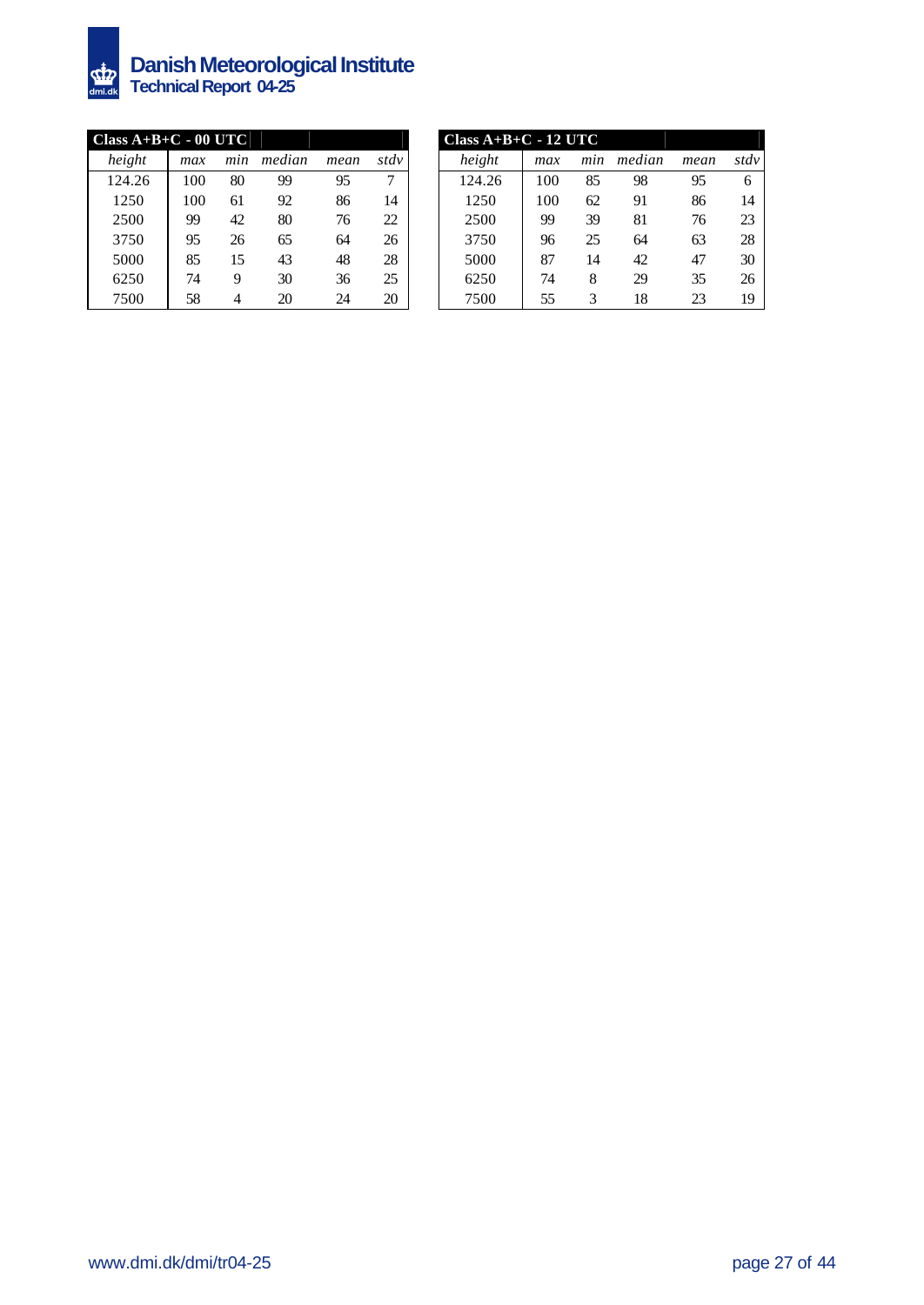

### **Danish Meteorological Institute Technical Report 04-25**

| Class $A+B+C - 00$ UTC |     |     |        |      |        | $Class A+B+C-12 UTC$ |  |
|------------------------|-----|-----|--------|------|--------|----------------------|--|
| height                 | max | min | median | mean | stdy   | height               |  |
| 124.26                 | 100 | 80  | 99     | 95   | $\tau$ | 124.26               |  |
| 1250                   | 100 | 61  | 92     | 86   | 14     | 1250                 |  |
| 2500                   | 99  | 42  | 80     | 76   | 22     | 2500                 |  |
| 3750                   | 95  | 26  | 65     | 64   | 26     | 3750                 |  |
| 5000                   | 85  | 15  | 43     | 48   | 28     | 5000                 |  |
| 6250                   | 74  | 9   | 30     | 36   | 25     | 6250                 |  |
| 7500                   | 58  | 4   | 20     | 24   | 20     | 7500                 |  |
|                        |     |     |        |      |        |                      |  |

| $\frac{1}{2}$ ass A+B+C - 00 UTC |     |     |        |      |      |
|----------------------------------|-----|-----|--------|------|------|
| height                           | max | min | median | mean | stdv |
| 124.26                           | 100 | 80  | 99     | 95   | ⇁    |
| 1250                             | 100 | 61  | 92     | 86   | 14   |
| 2500                             | 99  | 42  | 80     | 76   | 22   |
| 3750                             | 95  | 26  | 65     | 64   | 26   |
| 5000                             | 85  | 15  | 43     | 48   | 28   |
| 6250                             | 74  | 9   | 30     | 36   | 25   |
| 7500                             | 58  | 4   | 20     | 24   | 20   |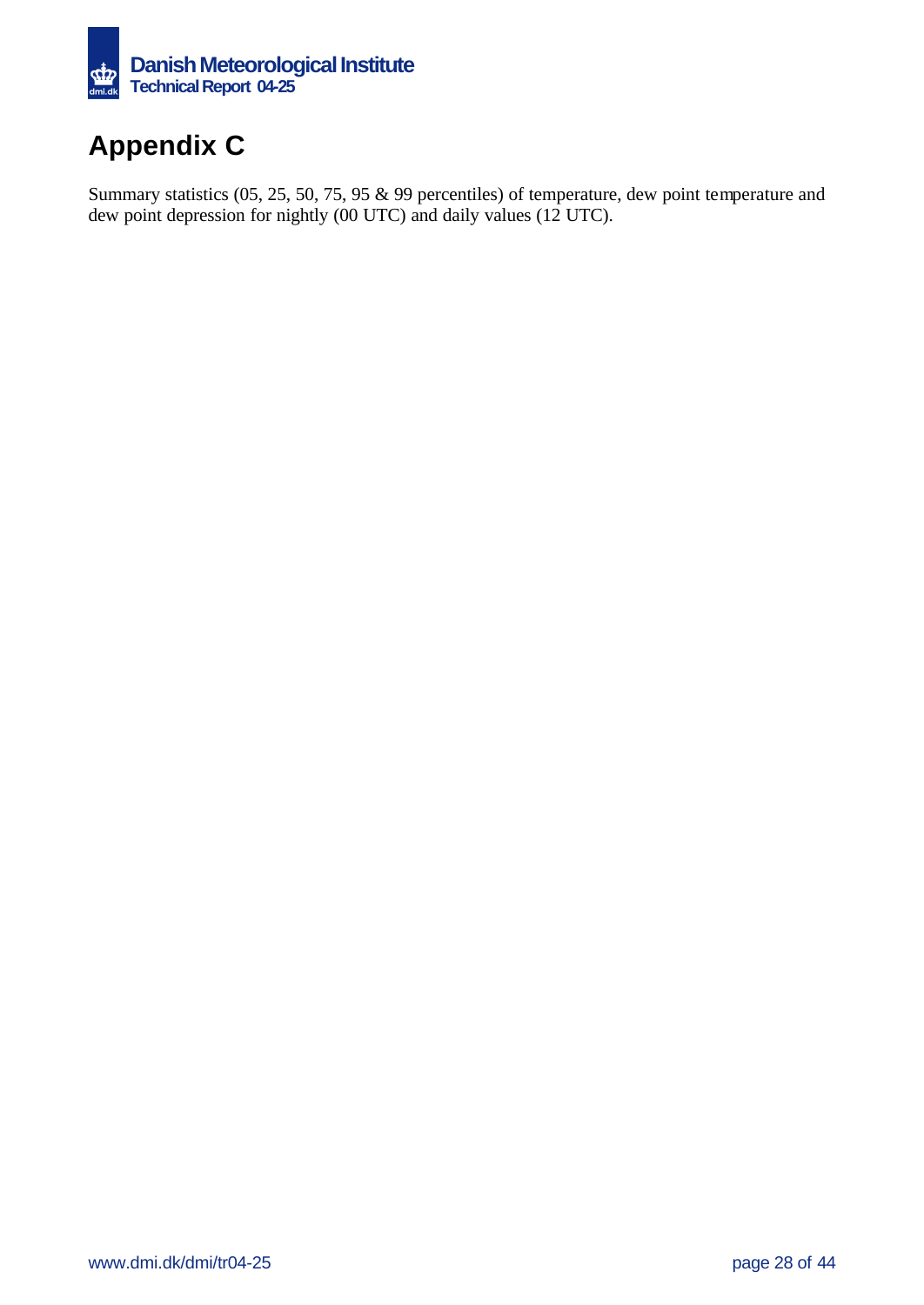

# **Appendix C**

Summary statistics (05, 25, 50, 75, 95 & 99 percentiles) of temperature, dew point temperature and dew point depression for nightly (00 UTC) and daily values (12 UTC).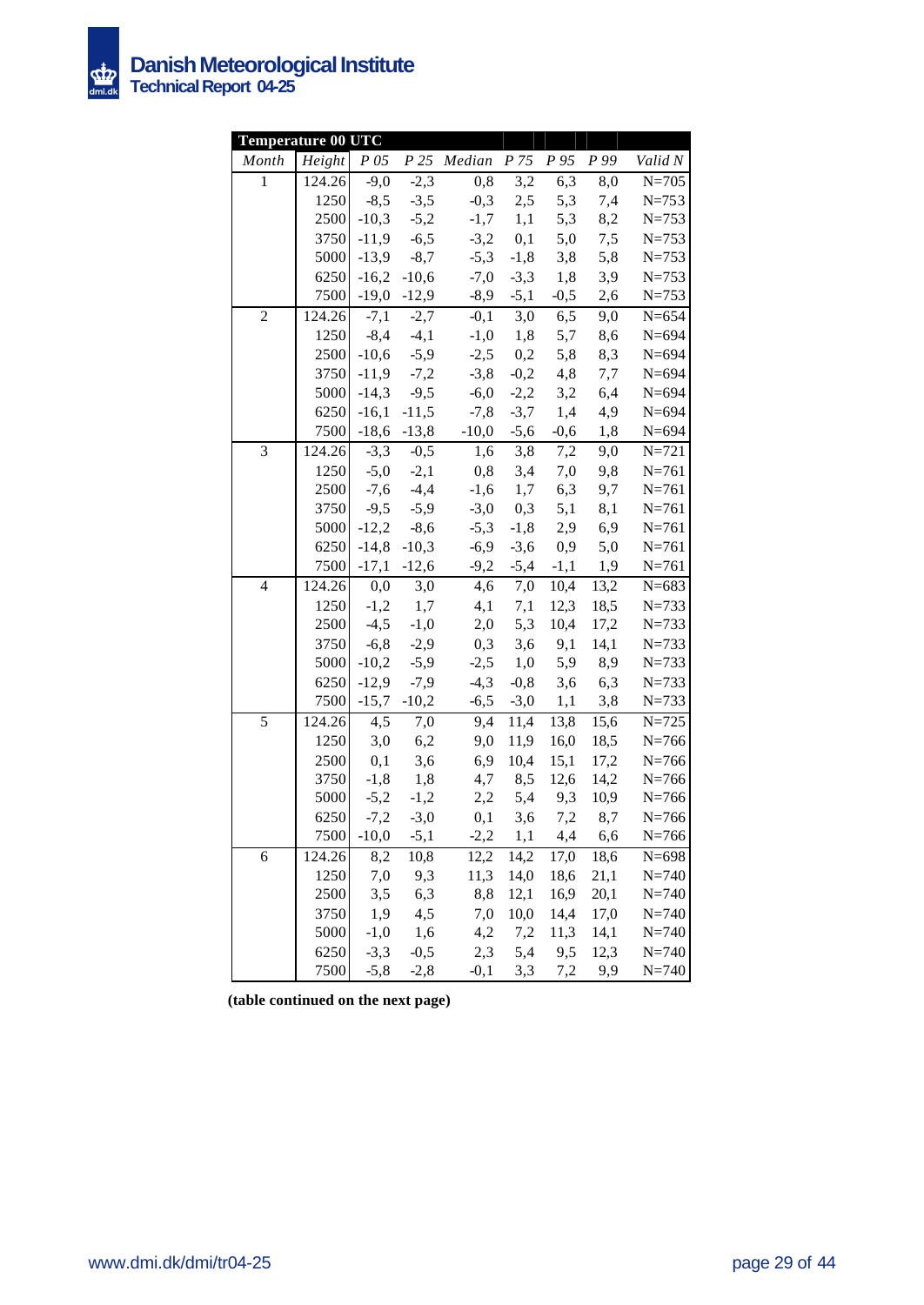

| Temperature 00 UTC |        |                |                 |                                            |               |            |                   |                    |
|--------------------|--------|----------------|-----------------|--------------------------------------------|---------------|------------|-------------------|--------------------|
| Month              | Height |                |                 | P 05 P 25 Median P 75 P 95 P 99            |               |            |                   | Valid N            |
| $\mathbf{1}$       | 124.26 | $-9,0$         | $-2,3$          | $\overline{0,8}$                           | 3,2           | 6,3        | 8,0               | $\overline{N=}705$ |
|                    | 1250   | $-8,5$         | $-3,5$          | $-0,3$                                     | 2,5           | 5,3        | 7,4               | $N = 753$          |
|                    | 2500   | $-10,3$        | $-5,2$          | $-1,7$                                     | 1,1           | 5,3        | 8,2               | $N = 753$          |
|                    | 3750   | $-11,9$        | $-6,5$          | $-3,2$                                     | 0,1           | 5,0        | 7,5               | $N = 753$          |
|                    | 5000   | $-13,9$        | $-8,7$          | $-5,3$                                     | $-1,8$        | 3,8        | 5,8               | $N = 753$          |
|                    | 6250   | $-16,2$        | $-10,6$         |                                            | $-7,0$ $-3,3$ | 1,8        | 3,9               | $N = 753$          |
|                    | 7500   |                |                 | $-19,0$ $-12,9$ $-8,9$ $-5,1$              |               | $-0,5$     | 2,6               | $N = 753$          |
| $\overline{c}$     | 124.26 |                | $-7,1$ $-2,7$   |                                            | $-0,1$ 3,0    | 6,5        | 9,0               | $N = 654$          |
|                    | 1250   | $-8,4$ $-4,1$  |                 |                                            | $-1,0$ 1,8    | 5,7        | 8,6               | $N = 694$          |
|                    | 2500   | $-10,6$ $-5,9$ |                 | $-2,5$ 0,2                                 |               | 5,8        | 8,3               | $N = 694$          |
|                    | 3750   | $-11,9$        | $-7,2$          | $-3,8$                                     | $-0,2$        | 4,8        | 7,7               | $N = 694$          |
|                    | 5000   | $-14,3$        | $-9,5$          | $-6,0$                                     | $-2,2$        | 3,2        | 6,4               | $N = 694$          |
|                    | 6250   | $-16,1$        | $-11,5$         | $-7,8$                                     | $-3,7$        | 1,4        | 4,9               | $N = 694$          |
|                    | 7500   |                |                 | $-18,6$ $-13,8$ $-10,0$ $-5,6$ $-0,6$      |               |            | 1,8               | $N = 694$          |
| 3                  | 124.26 | $-3,3$         | $-0,5$          | 1,6                                        | 3,8           | 7,2        | 9,0               | $N = 721$          |
|                    | 1250   |                | $-5,0$ $-2,1$   | 0,8                                        | 3,4           | 7,0        | 9,8               | $N = 761$          |
|                    | 2500   | $-7,6$         | $-4,4$          | $-1,6$                                     | 1,7           | 6,3        | 9,7               | $N = 761$          |
|                    | 3750   | $-9,5$         | $-5,9$          | $-3,0$                                     | 0,3           | 5,1        | 8,1               | $N = 761$          |
|                    | 5000   | $-12,2$        | $-8,6$          | $-5,3$                                     | $-1,8$        | 2,9        | 6,9               | $N = 761$          |
|                    | 6250   | $-14,8$        | $-10,3$         | $-6,9$                                     | $-3,6$        | 0,9        | 5,0               | $N = 761$          |
|                    | 7500   |                |                 | $-17,1$ $-12,6$ $-9,2$ $-5,4$ $-1,1$ $1,9$ |               |            |                   | $N = 761$          |
| $\overline{4}$     | 124.26 | 0,0            | 3,0             | 4,6                                        | 7,0           | 10,4       | 13,2              | $N = 683$          |
|                    | 1250   |                | $-1,2$ 1,7      | 4,1                                        | 7,1           | 12,3       | 18,5              | $N = 733$          |
|                    | 2500   |                | $-4,5$ $-1,0$   | 2,0                                        | 5,3           | 10,4       | 17,2              | $N = 733$          |
|                    | 3750   |                | $-6,8$ $-2,9$   | 0,3                                        | 3,6           | 9,1        | 14,1              | $N = 733$          |
|                    | 5000   |                | $-10,2$ $-5,9$  |                                            | $-2,5$ 1,0    |            | 5,9 8,9           | $N = 733$          |
|                    | 6250   | $-12,9$        | $-7,9$          | $-4,3$                                     | $-0,8$        | 3,6        | 6,3               | $N = 733$          |
|                    | 7500   |                | $-15,7$ $-10,2$ | $-6,5$                                     |               | $-3,0$ 1,1 | 3,8               | $N = 733$          |
| 5                  | 124.26 | 4,5            | 7,0             | 9,4                                        | 11,4          | 13,8       | 15,6              | $N = 725$          |
|                    | 1250   | 3,0            | 6,2             | 9,0                                        | 11,9          | 16,0       | 18,5              | $N = 766$          |
|                    | 2500   | 0,1            | 3,6             | 6,9                                        | 10,4          | 15,1       | 17,2              | $N = 766$          |
|                    | 3750   | $-1, 8$        | 1,8             |                                            | 4,7 8,5       | 12,6       | 14,2              | $N = 766$          |
|                    | 5000   | $-5,2$         | $-1,2$          |                                            | $2,2$ 5,4 9,3 |            | 10,9              | $N = 766$          |
|                    | 6250   |                | $-7,2$ $-3,0$   | 0,1                                        |               |            | $3,6$ $7,2$ $8,7$ | $N = 766$          |
|                    | 7500   | $-10,0$        | $-5,1$          | $-2,2$                                     | 1,1           | 4,4        | 6,6               | $N = 766$          |
| $\boldsymbol{6}$   | 124.26 | 8,2            | 10,8            | 12,2                                       | 14,2          | 17,0       | 18,6              | $N = 698$          |
|                    | 1250   | 7,0            | 9,3             | 11,3                                       | 14,0          | 18,6       | 21,1              | $N = 740$          |
|                    | 2500   | 3,5            | 6,3             | 8,8                                        | 12,1          | 16,9       | 20,1              | $N = 740$          |
|                    | 3750   | 1,9            | 4,5             | 7,0                                        | 10,0          | 14,4       | 17,0              | $N = 740$          |
|                    | 5000   | $-1,0$         | 1,6             | 4,2                                        | 7,2           | 11,3       | 14,1              | $N = 740$          |
|                    | 6250   | $-3,3$         | $-0,5$          | 2,3                                        | 5,4           | 9,5        | 12,3              | $N = 740$          |
|                    | 7500   | $-5,8$         | $-2,8$          | $-0,1$                                     | 3,3           | 7,2        | 9,9               | $N = 740$          |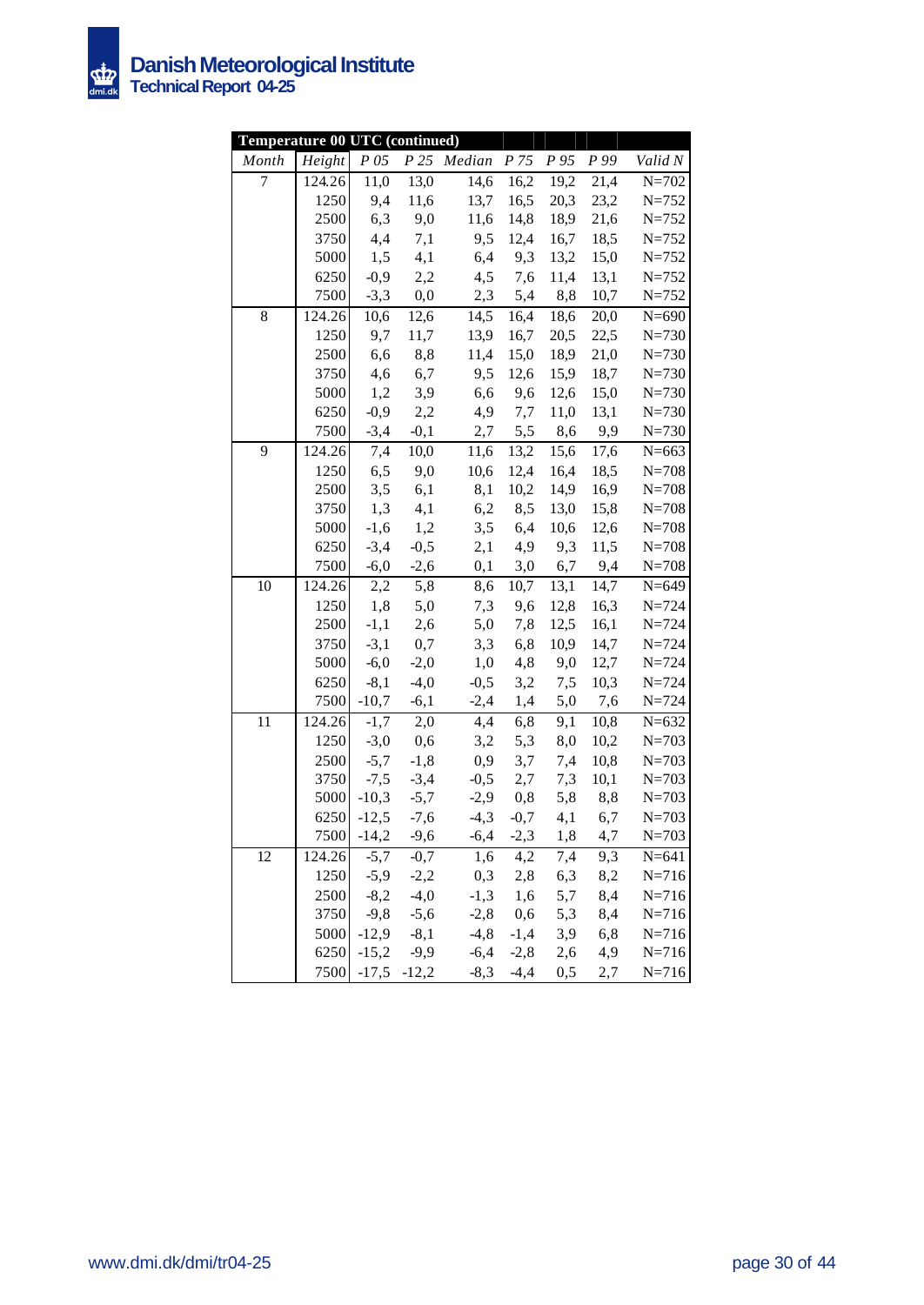

| Temperature 00 UTC (continued) |        |         |                 |             |            |           |      |           |
|--------------------------------|--------|---------|-----------------|-------------|------------|-----------|------|-----------|
| Month                          | Height | P 05    |                 | P 25 Median | P 75       | P 95      | P 99 | Valid N   |
| 7                              | 124.26 | 11,0    | 13,0            | 14,6        | 16,2       | 19,2      | 21,4 | $N = 702$ |
|                                | 1250   | 9,4     | 11,6            | 13,7        | 16,5       | 20,3      | 23,2 | $N = 752$ |
|                                | 2500   | 6,3     | 9,0             | 11,6        | 14,8       | 18,9      | 21,6 | $N = 752$ |
|                                | 3750   | 4,4     | 7,1             | 9,5         | 12,4       | 16,7      | 18,5 | $N = 752$ |
|                                | 5000   | 1,5     | 4,1             |             | 6,4 9,3    | 13,2      | 15,0 | $N = 752$ |
|                                | 6250   | $-0,9$  | 2,2             | 4,5         | 7,6        | 11,4      | 13,1 | $N = 752$ |
|                                | 7500   | $-3,3$  | 0,0             | 2,3         | 5,4        | 8,8       | 10,7 | $N = 752$ |
| 8                              | 124.26 | 10,6    | 12,6            | 14,5        | 16,4       | 18,6      | 20,0 | $N = 690$ |
|                                | 1250   | 9,7     | 11,7            | 13,9        | 16,7       | 20,5      | 22,5 | $N = 730$ |
|                                | 2500   | 6,6     | 8,8             | 11,4        | 15,0       | 18,9      | 21,0 | $N = 730$ |
|                                | 3750   | 4,6     | 6,7             | 9,5         | 12,6       | 15,9      | 18,7 | $N = 730$ |
|                                | 5000   | 1,2     | 3,9             | 6,6         | 9,6        | 12,6      | 15,0 | $N = 730$ |
|                                | 6250   | $-0,9$  | 2,2             |             | 4,9 7,7    | 11,0      | 13,1 | $N = 730$ |
|                                | 7500   | $-3,4$  | $-0,1$          | 2,7         |            | 5,5 8,6   | 9,9  | $N = 730$ |
| 9                              | 124.26 | 7,4     | 10,0            | 11,6        | 13,2       | 15,6      | 17,6 | $N = 663$ |
|                                | 1250   | 6,5     | 9,0             | 10,6        | 12,4       | 16,4      | 18,5 | $N = 708$ |
|                                | 2500   | 3,5     | 6,1             | 8,1         | 10,2       | 14,9      | 16,9 | $N = 708$ |
|                                | 3750   | 1,3     | 4,1             | 6,2         | 8,5        | 13,0      | 15,8 | $N = 708$ |
|                                | 5000   | $-1,6$  | 1,2             | 3,5         | 6,4        | 10,6      | 12,6 | $N = 708$ |
|                                | 6250   | $-3,4$  | $-0,5$          | 2,1         | 4,9        | 9,3       | 11,5 | $N = 708$ |
|                                | 7500   | $-6,0$  | $-2,6$          | 0,1         | 3,0        | 6,7       | 9,4  | $N = 708$ |
| 10                             | 124.26 | 2,2     | 5,8             | 8,6         | 10,7       | 13,1      | 14,7 | $N = 649$ |
|                                | 1250   | 1,8     | 5,0             |             | 7,3 9,6    | 12,8      | 16,3 | $N = 724$ |
|                                | 2500   | $-1,1$  | 2,6             | 5,0         | 7,8        | 12,5      | 16,1 | $N = 724$ |
|                                | 3750   | $-3,1$  | 0,7             | 3,3         | 6,8        | 10,9      | 14,7 | $N = 724$ |
|                                | 5000   | $-6,0$  | $-2,0$          | 1,0         |            | 4,8 9,0   | 12,7 | $N = 724$ |
|                                | 6250   | $-8,1$  | $-4,0$          | $-0,5$      |            | $3,2$ 7,5 | 10,3 | $N = 724$ |
|                                | 7500   |         | $-10,7$ $-6,1$  |             | $-2,4$ 1,4 | 5,0       | 7,6  | $N = 724$ |
| 11                             | 124.26 | $-1,7$  | 2,0             | 4,4         | 6,8        | 9,1       | 10,8 | $N = 632$ |
|                                | 1250   | $-3,0$  | 0,6             | 3,2         | 5,3        | 8,0       | 10,2 | $N = 703$ |
|                                | 2500   | $-5,7$  | $-1,8$          | 0,9         | 3,7        | 7,4       | 10,8 | $N = 703$ |
|                                | 3750   | $-7,5$  | $-3,4$          | $-0,5$      | 2,7        | 7,3       | 10,1 | $N = 703$ |
|                                | 5000   | $-10,3$ | $-5,7$          | $-2,9$      | 0,8        | 5,8       | 8,8  | $N = 703$ |
|                                | 6250   | $-12,5$ | $-7,6$          | $-4,3$      | $-0,7$     | 4,1       | 6,7  | $N = 703$ |
|                                | 7500   | $-14,2$ | $-9,6$          | $-6,4$      | $-2,3$     | 1,8       | 4,7  | $N = 703$ |
| 12                             | 124.26 | $-5,7$  | $-0,7$          | 1,6         | 4,2        | 7,4       | 9,3  | $N = 641$ |
|                                | 1250   | $-5,9$  | $-2,2$          | 0,3         | 2,8        | 6,3       | 8,2  | $N = 716$ |
|                                | 2500   | $-8,2$  | $-4,0$          | $-1,3$      | 1,6        | 5,7       | 8,4  | $N = 716$ |
|                                | 3750   | $-9, 8$ | $-5,6$          | $-2,8$      | 0,6        | 5,3       | 8,4  | $N = 716$ |
|                                | 5000   | $-12,9$ | $-8,1$          | $-4, 8$     | $-1,4$     | 3,9       | 6,8  | $N = 716$ |
|                                | 6250   | $-15,2$ | $-9,9$          | $-6,4$      | $-2,8$     | 2,6       | 4,9  | $N = 716$ |
|                                | 7500   |         | $-17,5$ $-12,2$ | $-8,3$      | $-4,4$     | 0,5       | 2,7  | $N = 716$ |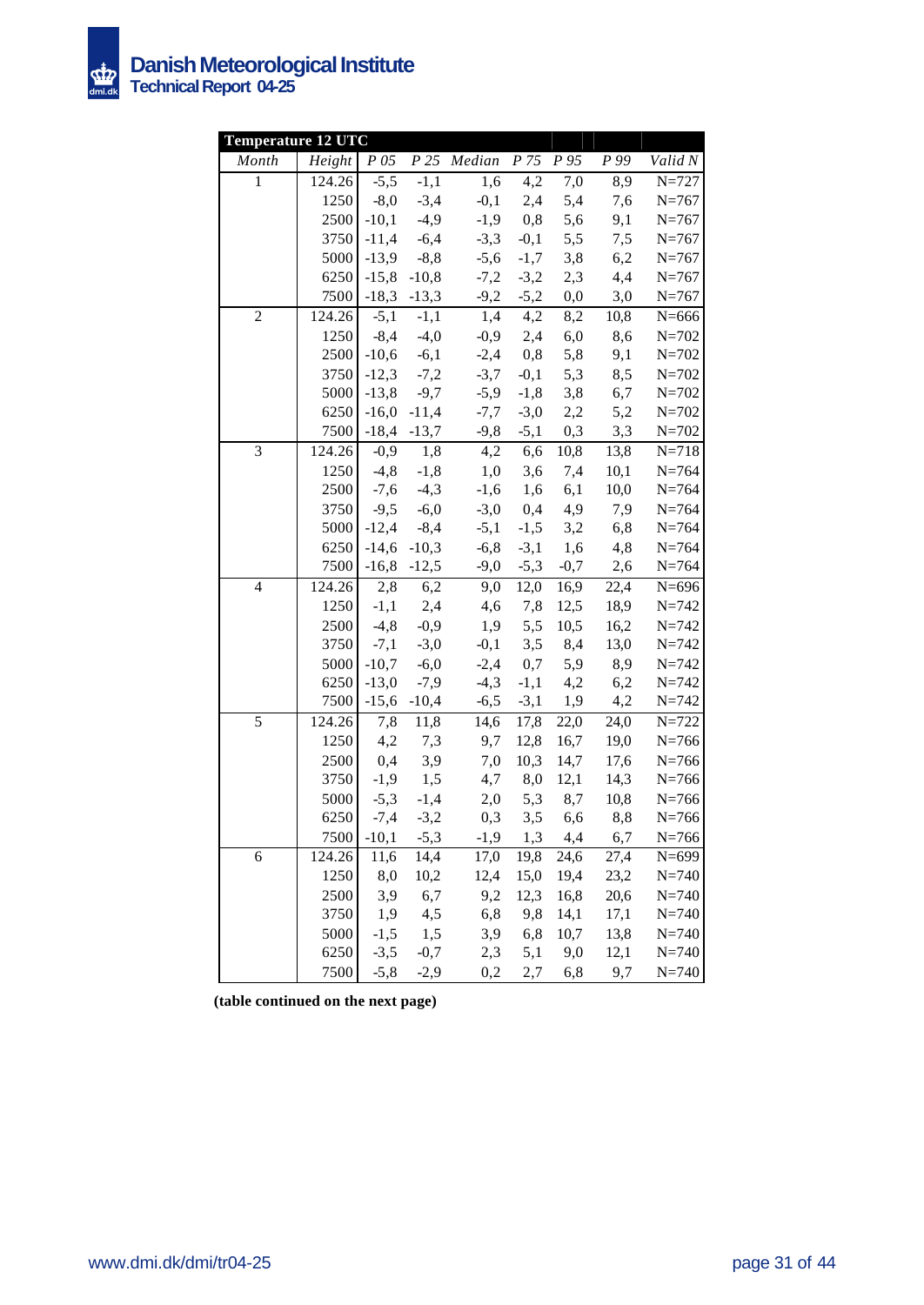

| <b>Temperature 12 UTC</b> |              |               |                   |              |                 |                  |              |                        |
|---------------------------|--------------|---------------|-------------------|--------------|-----------------|------------------|--------------|------------------------|
| Month                     | Height       | $P\,05$       | P25               | Median       | P <sub>75</sub> | $\overline{P95}$ | P 99         | Valid N                |
| $\mathbf{1}$              | 124.26       | $-5,5$        | $-1,1$            | 1,6          | 4,2             | 7,0              | 8,9          | $N = 727$              |
|                           | 1250         | $-8,0$        | $-3,4$            | $-0,1$       | 2,4             | 5,4              | 7,6          | $N = 767$              |
|                           | 2500         | $-10,1$       | $-4,9$            | $-1,9$       | 0,8             | 5,6              | 9,1          | $N = 767$              |
|                           | 3750         | $-11,4$       | $-6,4$            | $-3,3$       | $-0,1$          | 5,5              | 7,5          | $N = 767$              |
|                           | 5000         | $-13,9$       | $-8,8$            | $-5,6$       | $-1,7$          | 3,8              | 6,2          | $N = 767$              |
|                           | 6250         | $-15,8$       | $-10,8$           | $-7,2$       | $-3,2$          | 2,3              | 4,4          | $N = 767$              |
|                           | 7500         | $-18,3$       | $-13,3$           | $-9,2$       | $-5,2$          | 0,0              | 3,0          | $N = 767$              |
| $\overline{c}$            | 124.26       | $-5,1$        | $-1,\overline{1}$ | 1,4          | 4,2             | 8,2              | 10,8         | $N = 666$              |
|                           | 1250         | $-8,4$        | $-4,0$            | $-0,9$       | 2,4             | 6,0              | 8,6          | $N = 702$              |
|                           | 2500         | $-10,6$       | $-6,1$            | $-2,4$       | 0,8             | 5,8              | 9,1          | $N = 702$              |
|                           | 3750         | $-12,3$       | $-7,2$            | $-3,7$       | $-0,1$          | 5,3              | 8,5          | $N = 702$              |
|                           | 5000         | $-13,8$       | $-9,7$            | $-5,9$       | $-1,8$          | 3,8              | 6,7          | $N = 702$              |
|                           | 6250         | $-16,0$       | $-11,4$           | $-7,7$       | $-3,0$          | 2,2              | 5,2          | $N = 702$              |
|                           | 7500         | $-18,4$       | $-13,7$           | $-9,8$       | $-5,1$          | 0,3              | 3,3          | $N = 702$              |
| $\overline{3}$            | 124.26       | $-0,9$        | 1,8               | 4,2          | 6,6             | 10,8             | 13,8         | $N = 718$              |
|                           | 1250         | $-4, 8$       | $-1,8$            | 1,0          | 3,6             | 7,4              | 10,1         | $N = 764$              |
|                           | 2500         | $-7,6$        | $-4,3$            | $-1,6$       | 1,6             | 6,1              | 10,0         | $N=764$                |
|                           | 3750         | $-9,5$        | $-6,0$            | $-3,0$       | 0,4             | 4,9              | 7,9          | $N = 764$              |
|                           | 5000         | $-12,4$       | $-8,4$            | $-5,1$       | $-1,5$          | 3,2              | 6,8          | $N = 764$              |
|                           | 6250         | $-14,6$       | $-10,3$           | $-6,8$       | $-3,1$          | 1,6              | 4,8          | $N = 764$              |
|                           | 7500         | $-16,8$       | $-12,5$           | $-9,0$       | $-5,3$          | $-0,7$           | 2,6          | $N = 764$              |
| $\overline{4}$            | 124.26       | 2,8           | 6,2               | 9,0          | 12,0            | 16,9             | 22,4         | $N = 696$              |
|                           | 1250         | $-1,1$        | 2,4               | 4,6          | 7,8             | 12,5             | 18,9         | $N = 742$              |
|                           | 2500         | $-4, 8$       | $-0,9$            | 1,9          | 5,5             | 10,5             | 16,2         | $N = 742$              |
|                           | 3750         | $-7,1$        | $-3,0$            | $-0,1$       | 3,5             | 8,4              | 13,0         | $N = 742$              |
|                           | 5000         | $-10,7$       | $-6,0$            | $-2,4$       | 0,7             | 5,9              | 8,9          | $N = 742$              |
|                           | 6250         | $-13,0$       | $-7,9$            | $-4,3$       | $-1,1$          | 4,2              | 6,2          | $N = 742$              |
|                           | 7500         | $-15,6$       | $-10,4$           | $-6,5$       | $-3,1$          | 1,9              | 4,2          | $N = 742$              |
| 5                         | 124.26       | 7,8           | 11,8              | 14,6         | 17,8            | 22,0             | 24,0         | $N = 722$              |
|                           | 1250         | 4,2           | 7,3               | 9,7          | 12,8            | 16,7             | 19,0         | $N = 766$              |
|                           | 2500<br>3750 | 0,4<br>$-1,9$ | 3,9<br>1,5        | 7,0<br>4,7   | 10,3<br>8,0     | 14,7<br>12,1     | 17,6         | $N = 766$<br>$N = 766$ |
|                           | 5000         | $-5,3$        |                   |              | 5,3             | 8,7              | 14,3         |                        |
|                           | 6250         | $-7,4$        | $-1,4$<br>$-3,2$  | 2,0<br>0,3   | 3,5             |                  | 10,8<br>8,8  | $N = 766$<br>$N = 766$ |
|                           | 7500         | $-10,1$       |                   |              | 1,3             | 6,6              |              |                        |
|                           | 124.26       |               | $-5,3$            | $-1,9$       |                 | 4,4              | 6,7          | $N = 766$<br>$N = 699$ |
| 6                         | 1250         | 11,6<br>8,0   | 14,4<br>10,2      | 17,0<br>12,4 | 19,8<br>15,0    | 24,6<br>19,4     | 27,4<br>23,2 | $N = 740$              |
|                           | 2500         | 3,9           | 6,7               | 9,2          | 12,3            | 16,8             | 20,6         | $N = 740$              |
|                           | 3750         | 1,9           | 4,5               | 6,8          | 9,8             | 14,1             | 17,1         | $N = 740$              |
|                           | 5000         | $-1,5$        | 1,5               | 3,9          | 6,8             | 10,7             | 13,8         | $N = 740$              |
|                           | 6250         | $-3,5$        | $-0,7$            | 2,3          | 5,1             | 9,0              | 12,1         | $N = 740$              |
|                           | 7500         | $-5,8$        | $-2,9$            | 0,2          | 2,7             | 6,8              | 9,7          | $N = 740$              |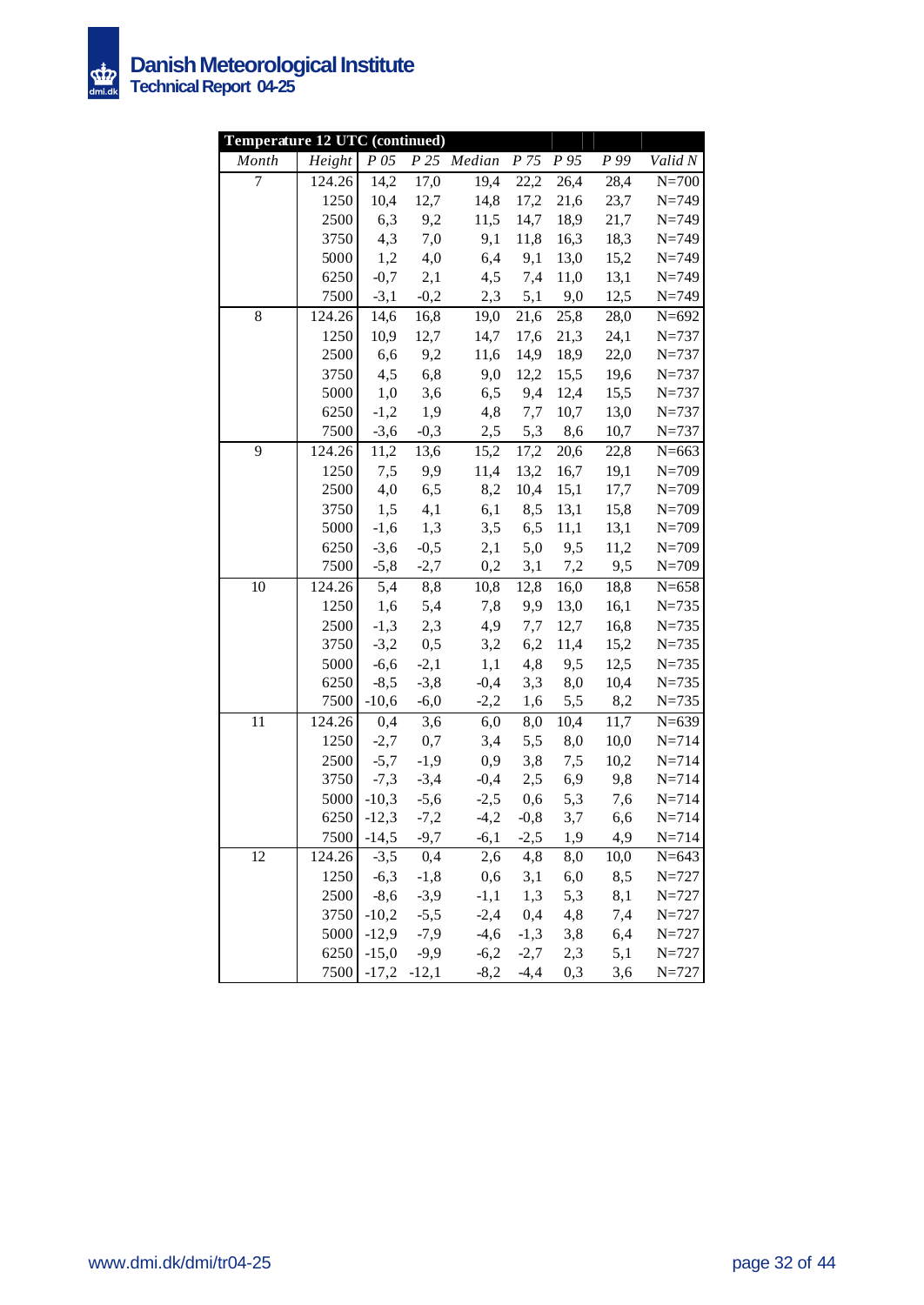

| Temperature 12 UTC (continued) |              |                    |                  |                  |               |            |            |                        |
|--------------------------------|--------------|--------------------|------------------|------------------|---------------|------------|------------|------------------------|
| Month                          | Height       | $P$ 05             |                  | P 25 Median      | P 75          | P 95       | P 99       | Valid N                |
| 7                              | 124.26       | 14,2               | 17,0             | 19,4             | 22,2          | 26,4       | 28,4       | $N=700$                |
|                                | 1250         | 10,4               | 12,7             | 14,8             | 17,2          | 21,6       | 23,7       | $N = 749$              |
|                                | 2500         | 6,3                | 9,2              | 11,5             | 14,7          | 18,9       | 21,7       | $N = 749$              |
|                                | 3750         | 4,3                | 7,0              | 9,1              | 11,8          | 16,3       | 18,3       | $N = 749$              |
|                                | 5000         | 1,2                | 4,0              | 6,4              | 9,1           | 13,0       | 15,2       | $N = 749$              |
|                                | 6250         | $-0,7$             | 2,1              | 4,5              | 7,4           | 11,0       | 13,1       | $N = 749$              |
|                                | 7500         | $-3,1$             | $-0,2$           |                  | $2,3$ 5,1     | 9,0        | 12,5       | $N = 749$              |
| $8\,$                          | 124.26       | 14,6               | 16,8             | 19,0             | 21,6          | 25,8       | 28,0       | $N = 692$              |
|                                | 1250         | 10,9               | 12,7             | 14,7             | 17,6          | 21,3       | 24,1       | $N = 737$              |
|                                | 2500         | 6,6                | 9,2              | 11,6             | 14,9          | 18,9       | 22,0       | $N = 737$              |
|                                | 3750         | 4,5                | 6,8              | 9,0              | 12,2          | 15,5       | 19,6       | $N = 737$              |
|                                | 5000         | 1,0                | 3,6              | 6,5              | 9,4           | 12,4       | 15,5       | $N = 737$              |
|                                | 6250         | $-1,2$             | 1,9              | 4,8              | 7,7           | 10,7       | 13,0       | $N = 737$              |
|                                | 7500         | $-3,6$             | $-0,3$           | 2,5              | 5,3           | 8,6        | 10,7       | $N = 737$              |
| 9                              | 124.26       | 11,2               | 13,6             | 15,2             | 17,2          | 20,6       | 22,8       | $N = 663$              |
|                                | 1250         | 7,5                | 9,9              | 11,4             | 13,2          | 16,7       | 19,1       | $N = 709$              |
|                                | 2500         | 4,0                | 6,5              | 8,2              | 10,4          | 15,1       | 17,7       | $N = 709$              |
|                                | 3750         | 1,5                | 4,1              | 6,1              | 8,5           | 13,1       | 15,8       | $N = 709$              |
|                                | 5000         | $-1,6$             | 1,3              | 3,5              | 6,5           | 11,1       | 13,1       | $N = 709$              |
|                                | 6250         | $-3,6$             | $-0,5$           | 2,1              | 5,0           | 9,5        | 11,2       | $N = 709$              |
|                                | 7500         | $-5,8$             | $-2,7$           | 0,2              | 3,1           | 7,2        | 9,5        | $N = 709$              |
| 10                             | 124.26       | 5,4                | 8,8              | 10,8             | 12,8          | 16,0       | 18,8       | $N = 658$              |
|                                | 1250         | 1,6                | 5,4              | 7,8              | 9,9           | 13,0       | 16,1       | $N = 735$              |
|                                | 2500         | $-1,3$             | 2,3              | 4,9              | 7,7           | 12,7       | 16,8       | $N = 735$              |
|                                | 3750         | $-3,2$             | 0,5              | 3,2              | 6,2           | 11,4       | 15,2       | $N = 735$              |
|                                | 5000         | $-6,6$             | $-2,1$           | 1,1              | 4,8           | 9,5        | 12,5       | $N = 735$              |
|                                | 6250         | $-8,5$             | $-3,8$           | $-0,4$           | 3,3           | 8,0        | 10,4       | $N = 735$              |
|                                | 7500         | $-10,6$            | $-6,0$           | $-2,2$           | 1,6           | 5,5        | 8,2        | $N = 735$              |
| 11                             | 124.26       | 0,4                | 3,6              | 6,0              | 8,0           | 10,4       | 11,7       | $N=639$                |
|                                | 1250         | $-2,7$             | 0,7              | 3,4              | 5,5           | 8,0        | 10,0       | $N = 714$              |
|                                | 2500         | $-5,7$             | $-1,9$           | 0,9              | 3,8           | 7,5        | 10,2       | $N = 714$              |
|                                | 3750<br>5000 | $-7,3$             | $-3,4$           | $-0,4$           | 2,5           | 6,9        | 9,8        | $N = 714$              |
|                                |              | $-10,3$            | $-5,6$           | $-2,5$           | 0,6           | 5,3        | 7,6        | $N = 714$              |
|                                | 6250         | $-12,3$            | $-7,2$           | $-4,2$           | $-0,8$        | 3,7        | 6,6        | $N = 714$              |
|                                | 7500         | $-14,5$            | $-9,7$           | $-6,1$           | $-2,5$        | 1,9        | 4,9        | $N = 714$              |
| 12                             | 124.26       | $-3,5$             | 0,4              | 2,6              | 4,8           | 8,0        | 10,0       | $N = 643$              |
|                                | 1250         | $-6,3$<br>$-8,6$   | $-1,8$           | 0,6              | 3,1           | 6,0        | 8,5        | $N = 727$              |
|                                | 2500         |                    | $-3,9$           | $-1,1$           | 1,3           | 5,3        | 8,1        | $N = 727$              |
|                                | 3750<br>5000 | $-10,2$<br>$-12,9$ | $-5,5$<br>$-7,9$ | $-2,4$<br>$-4,6$ | 0,4<br>$-1,3$ | 4,8<br>3,8 | 7,4<br>6,4 | $N = 727$              |
|                                | 6250         | $-15,0$            | $-9,9$           | $-6,2$           | $-2,7$        | 2,3        | 5,1        | $N = 727$<br>$N = 727$ |
|                                | 7500         | $-17,2$ $-12,1$    |                  | $-8,2$           | $-4,4$        | 0,3        | 3,6        | $N = 727$              |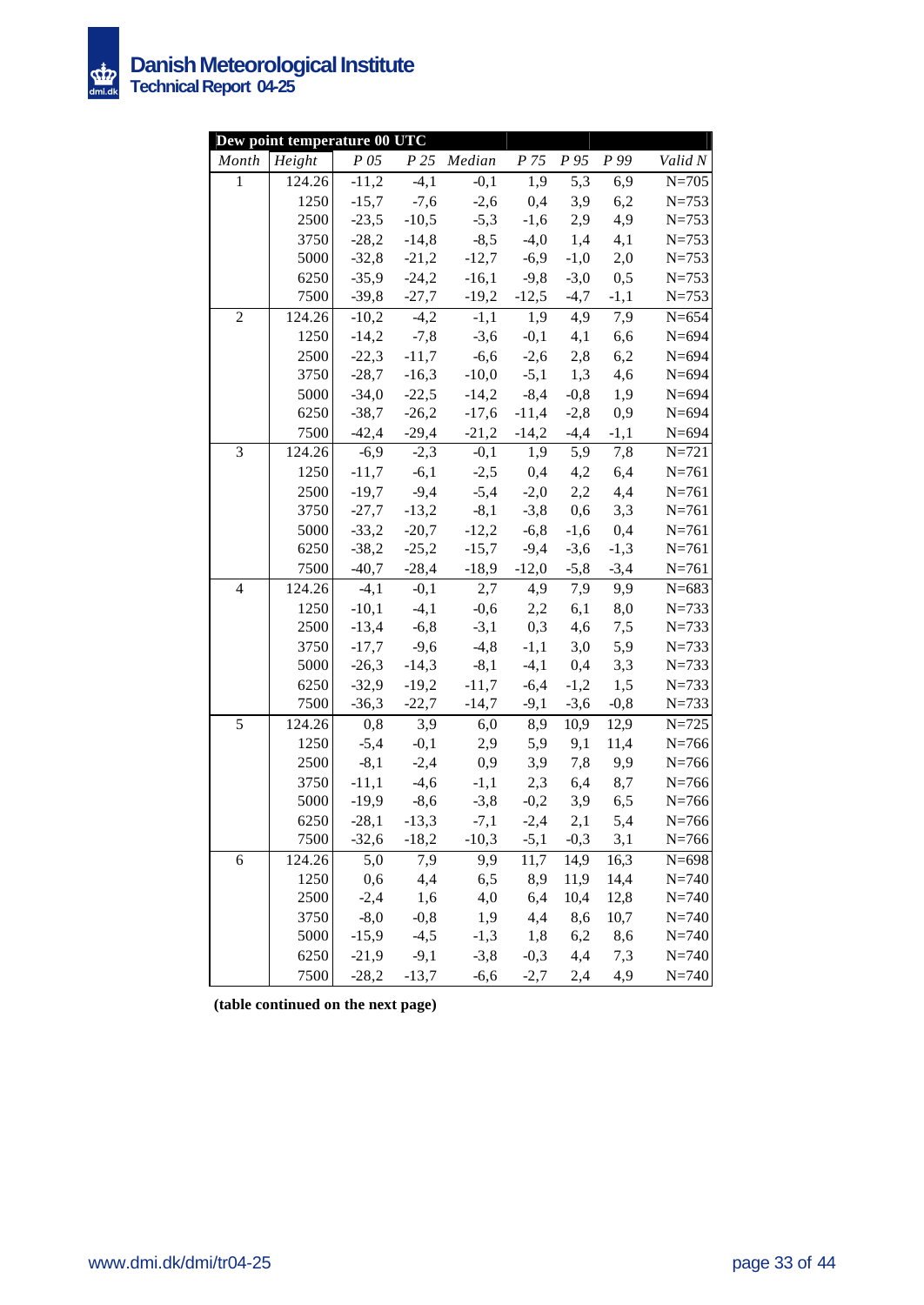

|                | Dew point temperature 00 UTC |         |                   |                                               |                        |                  |        |           |
|----------------|------------------------------|---------|-------------------|-----------------------------------------------|------------------------|------------------|--------|-----------|
| Month          | Height                       | P 05    |                   | P 25 Median                                   | P 75                   | P 95             | P 99   | Valid N   |
| $\mathbf{1}$   | 124.26                       | $-11,2$ | $\overline{-4,1}$ | $-0,1$                                        | 1,9                    | $\overline{5,3}$ | 6,9    | $N = 705$ |
|                | 1250                         | $-15,7$ | $-7,6$            | $-2,6$                                        | 0,4                    | 3,9              | 6,2    | $N = 753$ |
|                | 2500                         | $-23,5$ | $-10,5$           | $-5,3$                                        | $-1,6$                 | 2,9              | 4,9    | $N = 753$ |
|                | 3750                         | $-28,2$ | $-14,8$           | $-8,5$                                        | $-4,0$                 | 1,4              | 4,1    | $N = 753$ |
|                | 5000                         | $-32,8$ | $-21,2$           | $-12,7$                                       | $-6,9$                 | $-1,0$           | 2,0    | $N = 753$ |
|                | 6250                         | $-35,9$ | $-24,2$           | $-16,1$                                       | $-9,8$                 | $-3,0$           | 0,5    | $N = 753$ |
|                | 7500                         |         |                   | $-39,8$ $-27,7$ $-19,2$                       |                        | $-12,5$ $-4,7$   | $-1,1$ | $N = 753$ |
| $\overline{c}$ | 124.26                       |         | $-10,2$ $-4,2$    | $-1,1$                                        | 1,9                    | 4,9              | 7,9    | $N = 654$ |
|                | 1250                         |         |                   | $-14,2$ $-7,8$ $-3,6$                         | $-0,1$                 | 4,1              | 6,6    | $N = 694$ |
|                | 2500                         | $-22,3$ |                   | $-11,7$ $-6,6$ $-2,6$                         |                        | 2,8              | 6,2    | $N = 694$ |
|                | 3750                         | $-28,7$ | $-16,3$           | $-10,0$                                       |                        | $-5,1$ 1,3       | 4,6    | $N = 694$ |
|                | 5000                         | $-34,0$ | $-22,5$           |                                               | $-14,2$ $-8,4$         | $-0,8$           | 1,9    | $N = 694$ |
|                | 6250                         | $-38,7$ | $-26,2$           | $-17,6$                                       | $-11,4$                | $-2,8$           | 0,9    | $N = 694$ |
|                | 7500                         |         | $-42,4$ $-29,4$   |                                               | $-21,2$ $-14,2$ $-4,4$ |                  | $-1,1$ | $N = 694$ |
| 3              | 124.26                       | $-6,9$  | $-2,3$            | $-0,1$                                        | 1,9                    | $\overline{5,9}$ | 7,8    | $N = 721$ |
|                | 1250                         | $-11,7$ | $-6,1$            | $-2,5$                                        | 0,4                    | 4,2              | 6,4    | $N = 761$ |
|                | 2500                         | $-19,7$ | $-9,4$            | $-5,4$                                        | $-2,0$                 | 2,2              | 4,4    | $N = 761$ |
|                | 3750                         | $-27,7$ | $-13,2$           | $-8,1$                                        | $-3,8$                 | 0,6              | 3,3    | $N = 761$ |
|                | 5000                         | $-33,2$ | $-20,7$           | $-12,2$                                       | $-6,8$                 | $-1,6$           | 0,4    | $N = 761$ |
|                | 6250                         |         | $-38,2$ $-25,2$   |                                               | $-15,7$ $-9,4$         | $-3,6$           | $-1,3$ | $N = 761$ |
|                | 7500                         |         |                   | $-40,7$ $-28,4$ $-18,9$ $-12,0$ $-5,8$ $-3,4$ |                        |                  |        | $N = 761$ |
| $\overline{4}$ | 124.26                       |         |                   | $-4,1$ $-0,1$ $2,7$                           |                        | 4,9 7,9          | 9,9    | $N = 683$ |
|                | 1250                         | $-10,1$ |                   | $-4,1$ $-0,6$                                 | 2,2                    | 6,1              | 8,0    | $N = 733$ |
|                | 2500                         |         | $-13,4$ $-6,8$    | $-3,1$                                        | 0,3                    | 4,6              | 7,5    | $N = 733$ |
|                | 3750                         | $-17,7$ | $-9,6$            | $-4,8$                                        | $-1,1$                 | 3,0              | 5,9    | $N = 733$ |
|                | 5000                         | $-26,3$ | $-14,3$           | $-8,1$                                        | $-4,1$                 | 0,4              | 3,3    | $N = 733$ |
|                | 6250                         | $-32,9$ | $-19,2$           | $-11,7$                                       | $-6,4$                 | $-1,2$           | 1,5    | $N = 733$ |
|                | 7500                         | $-36,3$ | $-22,7$           | $-14,7$                                       | $-9,1$                 | $-3,6$           | $-0,8$ | $N = 733$ |
| 5              | 124.26                       | 0,8     | 3,9               | 6,0                                           | 8,9                    | 10,9             | 12,9   | $N = 725$ |
|                | 1250                         | $-5,4$  | $-0,1$            | 2,9                                           | 5,9                    | 9,1              | 11,4   | $N = 766$ |
|                | 2500                         | $-8,1$  | $-2,4$            | 0,9                                           | 3,9                    | 7,8              | 9,9    | $N = 766$ |
|                | 3750                         | $-11,1$ | $-4,6$            | $-1,1$                                        | 2,3                    | 6,4              | 8,7    | $N = 766$ |
|                | 5000                         | $-19,9$ |                   | $-8,6$ $-3,8$                                 |                        | $-0,2$ 3,9       | 6,5    | $N = 766$ |
|                | 6250                         |         |                   | $-28,1$ $-13,3$ $-7,1$ $-2,4$ $2,1$           |                        |                  | 5,4    | $N = 766$ |
|                | 7500                         | $-32,6$ | $-18,2$           | $-10,3$                                       | $-5,1$                 | $-0,3$           | 3,1    | $N = 766$ |
| 6              | 124.26                       | 5,0     | 7,9               | 9,9                                           | 11,7                   | 14,9             | 16,3   | $N = 698$ |
|                | 1250                         | 0,6     | 4,4               | 6,5                                           | 8,9                    | 11,9             | 14,4   | $N = 740$ |
|                | 2500                         | $-2,4$  | 1,6               | 4,0                                           | 6,4                    | 10,4             | 12,8   | $N = 740$ |
|                | 3750                         | $-8,0$  | $-0,8$            | 1,9                                           | 4,4                    | 8,6              | 10,7   | $N = 740$ |
|                | 5000                         | $-15,9$ | $-4,5$            | $-1,3$                                        | 1,8                    | 6,2              | 8,6    | $N = 740$ |
|                | 6250                         | $-21,9$ | $-9,1$            | $-3,8$                                        | $-0,3$                 | 4,4              | 7,3    | $N = 740$ |
|                | 7500                         | $-28,2$ | $-13,7$           | $-6,6$                                        | $-2,7$                 | 2,4              | 4,9    | $N = 740$ |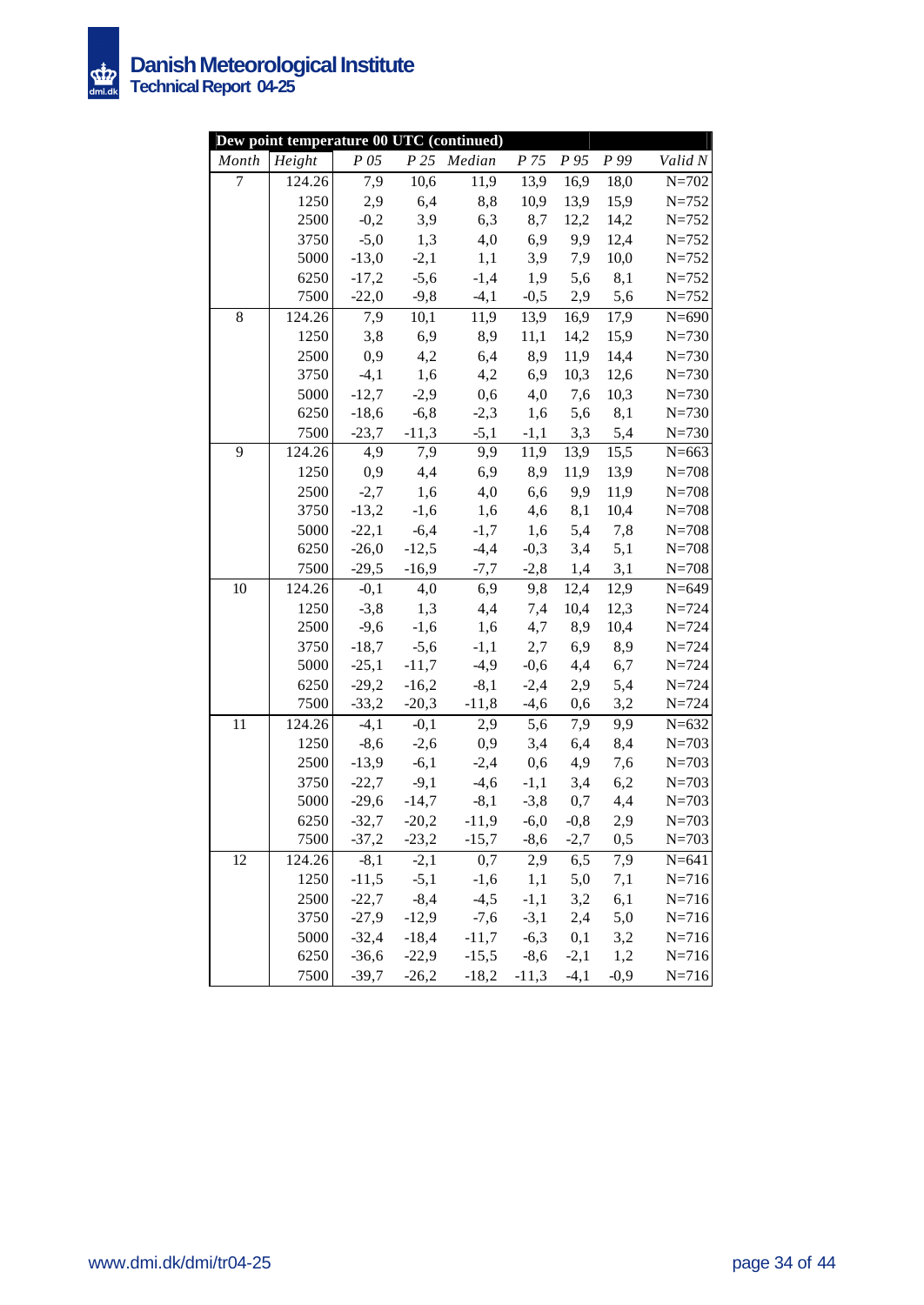

|                | Dew point temperature 00 UTC (continued) |         |                 |                                           |                           |           |           |           |
|----------------|------------------------------------------|---------|-----------------|-------------------------------------------|---------------------------|-----------|-----------|-----------|
| Month          | $\overline{Height}$                      | P 05    |                 | P 25 Median                               | P 75                      |           | P 95 P 99 | Valid N   |
| $\overline{7}$ | 124.26                                   | 7,9     | 10,6            | 11,9                                      | 13,9                      | 16,9      | 18,0      | $N = 702$ |
|                | 1250                                     | 2,9     | 6,4             | 8,8                                       | 10,9                      | 13,9      | 15,9      | $N = 752$ |
|                | 2500                                     | $-0,2$  | 3,9             | 6,3                                       | 8,7                       | 12,2      | 14,2      | $N = 752$ |
|                | 3750                                     | $-5,0$  | 1,3             | 4,0                                       |                           | 6,9 9,9   | 12,4      | $N = 752$ |
|                | 5000                                     | $-13,0$ | $-2,1$          | 1,1                                       | 3,9                       | 7,9       | 10,0      | $N = 752$ |
|                | 6250                                     | $-17,2$ | $-5,6$          | $-1,4$                                    | 1,9                       | 5,6       | 8,1       | $N = 752$ |
|                | 7500                                     | $-22,0$ | $-9,8$          |                                           | $-4,1$ $-0,5$             | 2,9       | 5,6       | $N = 752$ |
| 8              | 124.26                                   | 7,9     | 10,1            | 11,9                                      | 13,9                      | 16,9      | 17,9      | $N = 690$ |
|                | 1250                                     |         | $3,8$ $6,9$     | 8,9                                       | 11,1                      | 14,2      | 15,9      | $N = 730$ |
|                | 2500                                     | 0,9     |                 | 4,2<br>6,4                                | 8,9                       | 11,9      | 14,4      | $N = 730$ |
|                | 3750                                     | $-4,1$  | 1,6             | 4,2                                       | 6,9                       | 10,3      | 12,6      | $N = 730$ |
|                | 5000                                     | $-12,7$ | $-2,9$          | 0,6                                       |                           | $4,0$ 7,6 | 10,3      | $N = 730$ |
|                | 6250                                     | $-18,6$ | $-6, 8$         | $-2,3$                                    | 1,6                       | 5,6       | 8,1       | $N = 730$ |
|                | 7500                                     |         | $-23,7$ $-11,3$ |                                           | $-5,1$ $-1,1$ $3,3$ $5,4$ |           |           | $N = 730$ |
| 9              | 124.26                                   | 4,9     | 7,9             | 9,9                                       | 11,9                      | 13,9      | 15,5      | $N = 663$ |
|                | 1250                                     | 0,9     | 4,4             | 6,9                                       | 8,9                       | 11,9      | 13,9      | $N = 708$ |
|                | 2500                                     | $-2,7$  | 1,6             | 4,0                                       | 6,6                       | 9,9       | 11,9      | $N = 708$ |
|                | 3750                                     | $-13,2$ | $-1,6$          | 1,6                                       | 4,6                       | 8,1       | 10,4      | $N=708$   |
|                | 5000                                     | $-22,1$ | $-6,4$          | $-1,7$                                    | 1,6                       | 5,4       | 7,8       | $N = 708$ |
|                | 6250                                     |         | $-26,0$ $-12,5$ | $-4,4$                                    | $-0,3$                    | 3,4       | 5,1       | $N = 708$ |
|                | 7500                                     |         |                 | $-29,5$ $-16,9$ $-7,7$ $-2,8$ $1,4$ $3,1$ |                           |           |           | $N = 708$ |
| 10             | 124.26                                   | $-0,1$  |                 | 4,0 6,9                                   | 9,8                       | 12,4      | 12,9      | $N = 649$ |
|                | 1250                                     |         | $-3,8$ 1,3      | 4,4                                       | 7,4                       | 10,4      | 12,3      | $N = 724$ |
|                | 2500                                     | $-9,6$  | $-1,6$          | 1,6                                       |                           | 4,7 8,9   | 10,4      | $N = 724$ |
|                | 3750                                     | $-18,7$ | $-5,6$          | $-1,1$                                    | 2,7                       | 6,9       | 8,9       | $N = 724$ |
|                | 5000                                     | $-25,1$ | $-11,7$         | $-4,9$                                    | $-0,6$                    | 4,4       | 6,7       | $N = 724$ |
|                | 6250                                     | $-29,2$ | $-16,2$         | $-8,1$                                    | $-2,4$                    | 2,9       | 5,4       | $N = 724$ |
|                | 7500                                     | $-33,2$ | $-20,3$         | $-11,8$                                   | $-4,6$                    | 0,6       | 3,2       | $N = 724$ |
| 11             | 124.26                                   | $-4,1$  | $-0,1$          | 2,9                                       | 5,6                       | 7,9       | 9,9       | $N = 632$ |
|                | 1250                                     | $-8,6$  | $-2,6$          | 0,9                                       | 3,4                       | 6,4       | 8,4       | $N = 703$ |
|                | 2500                                     | $-13,9$ | $-6,1$          |                                           | $-2,4$ 0.6                | 4,9       | 7,6       | $N = 703$ |
|                | 3750                                     |         |                 | $-22,7$ $-9,1$ $-4,6$                     | $-1,1$                    | 3,4       | 6,2       | $N = 703$ |
|                | 5000                                     |         |                 | $-29,6$ $-14,7$ $-8,1$                    | $-3,8$                    | 0,7       | 4,4       | $N = 703$ |
|                | 6250                                     |         |                 | $-32,7$ $-20,2$ $-11,9$ $-6,0$ $-0,8$     |                           |           | 2,9       | $N = 703$ |
|                | 7500                                     | $-37,2$ | $-23,2$         | $-15,7$                                   | $-8,6$                    | $-2,7$    | 0,5       | $N = 703$ |
| 12             | 124.26                                   | $-8,1$  | $-2,1$          | 0,7                                       | 2,9                       | 6,5       | 7,9       | $N = 641$ |
|                | 1250                                     | $-11,5$ | $-5,1$          | $-1,6$                                    | 1,1                       | 5,0       | 7,1       | $N = 716$ |
|                | 2500                                     | $-22,7$ | $-8,4$          | $-4,5$                                    | $-1,1$                    | 3,2       | 6,1       | $N = 716$ |
|                | 3750                                     | $-27,9$ | $-12,9$         | $-7,6$                                    | $-3,1$                    | 2,4       | 5,0       | $N = 716$ |
|                | 5000                                     | $-32,4$ | $-18,4$         | $-11,7$                                   | $-6,3$                    | 0,1       | 3,2       | $N = 716$ |
|                | 6250                                     | $-36,6$ | $-22,9$         | $-15,5$                                   | $-8,6$                    | $-2,1$    | 1,2       | $N = 716$ |
|                | 7500                                     | $-39,7$ | $-26,2$         | $-18,2$                                   | $-11,3$                   | $-4,1$    | $-0,9$    | $N = 716$ |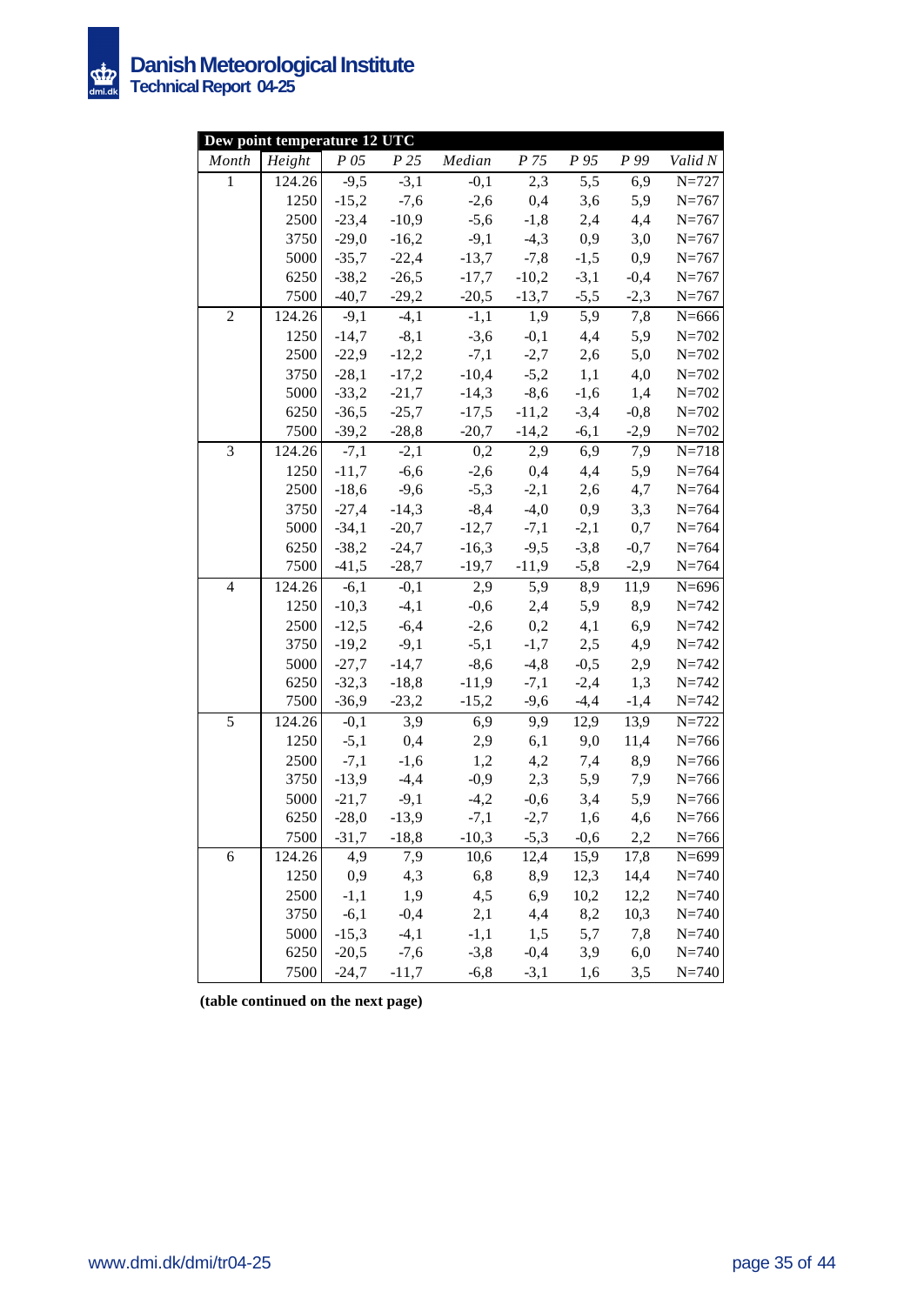

|                | Dew point temperature 12 UTC |                   |                 |         |                               |                  |        |           |
|----------------|------------------------------|-------------------|-----------------|---------|-------------------------------|------------------|--------|-----------|
| Month          | Height                       | P 05              | P <sub>25</sub> | Median  | P 75                          | P 95             | P 99   | Valid N   |
| $\mathbf{1}$   | 124.26                       | $-9,5$            | $-3,1$          | $-0,1$  | 2,3                           | $\overline{5,5}$ | 6,9    | $N=727$   |
|                | 1250                         | $-15,2$           | $-7,6$          | $-2,6$  | 0,4                           | 3,6              | 5,9    | $N = 767$ |
|                | 2500                         | $-23,4$           | $-10,9$         | $-5,6$  | $-1,8$                        | 2,4              | 4,4    | $N = 767$ |
|                | 3750                         | $-29,0$           | $-16,2$         | $-9,1$  | $-4,3$                        | 0,9              | 3,0    | $N = 767$ |
|                | 5000                         | $-35,7$           | $-22,4$         | $-13,7$ | $-7,8$                        | $-1,5$           | 0,9    | $N = 767$ |
|                | 6250                         | $-38,2$           | $-26,5$         | $-17,7$ | $-10,2$                       | $-3,1$           | $-0,4$ | $N = 767$ |
|                | 7500                         | $-40,7$           | $-29,2$         | $-20,5$ | $-13,7$                       | $-5,5$           | $-2,3$ | $N = 767$ |
| $\mathfrak{2}$ | 124.26                       | $\overline{-}9,1$ | $-4,1$          | $-1,1$  | 1,9                           | 5,9              | 7,8    | $N = 666$ |
|                | 1250                         |                   | $-14,7$ $-8,1$  | $-3,6$  | $-0,1$                        | 4,4              | 5,9    | $N = 702$ |
|                | 2500                         | $-22,9$           | $-12,2$         | $-7,1$  | $-2,7$                        | 2,6              | 5,0    | $N = 702$ |
|                | 3750                         | $-28,1$           | $-17,2$         | $-10,4$ | $-5,2$                        | 1,1              | 4,0    | $N = 702$ |
|                | 5000                         | $-33,2$           | $-21,7$         | $-14,3$ | $-8,6$                        | $-1,6$           | 1,4    | $N = 702$ |
|                | 6250                         | $-36,5$           | $-25,7$         | $-17,5$ | $-11,2$                       | $-3,4$           | $-0,8$ | $N = 702$ |
|                | 7500                         | $-39,2$           | $-28,8$         |         | $-20,7$ $-14,2$               | $-6,1$           | $-2,9$ | $N = 702$ |
| 3              | 124.26                       | $-7,1$            | $-2,1$          | 0,2     | 2,9                           | 6,9              | 7,9    | $N = 718$ |
|                | 1250                         | $-11,7$           | $-6,6$          | $-2,6$  | 0,4                           | 4,4              | 5,9    | $N = 764$ |
|                | 2500                         | $-18,6$           | $-9,6$          | $-5,3$  | $-2,1$                        | 2,6              | 4,7    | $N = 764$ |
|                | 3750                         | $-27,4$           | $-14,3$         | $-8,4$  | $-4,0$                        | 0,9              | 3,3    | $N = 764$ |
|                | 5000                         | $-34,1$           | $-20,7$         | $-12,7$ | $-7,1$                        | $-2,1$           | 0,7    | $N = 764$ |
|                | 6250                         | $-38,2$           | $-24,7$         | $-16,3$ | $-9,5$                        | $-3,8$           | $-0,7$ | $N = 764$ |
|                | 7500                         |                   | $-41,5$ $-28,7$ |         | $-19,7$ $-11,9$ $-5,8$ $-2,9$ |                  |        | $N = 764$ |
| $\overline{4}$ | 124.26                       |                   | $-6,1$ $-0,1$   | 2,9     | 5,9                           | 8,9              | 11,9   | $N = 696$ |
|                | 1250                         | $-10,3$           | $-4,1$          |         | $-0,6$ 2,4                    | 5,9              | 8,9    | $N = 742$ |
|                | 2500                         | $-12,5$           | $-6,4$          | $-2,6$  | 0,2                           | 4,1              | 6,9    | $N = 742$ |
|                | 3750                         | $-19,2$           | $-9,1$          | $-5,1$  | $-1,7$                        | 2,5              | 4,9    | $N = 742$ |
|                | 5000                         | $-27,7$           | $-14,7$         | $-8,6$  | $-4, 8$                       | $-0,5$           | 2,9    | $N = 742$ |
|                | 6250                         | $-32,3$           | $-18,8$         | $-11,9$ | $-7,1$                        | $-2,4$           | 1,3    | $N = 742$ |
|                | 7500                         | $-36,9$           | $-23,2$         | $-15,2$ | $-9,6$                        | $-4,4$           | $-1,4$ | $N = 742$ |
| 5              | 124.26                       | $-0,1$            | 3,9             | 6,9     | 9,9                           | 12,9             | 13,9   | $N = 722$ |
|                | 1250                         | $-5,1$            | 0,4             | 2,9     | 6,1                           | 9,0              | 11,4   | $N = 766$ |
|                | 2500                         | $-7,1$            | $-1,6$          | 1,2     | 4,2                           | 7,4              | 8,9    | $N = 766$ |
|                | 3750                         | $-13,9$           | $-4,4$          | $-0,9$  | 2,3                           | 5,9              | 7,9    | $N = 766$ |
|                | 5000                         | $-21,7$           | $-9,1$          | $-4,2$  | $-0,6$                        | 3,4              | 5,9    | $N = 766$ |
|                | 6250                         | $-28,0$           | $-13,9$         |         | $-7,1$ $-2,7$ $1,6$           |                  | 4,6    | $N = 766$ |
|                | 7500                         | $-31,7$           | $-18,8$         | $-10,3$ | $-5,3$                        | $-0,6$           | 2,2    | $N = 766$ |
| $\sqrt{6}$     | 124.26                       | 4,9               | 7,9             | 10,6    | 12,4                          | 15,9             | 17,8   | $N = 699$ |
|                | 1250                         | 0,9               | 4,3             | 6,8     | 8,9                           | 12,3             | 14,4   | $N = 740$ |
|                | 2500                         | $-1,1$            | 1,9             | 4,5     | 6,9                           | 10,2             | 12,2   | $N = 740$ |
|                | 3750                         | $-6,1$            | $-0,4$          | 2,1     | 4,4                           | 8,2              | 10,3   | $N = 740$ |
|                | 5000                         | $-15,3$           | $-4,1$          | $-1,1$  | 1,5                           | 5,7              | 7,8    | $N = 740$ |
|                | 6250                         | $-20,5$           | $-7,6$          | $-3,8$  | $-0,4$                        | 3,9              | 6,0    | $N = 740$ |
|                | 7500                         | $-24,7$           | $-11,7$         | $-6,8$  | $-3,1$                        | 1,6              | 3,5    | $N = 740$ |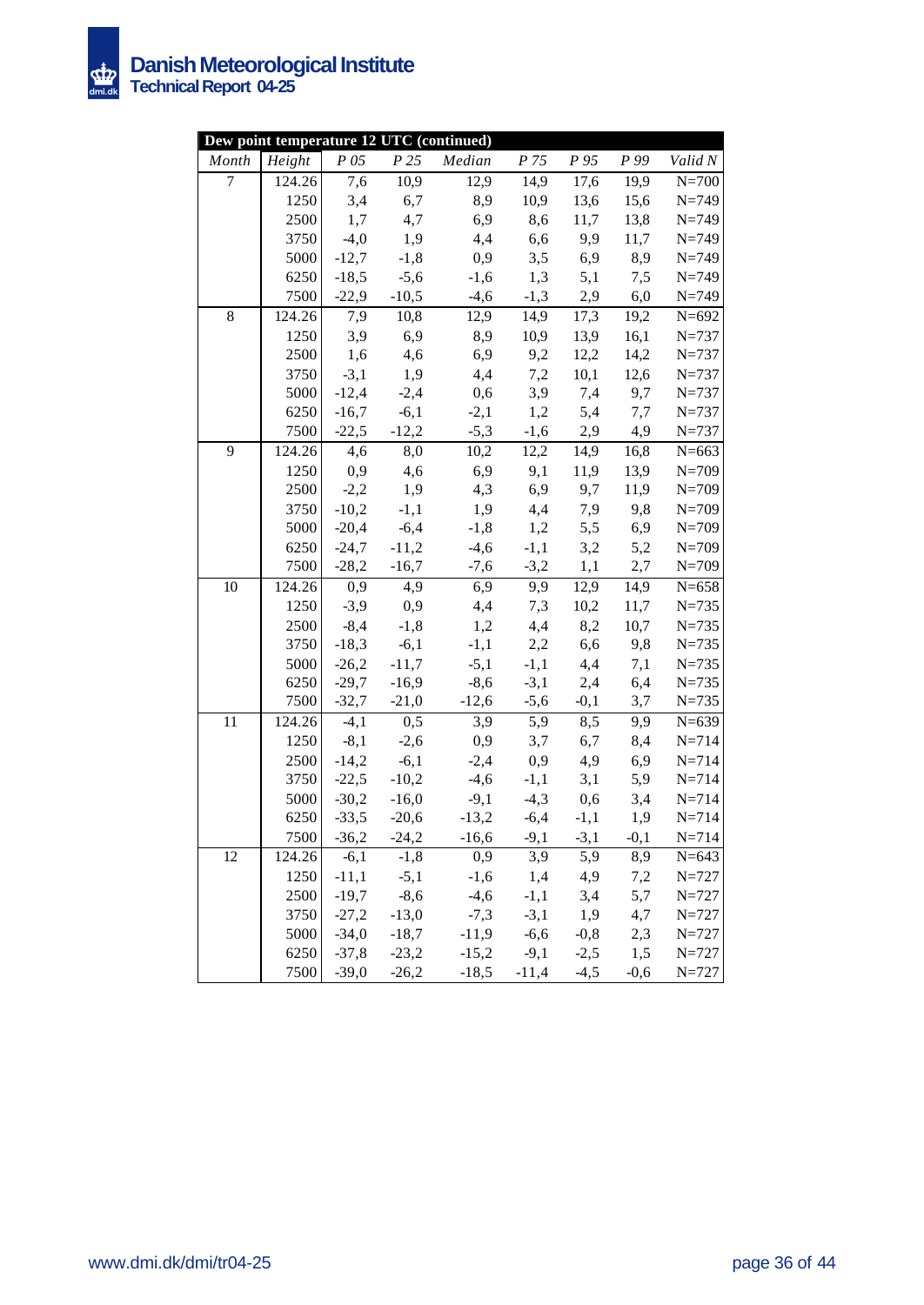

|                | Dew point temperature 12 UTC (continued) |                    |                         |                   |                      |            |            |                        |
|----------------|------------------------------------------|--------------------|-------------------------|-------------------|----------------------|------------|------------|------------------------|
| Month          | Height                                   | P 05               | P25                     | Median            | P 75                 | $P_{95}$   | P 99       | Valid N                |
| $\overline{7}$ | 124.26                                   | 7,6                | 10,9                    | $\overline{12,9}$ | 14,9                 | 17,6       | 19,9       | $N=700$                |
|                | 1250                                     | 3,4                | 6,7                     | 8,9               | 10,9                 | 13,6       | 15,6       | $N = 749$              |
|                | 2500                                     | 1,7                | 4,7                     | 6,9               | 8,6                  | 11,7       | 13,8       | $N = 749$              |
|                | 3750                                     | $-4,0$             | 1,9                     | 4,4               | 6,6                  | 9,9        | 11,7       | $N = 749$              |
|                | 5000                                     | $-12,7$            | $-1,8$                  | 0,9               | 3,5                  | 6,9        | 8,9        | $N = 749$              |
|                | 6250                                     | $-18,5$            | $-5,6$                  | $-1,6$            | 1,3                  | 5,1        | 7,5        | $N = 749$              |
|                | 7500                                     |                    | $-22,9$ $-10,5$         | $-4,6$            |                      | $-1,3$ 2,9 | 6,0        | $N = 749$              |
| $8\,$          | 124.26                                   | 7,9                | 10,8                    | 12,9              | 14,9                 | 17,3       | 19,2       | $N = 692$              |
|                | 1250                                     | 3,9                | 6,9                     | 8,9               | 10,9                 | 13,9       | 16,1       | $N = 737$              |
|                | 2500                                     | 1,6                | 4,6                     | 6,9               | 9,2                  | 12,2       | 14,2       | $N = 737$              |
|                | 3750                                     | $-3,1$             | 1,9                     | 4,4               | 7,2                  | 10,1       | 12,6       | $N = 737$              |
|                | 5000                                     | $-12,4$            | $-2,4$                  | 0,6               | 3,9                  | 7,4        | 9,7        | $N = 737$              |
|                | 6250                                     | $-16,7$            | $-6,1$                  | $-2,1$            | 1,2                  | 5,4        | 7,7        | $N = 737$              |
|                | 7500                                     |                    | $-22,5$ $-12,2$         | $-5,3$            | $-1,6$               | 2,9        | 4,9        | $N = 737$              |
| 9              | 124.26                                   | 4,6                | 8,0                     | 10,2              | 12,2                 | 14,9       | 16,8       | $N = 663$              |
|                | 1250                                     | 0,9                | 4,6                     | 6,9               | 9,1                  | 11,9       | 13,9       | $N = 709$              |
|                | 2500                                     | $-2,2$             | 1,9                     | 4,3               | 6,9                  | 9,7        | 11,9       | $N = 709$              |
|                | 3750                                     | $-10,2$            | $-1,1$                  | 1,9               | 4,4                  | 7,9        | 9,8        | $N = 709$              |
|                | 5000                                     | $-20,4$            | $-6,4$                  | $-1,8$            | 1,2                  | 5,5        | 6,9        | $N = 709$              |
|                | 6250                                     |                    | $-24,7$ $-11,2$         | $-4,6$            | $-1,1$               | 3,2        | 5,2        | $N = 709$              |
|                | 7500                                     |                    | $-28,2$ $-16,7$         | $-7,6$            | $-3,2$               | 1,1        | 2,7        | $N = 709$              |
| 10             | 124.26                                   |                    | $0,9$ 4,9               |                   | 6,9 9,9              | 12,9       | 14,9       | $N = 658$              |
|                | 1250                                     |                    | $-3,9$ 0,9              |                   | 4,4 7,3              | 10,2       | 11,7       | $N = 735$              |
|                | 2500                                     | $-8,4$             | $-1,8$                  | 1,2               | 4,4                  | 8,2        | 10,7       | $N = 735$              |
|                | 3750                                     |                    | $-18,3$ $-6,1$          | $-1,1$            | 2,2                  | 6,6        | 9,8        | $N = 735$              |
|                | 5000                                     | $-26,2$            | $-11,7$                 | $-5,1$            | $-1,1$               | 4,4        | 7,1        | $N = 735$              |
|                | 6250                                     | $-29,7$            | $-16,9$                 | $-8,6$            | $-3,1$               | 2,4        | 6,4        | $N = 735$              |
|                | 7500                                     |                    | $-32,7$ $-21,0$         | $-12,6$           | $-5,6$               | $-0,1$     | 3,7        | $N = 735$              |
| 11             | 124.26                                   | $-4,1$             | $0,\overline{5}$        | 3,9               | $\overline{5,9}$     | 8,5        | 9,9        | $N = 639$              |
|                | 1250                                     | $-8,1$             | $-2,6$                  | 0,9               | 3,7                  | 6,7        | 8,4        | $N = 714$              |
|                | 2500                                     | $-14,2$            | $-6,1$                  | $-2,4$            | 0,9                  | 4,9        | 6,9        | $N = 714$              |
|                | 3750                                     | $-22,5$            | $-10,2$                 | $-4,6$            | $-1,1$               | 3,1        | 5,9        | $N = 714$              |
|                | 5000                                     |                    | $-30,2$ $-16,0$         | $-9,1$            | $-4,3$               | 0,6        | 3,4        | $N = 714$              |
|                | 6250                                     | $-33,5$            | $-20,6$                 |                   | $-13,2$ $-6,4$       | $-1,1$     | 1,9        | $N = 714$              |
|                | 7500                                     |                    | $-36,2$ $-24,2$         | $-16,6$           | $-9,1$ $-3,1$<br>3,9 |            | $-0,1$     | $N = 714$              |
| 12             | 124.26                                   |                    | $-6,1$ $-1,8$<br>$-5,1$ | 0,9               |                      | 5,9        | 8,9        | $N = 643$              |
|                | 1250                                     | $-11,1$            | $-8,6$                  | $-1,6$            | 1,4                  | 4,9        | 7,2        | $N = 727$<br>$N = 727$ |
|                | 2500<br>3750                             | $-19,7$<br>$-27,2$ | $-13,0$                 | $-4,6$<br>$-7,3$  | $-1,1$<br>$-3,1$     | 3,4<br>1,9 | 5,7<br>4,7 | $N = 727$              |
|                | 5000                                     | $-34,0$            | $-18,7$                 | $-11,9$           | $-6,6$               | $-0,8$     | 2,3        | $N = 727$              |
|                | 6250                                     | $-37,8$            | $-23,2$                 | $-15,2$           | $-9,1$               | $-2,5$     | 1,5        | $N = 727$              |
|                | 7500                                     | $-39,0$            | $-26,2$                 | $-18,5$           | $-11,4$              | $-4,5$     | $-0,6$     | $N = 727$              |
|                |                                          |                    |                         |                   |                      |            |            |                        |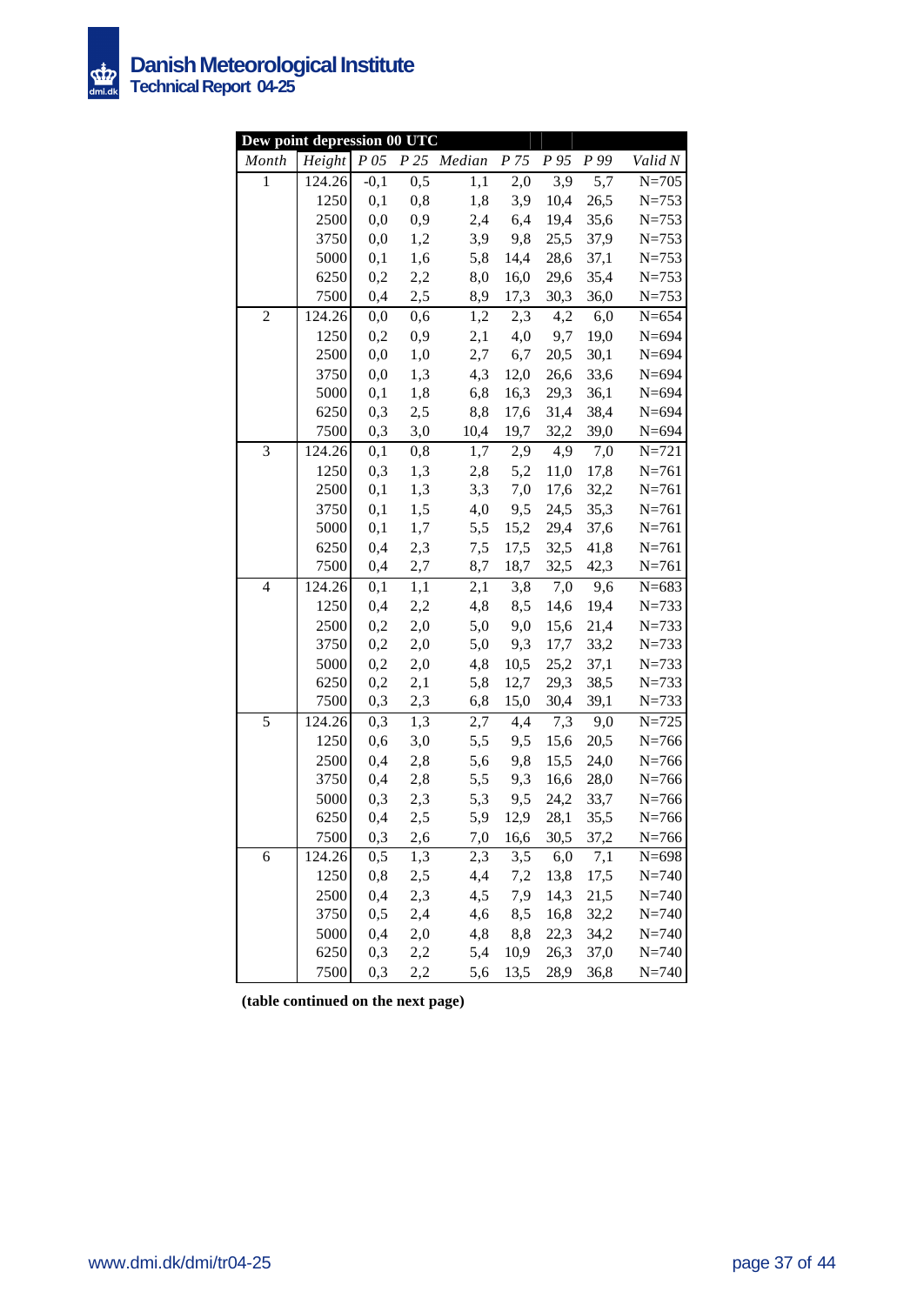

| Dew point depression 00 UTC |        |         |     |             |                 |      |      |                    |
|-----------------------------|--------|---------|-----|-------------|-----------------|------|------|--------------------|
| Month                       | Height | $P\,05$ |     | P 25 Median | P <sub>75</sub> | P 95 | P 99 | Valid N            |
| $\mathbf{1}$                | 124.26 | $-0,1$  | 0,5 | 1,1         | 2,0             | 3,9  | 5,7  | $\overline{N=}705$ |
|                             | 1250   | 0,1     | 0,8 | 1,8         | 3,9             | 10,4 | 26,5 | $N = 753$          |
|                             | 2500   | 0,0     | 0,9 | 2,4         | 6,4             | 19,4 | 35,6 | $N = 753$          |
|                             | 3750   | 0,0     | 1,2 | 3,9         | 9,8             | 25,5 | 37,9 | $N = 753$          |
|                             | 5000   | 0,1     | 1,6 | 5,8         | 14,4            | 28,6 | 37,1 | $N = 753$          |
|                             | 6250   | 0,2     | 2,2 | 8,0         | 16,0            | 29,6 | 35,4 | $N = 753$          |
|                             | 7500   | 0,4     | 2,5 | 8,9         | 17,3            | 30,3 | 36,0 | $N = 753$          |
| $\overline{c}$              | 124.26 | 0,0     | 0,6 | 1,2         | 2,3             | 4,2  | 6,0  | $N = 654$          |
|                             | 1250   | 0,2     | 0,9 | 2,1         | 4,0             | 9,7  | 19,0 | $N = 694$          |
|                             | 2500   | 0,0     | 1,0 | 2,7         | 6,7             | 20,5 | 30,1 | $N = 694$          |
|                             | 3750   | 0,0     | 1,3 | 4,3         | 12,0            | 26,6 | 33,6 | $N = 694$          |
|                             | 5000   | 0,1     | 1,8 | 6,8         | 16,3            | 29,3 | 36,1 | $N = 694$          |
|                             | 6250   | 0,3     | 2,5 | 8,8         | 17,6            | 31,4 | 38,4 | $N = 694$          |
|                             | 7500   | 0,3     | 3,0 | 10,4        | 19,7            | 32,2 | 39,0 | $N = 694$          |
| 3                           | 124.26 | 0,1     | 0,8 | 1,7         | 2,9             | 4,9  | 7,0  | $N = 721$          |
|                             | 1250   | 0,3     | 1,3 | 2,8         | 5,2             | 11,0 | 17,8 | $N = 761$          |
|                             | 2500   | 0,1     | 1,3 | 3,3         | 7,0             | 17,6 | 32,2 | $N = 761$          |
|                             | 3750   | 0,1     | 1,5 | 4,0         | 9,5             | 24,5 | 35,3 | $N = 761$          |
|                             | 5000   | 0,1     | 1,7 | 5,5         | 15,2            | 29,4 | 37,6 | $N = 761$          |
|                             | 6250   | 0,4     | 2,3 | 7,5         | 17,5            | 32,5 | 41,8 | $N = 761$          |
|                             | 7500   | 0,4     | 2,7 | 8,7         | 18,7            | 32,5 | 42,3 | $N = 761$          |
| $\overline{4}$              | 124.26 | 0,1     | 1,1 | 2,1         | 3,8             | 7,0  | 9,6  | $N = 683$          |
|                             | 1250   | 0,4     | 2,2 | 4,8         | 8,5             | 14,6 | 19,4 | $N = 733$          |
|                             | 2500   | 0,2     | 2,0 | 5,0         | 9,0             | 15,6 | 21,4 | $N = 733$          |
|                             | 3750   | 0,2     | 2,0 | 5,0         | 9,3             | 17,7 | 33,2 | $N = 733$          |
|                             | 5000   | 0,2     | 2,0 | 4,8         | 10,5            | 25,2 | 37,1 | $N = 733$          |
|                             | 6250   | 0,2     | 2,1 | 5,8         | 12,7            | 29,3 | 38,5 | $N = 733$          |
|                             | 7500   | 0,3     | 2,3 | 6,8         | 15,0            | 30,4 | 39,1 | $N = 733$          |
| 5                           | 124.26 | 0,3     | 1,3 | 2,7         | 4,4             | 7,3  | 9,0  | $N = 725$          |
|                             | 1250   | 0,6     | 3,0 | 5,5         | 9,5             | 15,6 | 20,5 | $N = 766$          |
|                             | 2500   | 0,4     | 2,8 | 5,6         | 9,8             | 15,5 | 24,0 | $N = 766$          |
|                             | 3750   | 0,4     | 2,8 | 5,5         | 9,3             | 16,6 | 28,0 | $N = 766$          |
|                             | 5000   | 0,3     | 2,3 | 5,3         | 9,5             | 24,2 | 33,7 | $N = 766$          |
|                             | 6250   | 0,4     | 2,5 | 5,9         | 12,9            | 28,1 | 35,5 | $N = 766$          |
|                             | 7500   | 0,3     | 2,6 | 7,0         | 16,6            | 30,5 | 37,2 | $N = 766$          |
| 6                           | 124.26 | 0,5     | 1,3 | 2,3         | 3,5             | 6,0  | 7,1  | $N = 698$          |
|                             | 1250   | 0,8     | 2,5 | 4,4         | 7,2             | 13,8 | 17,5 | $N = 740$          |
|                             | 2500   | 0,4     | 2,3 | 4,5         | 7,9             | 14,3 | 21,5 | $N = 740$          |
|                             | 3750   | 0,5     | 2,4 | 4,6         | 8,5             | 16,8 | 32,2 | $N = 740$          |
|                             | 5000   | 0,4     | 2,0 | 4,8         | 8,8             | 22,3 | 34,2 | $N = 740$          |
|                             | 6250   | 0,3     | 2,2 | 5,4         | 10,9            | 26,3 | 37,0 | $N = 740$          |
|                             | 7500   | 0,3     | 2,2 | 5,6         | 13,5            | 28,9 | 36,8 | $N = 740$          |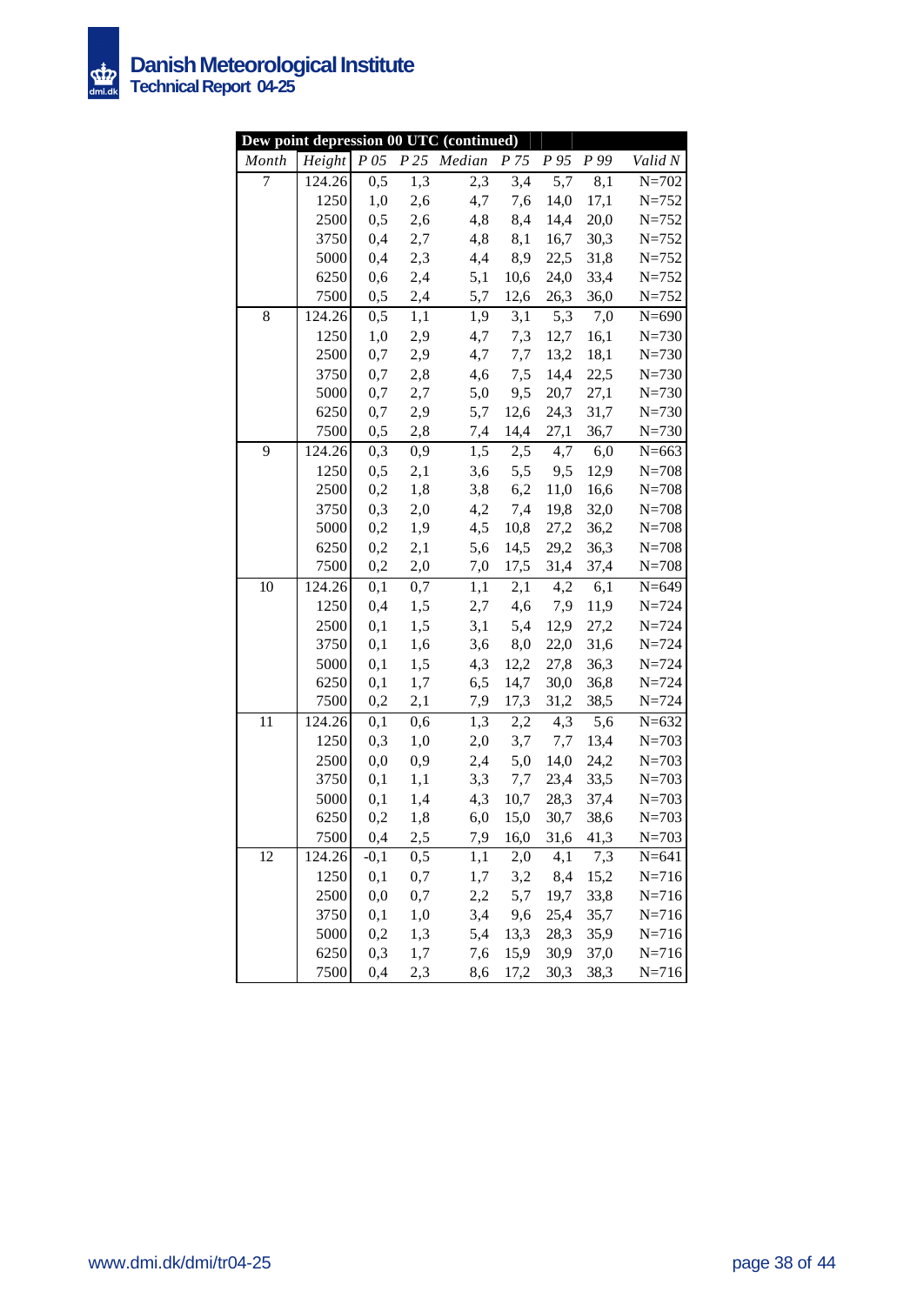

|       |        |          |                  | Dew point depression 00 UTC (continued) |      |           |                  |                    |
|-------|--------|----------|------------------|-----------------------------------------|------|-----------|------------------|--------------------|
| Month | Height | $P\,05$  |                  | P25 Median                              | P 75 | P 95      | P 99             | Valid N            |
| 7     | 124.26 | 0,5      | $\overline{1,3}$ | $\overline{2,3}$                        | 3,4  | 5,7       | $\overline{8,1}$ | $\overline{N=}702$ |
|       | 1250   | 1,0      | 2,6              | 4,7                                     | 7,6  | 14,0      | 17,1             | $N = 752$          |
|       | 2500   | 0,5      | 2,6              | 4,8                                     | 8,4  | 14,4      | 20,0             | $N = 752$          |
|       | 3750   | 0,4      | 2,7              | 4,8                                     | 8,1  | 16,7      | 30,3             | $N = 752$          |
|       | 5000   | 0,4      | 2,3              | 4,4                                     | 8,9  | 22,5      | 31,8             | $N = 752$          |
|       | 6250   | 0,6      | 2,4              | 5,1                                     | 10,6 | 24,0      | 33,4             | $N = 752$          |
|       | 7500   | 0,5      | 2,4              | 5,7                                     | 12,6 | 26,3      | 36,0             | $N = 752$          |
| 8     | 124.26 | 0,5      | 1,1              | 1,9                                     | 3,1  | 5,3       | 7,0              | $N = 690$          |
|       | 1250   | 1,0      | 2,9              | 4,7                                     | 7,3  | 12,7      | 16,1             | $N = 730$          |
|       | 2500   | 0,7      | 2,9              | 4,7                                     | 7,7  | 13,2      | 18,1             | $N = 730$          |
|       | 3750   | 0,7      | 2,8              | 4,6                                     | 7,5  | 14,4      | 22,5             | $N = 730$          |
|       | 5000   | 0,7      | 2,7              | 5,0                                     | 9,5  | 20,7      | 27,1             | $N = 730$          |
|       | 6250   | $0,7$    | 2,9              | 5,7                                     | 12,6 | 24,3      | 31,7             | $N = 730$          |
|       | 7500   | 0,5      | 2,8              | 7,4                                     | 14,4 | 27,1      | 36,7             | $N = 730$          |
| 9     | 124.26 | 0,3      | 0,9              | 1,5                                     | 2,5  | 4,7       | 6,0              | $N = 663$          |
|       | 1250   | 0,5      | 2,1              | 3,6                                     | 5,5  | 9,5       | 12,9             | $N = 708$          |
|       | 2500   | 0,2      | 1,8              | 3,8                                     | 6,2  | 11,0      | 16,6             | $N = 708$          |
|       | 3750   | 0,3      | 2,0              | 4,2                                     | 7,4  | 19,8      | 32,0             | $N = 708$          |
|       | 5000   | 0,2      | 1,9              | 4,5                                     | 10,8 | 27,2      | 36,2             | $N = 708$          |
|       | 6250   | 0,2      | 2,1              | 5,6                                     | 14,5 | 29,2      | 36,3             | $N = 708$          |
|       | 7500   | 0,2      | 2,0              | 7,0                                     | 17,5 |           | 31,4 37,4        | $N = 708$          |
| 10    | 124.26 | 0,1      | 0,7              | 1,1                                     |      | $2,1$ 4,2 | 6,1              | $N = 649$          |
|       | 1250   | 0,4      | 1,5              | 2,7                                     |      | 4,6 7,9   | 11,9             | $N = 724$          |
|       | 2500   | 0,1      | 1,5              | 3,1                                     | 5,4  | 12,9      | 27,2             | $N = 724$          |
|       | 3750   | 0,1      | 1,6              | 3,6                                     | 8,0  | 22,0      | 31,6             | $N = 724$          |
|       | 5000   | 0,1      | 1,5              | 4,3                                     | 12,2 | 27,8      | 36,3             | $N = 724$          |
|       | 6250   | 0,1      | 1,7              | 6,5                                     | 14,7 | 30,0      | 36,8             | $N = 724$          |
|       | 7500   | 0,2      | 2,1              | 7,9                                     | 17,3 | 31,2      | 38,5             | $N = 724$          |
| 11    | 124.26 | 0,1      | 0,6              | 1,3                                     | 2,2  | 4,3       | 5,6              | $N = 632$          |
|       | 1250   | 0,3      | 1,0              | 2,0                                     | 3,7  | 7,7       | 13,4             | $N = 703$          |
|       | 2500   | $_{0,0}$ | 0,9              | 2,4                                     | 5,0  | 14,0      | 24,2             | $N = 703$          |
|       | 3750   | 0,1      | 1,1              | 3,3                                     | 7,7  | 23,4      | 33,5             | $N = 703$          |
|       | 5000   | 0,1      | 1,4              | 4,3                                     | 10,7 | 28,3      | 37,4             | $N = 703$          |
|       | 6250   | 0,2      | 1,8              | 6,0                                     | 15,0 | 30,7      | 38,6             | $N = 703$          |
|       | 7500   | 0,4      | 2,5              | 7,9                                     | 16,0 | 31,6      | 41,3             | $N = 703$          |
| 12    | 124.26 | $-0,1$   | 0,5              | 1,1                                     | 2,0  | 4,1       | 7,3              | $N = 641$          |
|       | 1250   | 0,1      | 0,7              | 1,7                                     | 3,2  | 8,4       | 15,2             | $N = 716$          |
|       | 2500   | $_{0,0}$ | 0,7              | 2,2                                     | 5,7  | 19,7      | 33,8             | $N = 716$          |
|       | 3750   | 0,1      | 1,0              | 3,4                                     | 9,6  | 25,4      | 35,7             | $N = 716$          |
|       | 5000   | 0,2      | 1,3              | 5,4                                     | 13,3 | 28,3      | 35,9             | $N = 716$          |
|       | 6250   | 0,3      | 1,7              | 7,6                                     | 15,9 | 30,9      | 37,0             | $N = 716$          |
|       | 7500   | 0,4      | 2,3              | 8,6                                     | 17,2 | 30,3      | 38,3             | $N = 716$          |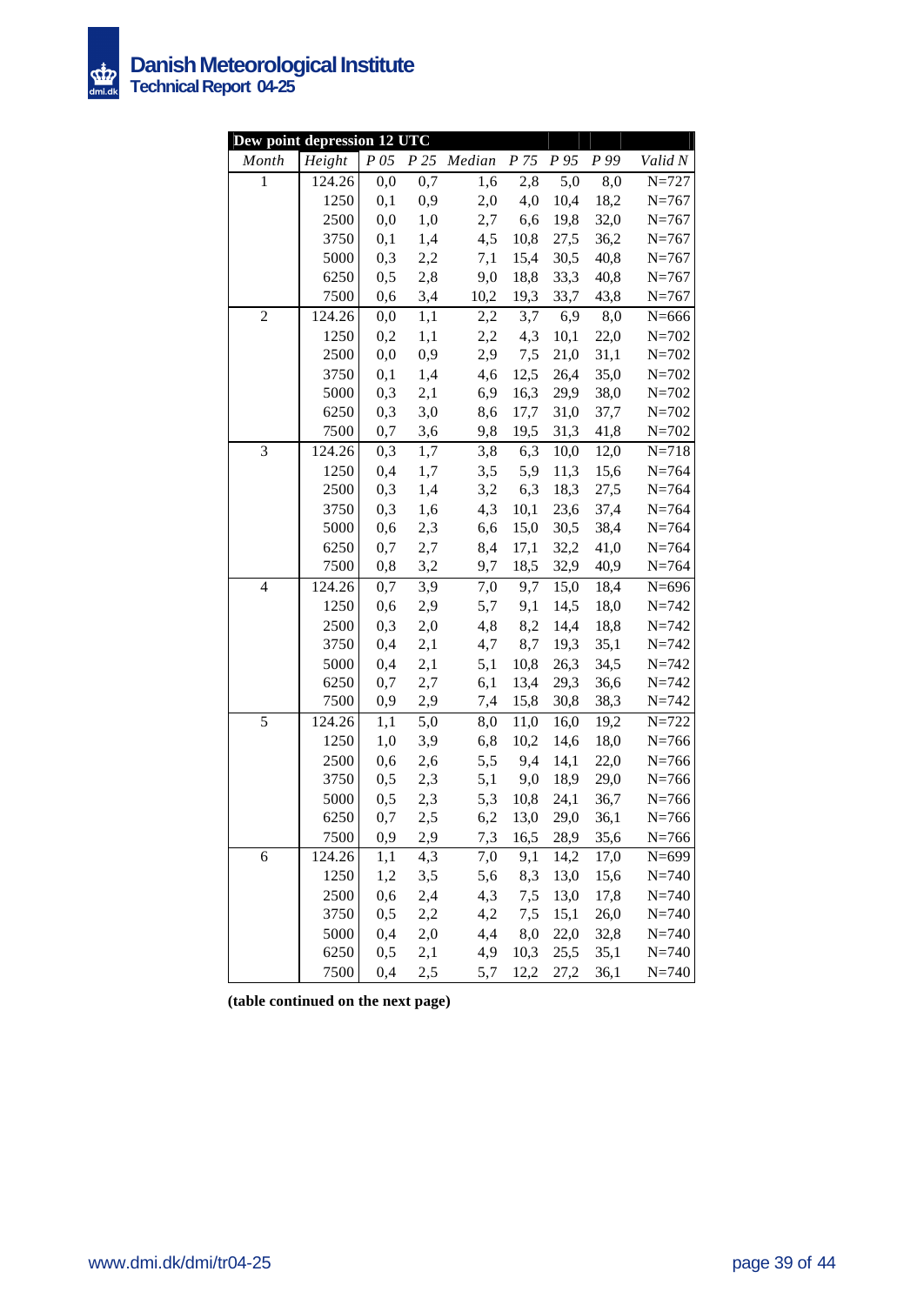

|                | Dew point depression 12 UTC |            |                  |             |              |              |              |                        |  |  |  |
|----------------|-----------------------------|------------|------------------|-------------|--------------|--------------|--------------|------------------------|--|--|--|
| Month          | Height                      | $P$ 05     |                  | P 25 Median | P 75         | P 95         | P 99         | Valid N                |  |  |  |
| $\mathbf{1}$   | 124.26                      | 0,0        | $\overline{0,7}$ | 1,6         | 2,8          | 5,0          | 8,0          | $N = 727$              |  |  |  |
|                | 1250                        | 0,1        | 0,9              | 2,0         | 4,0          | 10,4         | 18,2         | $N = 767$              |  |  |  |
|                | 2500                        | 0,0        | 1,0              | 2,7         | 6,6          | 19,8         | 32,0         | $N = 767$              |  |  |  |
|                | 3750                        | 0,1        | 1,4              | 4,5         | 10,8         | 27,5         | 36,2         | $N = 767$              |  |  |  |
|                | 5000                        | 0,3        | 2,2              | 7,1         | 15,4         | 30,5         | 40,8         | $N = 767$              |  |  |  |
|                | 6250                        | 0,5        | 2,8              | 9,0         | 18,8         | 33,3         | 40,8         | $N = 767$              |  |  |  |
|                | 7500                        | 0,6        | 3,4              | 10,2        | 19,3         | 33,7         | 43,8         | $N = 767$              |  |  |  |
| $\overline{c}$ | 124.26                      | 0,0        | 1,1              | 2,2         | 3,7          | 6,9          | 8,0          | $N = 666$              |  |  |  |
|                | 1250                        | 0,2        | 1,1              | 2,2         | 4,3          | 10,1         | 22,0         | $N = 702$              |  |  |  |
|                | 2500                        | 0,0        | 0,9              | 2,9         | 7,5          | 21,0         | 31,1         | $N = 702$              |  |  |  |
|                | 3750                        | 0,1        | 1,4              | 4,6         | 12,5         | 26,4         | 35,0         | $N = 702$              |  |  |  |
|                | 5000                        | 0,3        | 2,1              | 6,9         | 16,3         | 29,9         | 38,0         | $N = 702$              |  |  |  |
|                | 6250                        | 0,3        | 3,0              | 8,6         | 17,7         | 31,0         | 37,7         | $N = 702$              |  |  |  |
|                | 7500                        | 0,7        | 3,6              | 9,8         | 19,5         | 31,3         | 41,8         | $N = 702$              |  |  |  |
| 3              | 124.26                      | 0,3        | 1,7              | 3,8         | 6,3          | 10,0         | 12,0         | $N = 718$              |  |  |  |
|                | 1250                        | 0,4        | 1,7              | 3,5         | 5,9          | 11,3         | 15,6         | $N = 764$              |  |  |  |
|                | 2500                        | 0,3        | 1,4              | 3,2         | 6,3          | 18,3         | 27,5         | $N = 764$              |  |  |  |
|                | 3750                        | 0,3        | 1,6              | 4,3         | 10,1         | 23,6         | 37,4         | $N = 764$              |  |  |  |
|                | 5000                        | 0,6        | 2,3              | 6,6         | 15,0         | 30,5         | 38,4         | $N = 764$              |  |  |  |
|                | 6250                        | 0,7        | 2,7              | 8,4         | 17,1         | 32,2         | 41,0         | $N = 764$              |  |  |  |
|                | 7500                        | 0,8        | 3,2              | 9,7         | 18,5         | 32,9         | 40,9         | $N = 764$              |  |  |  |
| $\overline{4}$ | 124.26                      | 0,7        | 3,9              | 7,0         | 9,7          | 15,0         | 18,4         | $N = 696$              |  |  |  |
|                | 1250                        | 0,6        | 2,9              | 5,7         | 9,1          | 14,5         | 18,0         | $N = 742$              |  |  |  |
|                | 2500                        | 0,3        | 2,0              | 4,8         | 8,2          | 14,4         | 18,8         | $N = 742$              |  |  |  |
|                | 3750                        | 0,4        | 2,1              | 4,7         | 8,7          | 19,3         | 35,1         | $N = 742$              |  |  |  |
|                | 5000                        | 0,4        | 2,1              | 5,1         | 10,8         | 26,3         | 34,5         | $N = 742$              |  |  |  |
|                | 6250                        | 0,7        | 2,7              | 6,1         | 13,4         | 29,3         | 36,6         | $N = 742$              |  |  |  |
| 5              | 7500                        | 0,9        | 2,9              | 7,4         | 15,8         | 30,8         | 38,3         | $N = 742$              |  |  |  |
|                | 124.26<br>1250              | 1,1<br>1,0 | 5,0<br>3,9       | 8,0<br>6,8  | 11,0<br>10,2 | 16,0<br>14,6 | 19,2<br>18,0 | $N = 722$<br>$N = 766$ |  |  |  |
|                | 2500                        | 0,6        | 2,6              | 5,5         | 9,4          | 14,1         | 22,0         | $N = 766$              |  |  |  |
|                | 3750                        | 0,5        | 2,3              | 5,1         | 9,0          | 18,9         | 29,0         | $N = 766$              |  |  |  |
|                | 5000                        | 0,5        | 2,3              | 5,3         | 10,8         | 24,1         | 36,7         | $N = 766$              |  |  |  |
|                | 6250                        | 0,7        | 2,5              | 6,2         | 13,0         | 29,0         | 36,1         | $N = 766$              |  |  |  |
|                | 7500                        | 0,9        | 2,9              | 7,3         | 16,5         | 28,9         | 35,6         | $N = 766$              |  |  |  |
| 6              | 124.26                      | 1,1        | 4,3              | 7,0         | 9,1          | 14,2         | 17,0         | $N = 699$              |  |  |  |
|                | 1250                        | 1,2        | 3,5              | 5,6         | 8,3          | 13,0         | 15,6         | $N = 740$              |  |  |  |
|                | 2500                        | 0,6        | 2,4              | 4,3         | 7,5          | 13,0         | 17,8         | $N = 740$              |  |  |  |
|                | 3750                        | 0, 5       | 2,2              | 4,2         | 7,5          | 15,1         | 26,0         | $N = 740$              |  |  |  |
|                | 5000                        | 0,4        | 2,0              | 4,4         | 8,0          | 22,0         | 32,8         | $N = 740$              |  |  |  |
|                | 6250                        | 0,5        | 2,1              | 4,9         | 10,3         | 25,5         | 35,1         | $N = 740$              |  |  |  |
|                | 7500                        | 0,4        | 2,5              | 5,7         | 12,2         | 27,2         | 36,1         | $N = 740$              |  |  |  |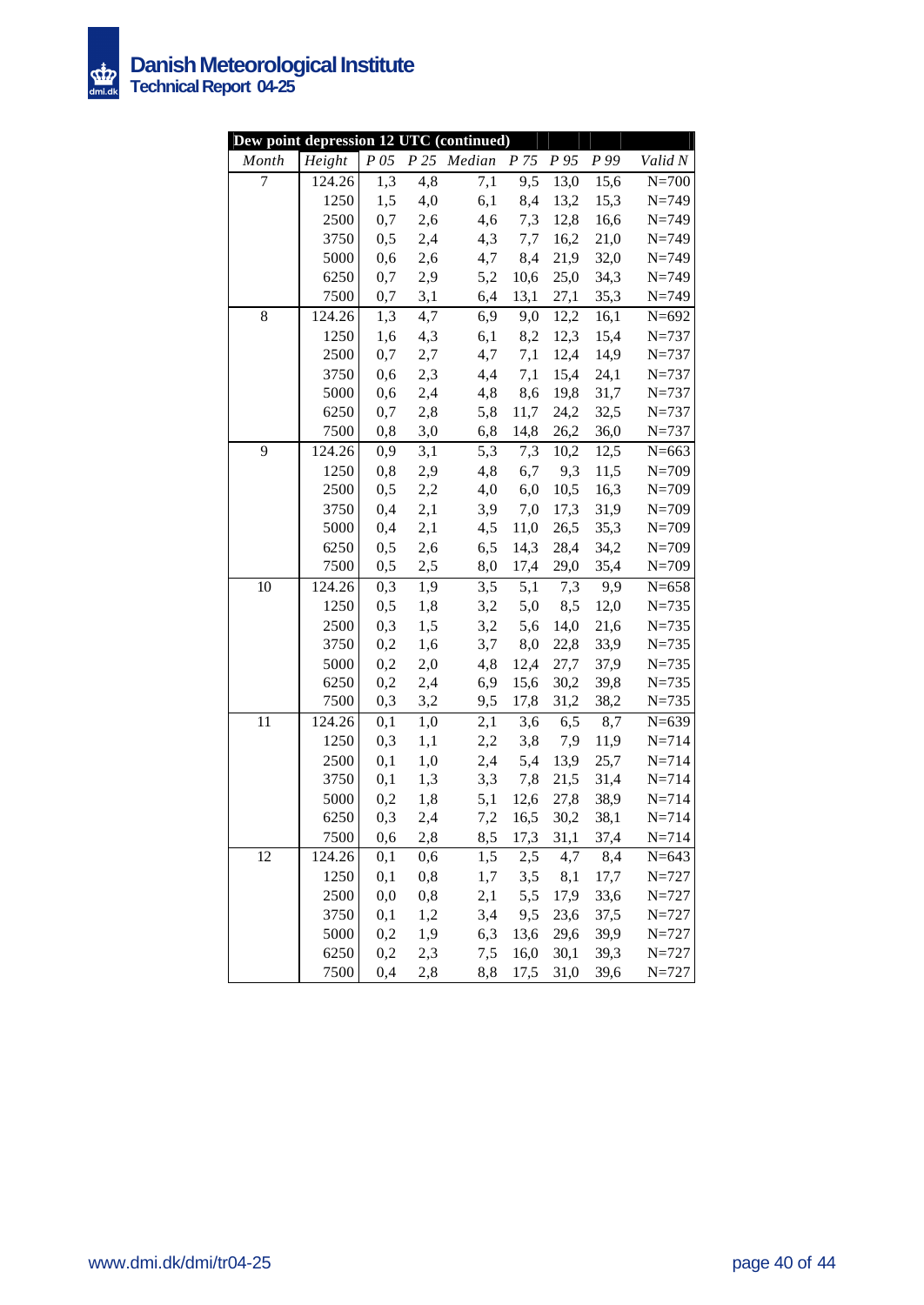

| Dew point depression 12 UTC (continued) |        |          |     |                  |      |                      |      |           |
|-----------------------------------------|--------|----------|-----|------------------|------|----------------------|------|-----------|
| Month                                   | Height | $P\,05$  |     | P 25 Median      |      | P 75 P 95 P 99       |      | Valid N   |
| $\overline{7}$                          | 124.26 | 1,3      | 4,8 | $\overline{7,1}$ | 9,5  | 13,0                 | 15,6 | $N=700$   |
|                                         | 1250   | 1,5      | 4,0 | 6,1              | 8,4  | 13,2                 | 15,3 | $N = 749$ |
|                                         | 2500   | 0,7      | 2,6 | 4,6              | 7,3  | 12,8                 | 16,6 | $N = 749$ |
|                                         | 3750   | 0,5      | 2,4 | 4,3              | 7,7  | 16,2                 | 21,0 | $N = 749$ |
|                                         | 5000   | 0,6      | 2,6 | 4,7              | 8,4  | 21,9                 | 32,0 | $N = 749$ |
|                                         | 6250   | 0,7      | 2,9 | 5,2              | 10,6 | 25,0                 | 34,3 | $N = 749$ |
|                                         | 7500   | 0,7      | 3,1 | 6,4              | 13,1 | 27,1                 | 35,3 | $N = 749$ |
| 8                                       | 124.26 | 1,3      | 4,7 | 6,9              | 9,0  | 12,2                 | 16,1 | $N = 692$ |
|                                         | 1250   | 1,6      | 4,3 | 6,1              | 8,2  | 12,3                 | 15,4 | $N = 737$ |
|                                         | 2500   | 0,7      | 2,7 | 4,7              | 7,1  | 12,4                 | 14,9 | $N = 737$ |
|                                         | 3750   | 0,6      | 2,3 | 4,4              | 7,1  | 15,4                 | 24,1 | $N = 737$ |
|                                         | 5000   | 0,6      | 2,4 | 4,8              | 8,6  | 19,8                 | 31,7 | $N = 737$ |
|                                         | 6250   | 0,7      | 2,8 | 5,8              | 11,7 | 24,2                 | 32,5 | $N = 737$ |
|                                         | 7500   | 0,8      | 3,0 | 6,8              | 14,8 | 26,2                 | 36,0 | $N = 737$ |
| 9                                       | 124.26 | 0,9      | 3,1 | 5,3              | 7,3  | 10,2                 | 12,5 | $N = 663$ |
|                                         | 1250   | 0,8      | 2,9 | 4,8              | 6,7  | 9,3                  | 11,5 | $N = 709$ |
|                                         | 2500   | 0,5      | 2,2 | 4,0              | 6,0  | 10,5                 | 16,3 | $N = 709$ |
|                                         | 3750   | 0,4      | 2,1 | 3,9              | 7,0  | 17,3                 | 31,9 | $N = 709$ |
|                                         | 5000   | 0,4      | 2,1 | 4,5              | 11,0 | 26,5                 | 35,3 | $N = 709$ |
|                                         | 6250   | 0,5      | 2,6 | 6,5              | 14,3 | 28,4                 | 34,2 | $N = 709$ |
|                                         | 7500   | 0,5      | 2,5 | 8,0              | 17,4 | 29,0                 | 35,4 | $N = 709$ |
| 10                                      | 124.26 | 0,3      | 1,9 | 3,5              |      | $\overline{5,1}$ 7,3 | 9,9  | $N = 658$ |
|                                         | 1250   | 0,5      | 1,8 | 3,2              | 5,0  | 8,5                  | 12,0 | $N = 735$ |
|                                         | 2500   | 0,3      | 1,5 | 3,2              | 5,6  | 14,0                 | 21,6 | $N = 735$ |
|                                         | 3750   | 0,2      | 1,6 | 3,7              | 8,0  | 22,8                 | 33,9 | $N = 735$ |
|                                         | 5000   | 0,2      | 2,0 | 4,8              | 12,4 | 27,7                 | 37,9 | $N = 735$ |
|                                         | 6250   | 0,2      | 2,4 | 6,9              | 15,6 | 30,2                 | 39,8 | $N = 735$ |
|                                         | 7500   | 0,3      | 3,2 | 9,5              | 17,8 | 31,2                 | 38,2 | $N = 735$ |
| 11                                      | 124.26 | 0,1      | 1,0 | $2,\overline{1}$ | 3,6  | 6,5                  | 8,7  | $N=639$   |
|                                         | 1250   | 0,3      | 1,1 | 2,2              | 3,8  | 7,9                  | 11,9 | $N = 714$ |
|                                         | 2500   | 0,1      | 1,0 | 2,4              | 5,4  | 13,9                 | 25,7 | $N = 714$ |
|                                         | 3750   | 0,1      | 1,3 | 3,3              | 7,8  | 21,5                 | 31,4 | $N = 714$ |
|                                         | 5000   | 0,2      | 1,8 | 5,1              | 12,6 | 27,8                 | 38,9 | $N = 714$ |
|                                         | 6250   | 0,3      | 2,4 | 7,2              |      | 16,5 30,2 38,1       |      | $N = 714$ |
|                                         | 7500   | 0,6      | 2,8 | 8,5              | 17,3 | 31,1                 | 37,4 | $N = 714$ |
| 12                                      | 124.26 | 0,1      | 0,6 | 1,5              | 2,5  | 4,7                  | 8,4  | $N = 643$ |
|                                         | 1250   | 0,1      | 0,8 | $1,\!7$          | 3,5  | 8,1                  | 17,7 | $N = 727$ |
|                                         | 2500   | $_{0,0}$ | 0,8 | 2,1              | 5,5  | 17,9                 | 33,6 | $N = 727$ |
|                                         | 3750   | 0,1      | 1,2 | 3,4              | 9,5  | 23,6                 | 37,5 | $N = 727$ |
|                                         | 5000   | 0,2      | 1,9 | 6,3              | 13,6 | 29,6                 | 39,9 | $N = 727$ |
|                                         | 6250   | 0,2      | 2,3 | 7,5              | 16,0 | 30,1                 | 39,3 | $N = 727$ |
|                                         | 7500   | 0,4      | 2,8 | 8,8              | 17,5 | 31,0                 | 39,6 | $N = 727$ |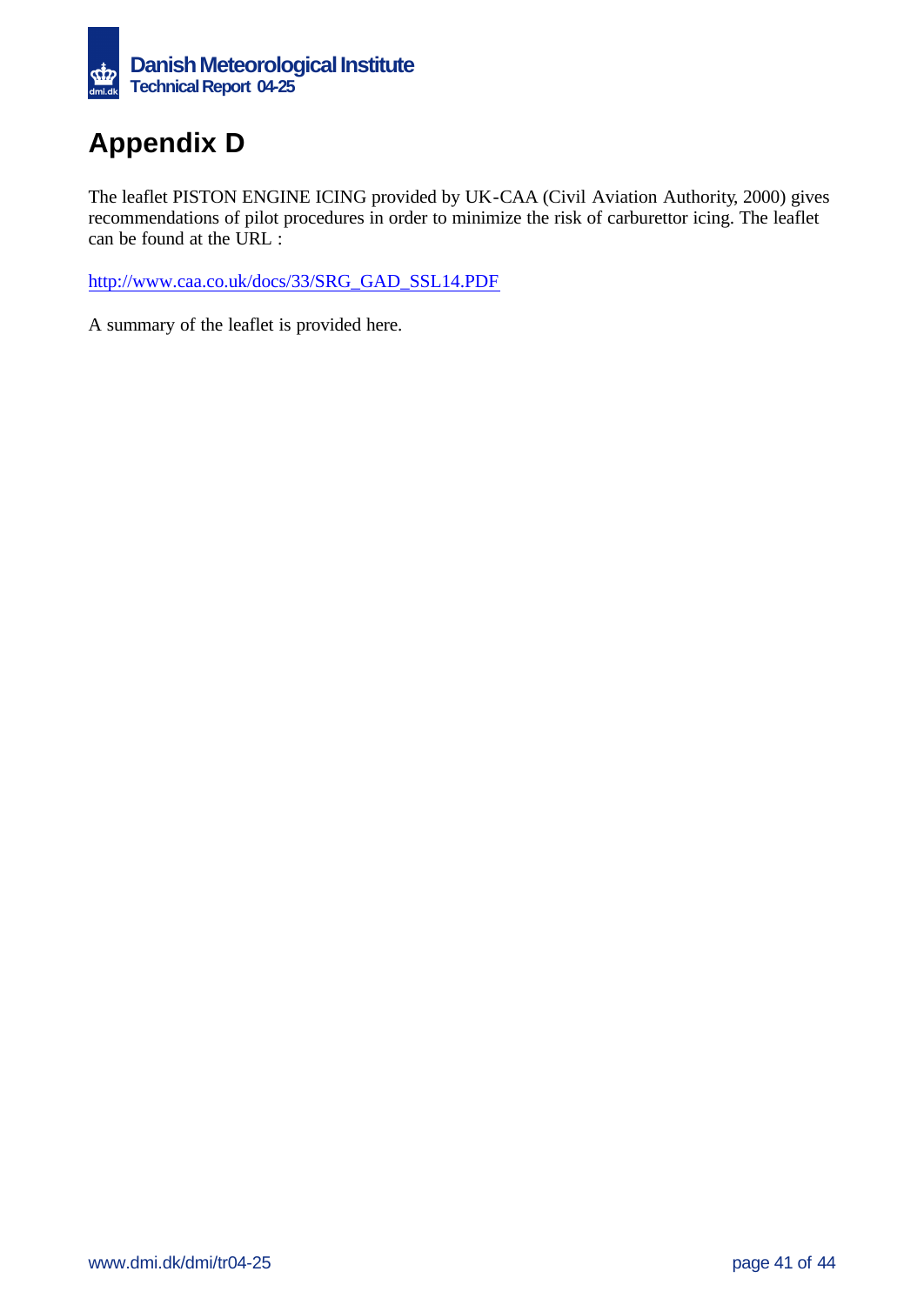

# **Appendix D**

The leaflet PISTON ENGINE ICING provided by UK-CAA (Civil Aviation Authority, 2000) gives recommendations of pilot procedures in order to minimize the risk of carburettor icing. The leaflet can be found at the URL :

http://www.caa.co.uk/docs/33/SRG\_GAD\_SSL14.PDF

A summary of the leaflet is provided here.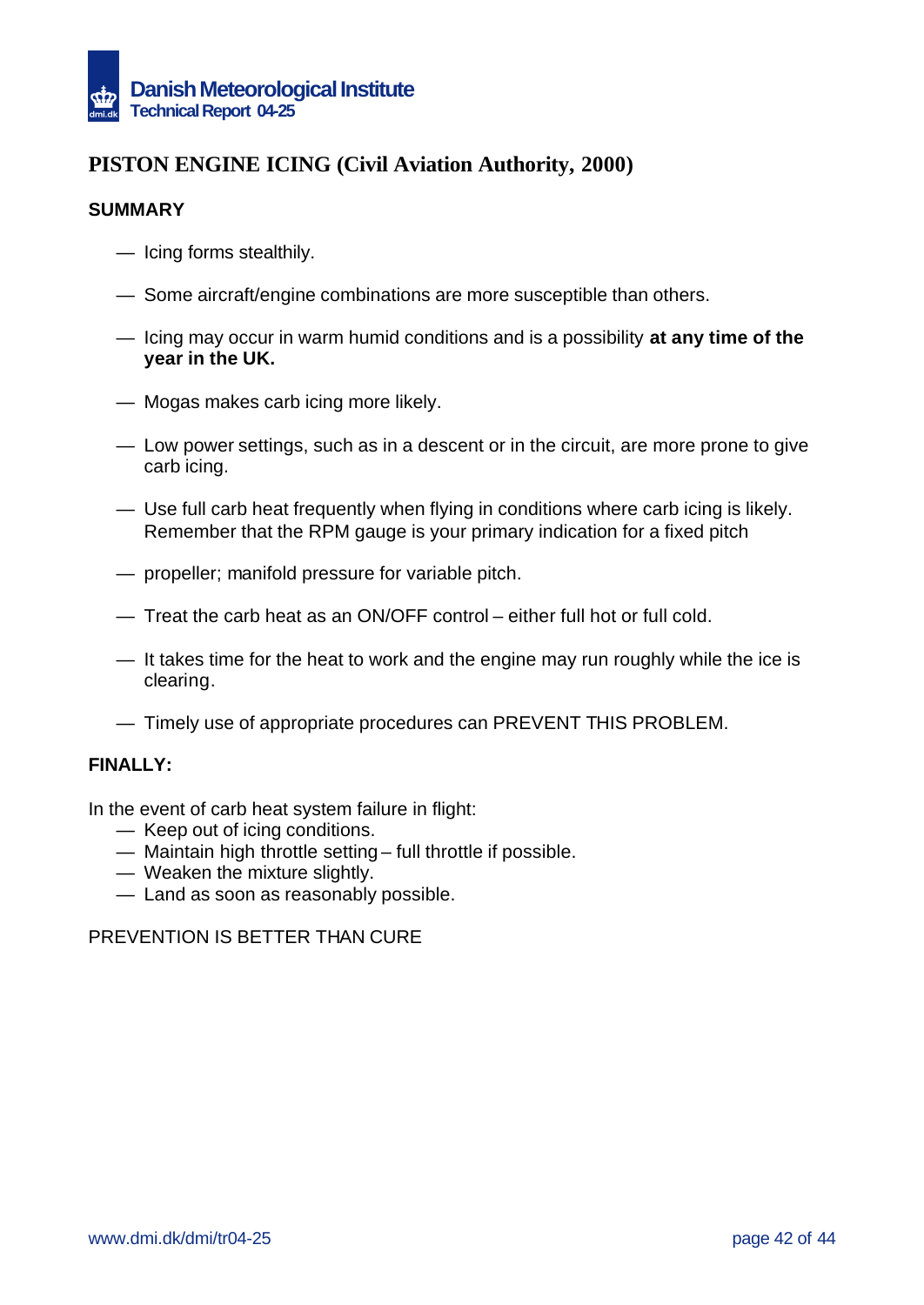

## **PISTON ENGINE ICING (Civil Aviation Authority, 2000)**

### **SUMMARY**

- Icing forms stealthily.
- Some aircraft/engine combinations are more susceptible than others.
- Icing may occur in warm humid conditions and is a possibility **at any time of the year in the UK.**
- Mogas makes carb icing more likely.
- Low power settings, such as in a descent or in the circuit, are more prone to give carb icing.
- Use full carb heat frequently when flying in conditions where carb icing is likely. Remember that the RPM gauge is your primary indication for a fixed pitch
- propeller; manifold pressure for variable pitch.
- Treat the carb heat as an ON/OFF control either full hot or full cold.
- It takes time for the heat to work and the engine may run roughly while the ice is clearing.
- Timely use of appropriate procedures can PREVENT THIS PROBLEM.

#### **FINALLY:**

In the event of carb heat system failure in flight:

- Keep out of icing conditions.
- Maintain high throttle setting full throttle if possible.
- Weaken the mixture slightly.
- Land as soon as reasonably possible.

PREVENTION IS BETTER THAN CURE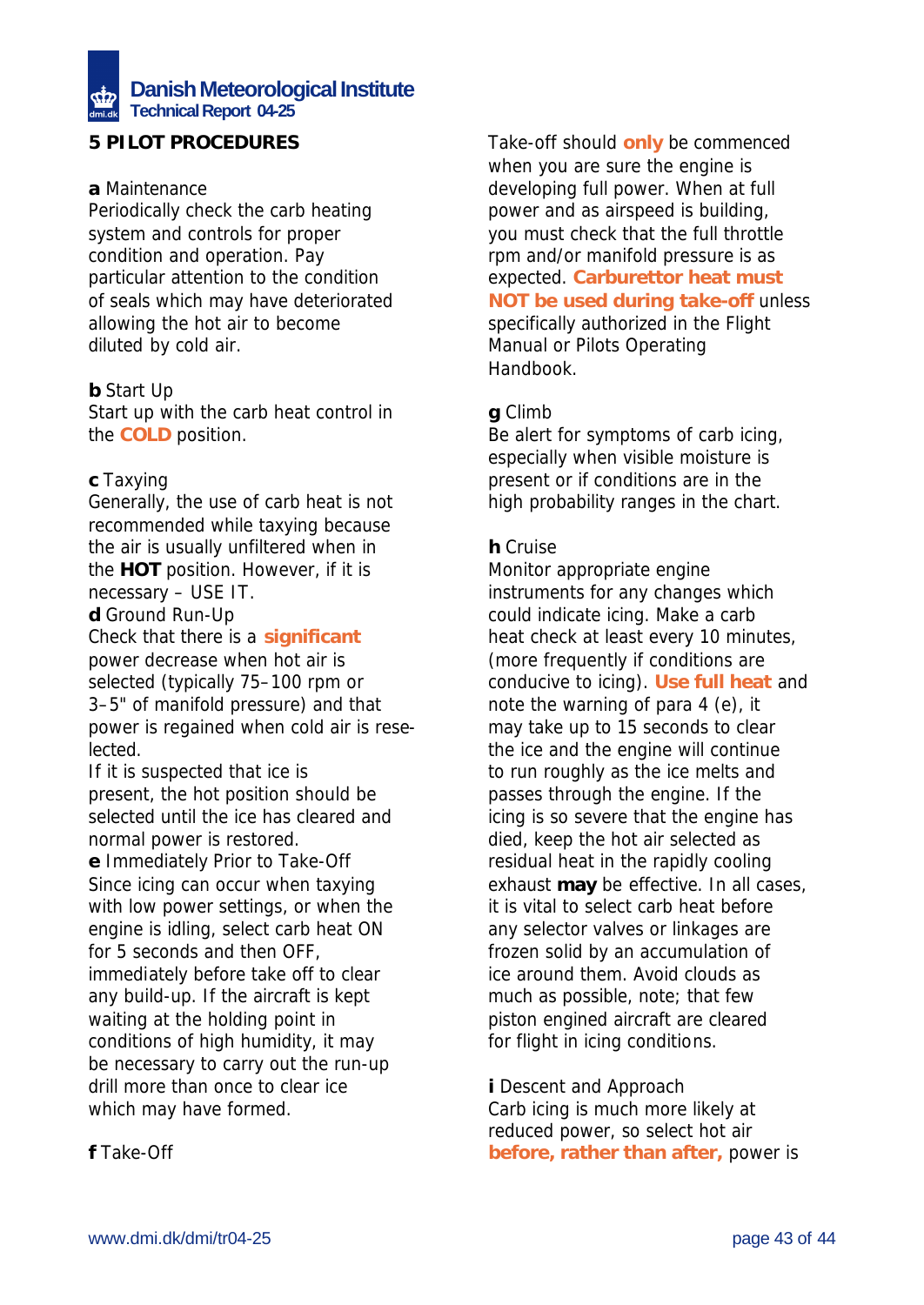# **Danish Meteorological Institute Technical Report 04-25**

## **5 PILOT PROCEDURES**

### **a** *Maintenance*

Periodically check the carb heating system and controls for proper condition and operation. Pay particular attention to the condition of seals which may have deteriorated allowing the hot air to become diluted by cold air.

### **b** *Start Up*

Start up with the carb heat control in the **COLD** position.

### **c** *Taxying*

Generally, the use of carb heat is not recommended while taxying because the air is usually unfiltered when in the **HOT** position. However, if it is necessary – USE IT.

**d** *Ground Run-Up* Check that there is a **significant** power decrease when hot air is selected (typically 75–100 rpm or 3–5" of manifold pressure) and that power is regained when cold air is reselected.

If it is suspected that ice is present, the hot position should be selected until the ice has cleared and normal power is restored.

**e** *Immediately Prior to Take-Off* Since icing can occur when taxying with low power settings, or when the engine is idling, select carb heat ON for 5 seconds and then OFF, immediately before take off to clear any build-up. If the aircraft is kept waiting at the holding point in conditions of high humidity, it may be necessary to carry out the run-up drill more than once to clear ice which may have formed.

Take-off should **only** be commenced when you are sure the engine is developing full power. When at full power and as airspeed is building, you must check that the full throttle rpm and/or manifold pressure is as expected. **Carburettor heat must NOT be used during take-off** unless specifically authorized in the Flight Manual or Pilots Operating Handbook.

### **g** *Climb*

Be alert for symptoms of carb icing, especially when visible moisture is present or if conditions are in the high probability ranges in the chart.

### **h** *Cruise*

Monitor appropriate engine instruments for any changes which could indicate icing. Make a carb heat check at least every 10 minutes, (more frequently if conditions are conducive to icing). **Use full heat** and note the warning of para 4 (e), it may take up to 15 seconds to clear the ice and the engine will continue to run roughly as the ice melts and passes through the engine. If the icing is so severe that the engine has died, keep the hot air selected as residual heat in the rapidly cooling exhaust **may** be effective. In all cases, it is vital to select carb heat before any selector valves or linkages are frozen solid by an accumulation of ice around them. Avoid clouds as much as possible, note; that few piston engined aircraft are cleared for flight in icing conditions.

**i** *Descent and Approach*

Carb icing is much more likely at reduced power, so select hot air **before, rather than after,** power is

**f** *Take-Off*